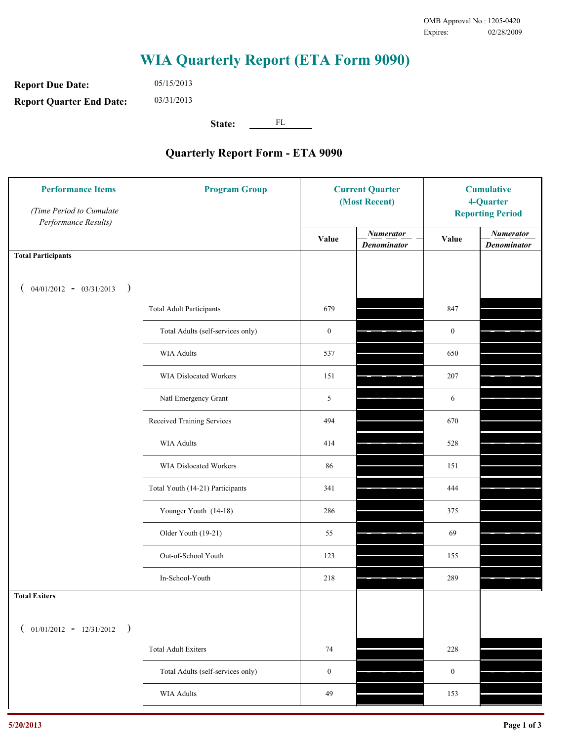**Report Due Date: Report Quarter End Date:** 05/15/2013 03/31/2013

**State:** FL

| <b>Performance Items</b><br>(Time Period to Cumulate<br>Performance Results) | <b>Program Group</b>              | <b>Current Quarter</b><br>(Most Recent) |                                        | <b>Cumulative</b><br>4-Quarter<br><b>Reporting Period</b> |                                        |
|------------------------------------------------------------------------------|-----------------------------------|-----------------------------------------|----------------------------------------|-----------------------------------------------------------|----------------------------------------|
|                                                                              |                                   | Value                                   | <b>Numerator</b><br><b>Denominator</b> | Value                                                     | <b>Numerator</b><br><b>Denominator</b> |
| <b>Total Participants</b>                                                    |                                   |                                         |                                        |                                                           |                                        |
| $04/01/2012 - 03/31/2013$ )                                                  |                                   |                                         |                                        |                                                           |                                        |
|                                                                              | <b>Total Adult Participants</b>   | 679                                     |                                        | 847                                                       |                                        |
|                                                                              | Total Adults (self-services only) | $\boldsymbol{0}$                        |                                        | $\mathbf{0}$                                              |                                        |
|                                                                              | WIA Adults                        | 537                                     |                                        | 650                                                       |                                        |
|                                                                              | <b>WIA Dislocated Workers</b>     | 151                                     |                                        | 207                                                       |                                        |
|                                                                              | Natl Emergency Grant              | 5                                       |                                        | 6                                                         |                                        |
|                                                                              | Received Training Services        | 494                                     |                                        | 670                                                       |                                        |
|                                                                              | <b>WIA Adults</b>                 | 414                                     |                                        | 528                                                       |                                        |
|                                                                              | WIA Dislocated Workers            | 86                                      |                                        | 151                                                       |                                        |
|                                                                              | Total Youth (14-21) Participants  | 341                                     |                                        | 444                                                       |                                        |
|                                                                              | Younger Youth (14-18)             | 286                                     |                                        | 375                                                       |                                        |
|                                                                              | Older Youth (19-21)               | 55                                      |                                        | 69                                                        |                                        |
|                                                                              | Out-of-School Youth               | 123                                     |                                        | 155                                                       |                                        |
|                                                                              | In-School-Youth                   | 218                                     |                                        | 289                                                       |                                        |
| <b>Total Exiters</b>                                                         |                                   |                                         |                                        |                                                           |                                        |
| $01/01/2012 - 12/31/2012$<br>$\rightarrow$<br>$\overline{ }$                 |                                   |                                         |                                        |                                                           |                                        |
|                                                                              | <b>Total Adult Exiters</b>        | 74                                      |                                        | 228                                                       |                                        |
|                                                                              | Total Adults (self-services only) | $\boldsymbol{0}$                        |                                        | $\boldsymbol{0}$                                          |                                        |
|                                                                              | <b>WIA Adults</b>                 | 49                                      |                                        | 153                                                       |                                        |
|                                                                              |                                   |                                         |                                        |                                                           |                                        |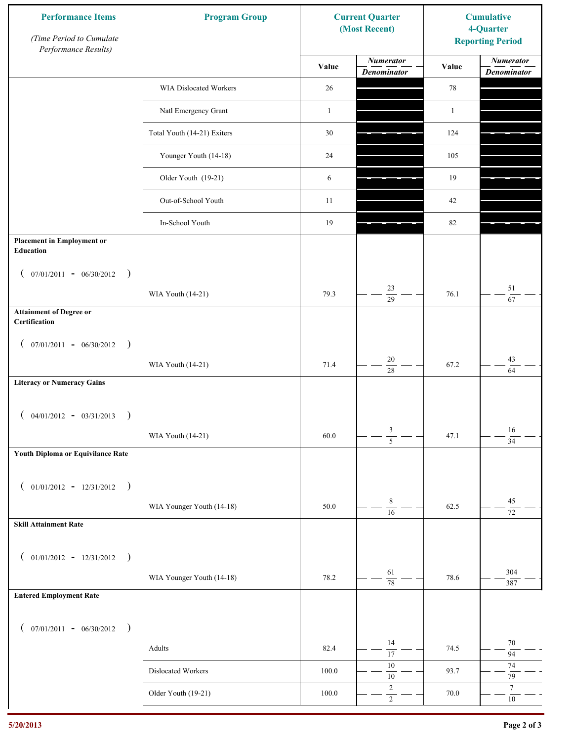| <b>Performance Items</b><br>(Time Period to Cumulate<br>Performance Results) | <b>Program Group</b>        |              | <b>Current Quarter</b><br>(Most Recent) | <b>Cumulative</b><br>4-Quarter<br><b>Reporting Period</b> |                                        |
|------------------------------------------------------------------------------|-----------------------------|--------------|-----------------------------------------|-----------------------------------------------------------|----------------------------------------|
|                                                                              |                             | Value        | <b>Numerator</b><br><b>Denominator</b>  | Value                                                     | <b>Numerator</b><br><b>Denominator</b> |
|                                                                              | WIA Dislocated Workers      | 26           |                                         | 78                                                        |                                        |
|                                                                              | Natl Emergency Grant        | $\mathbf{1}$ |                                         | $\mathbf{1}$                                              |                                        |
|                                                                              | Total Youth (14-21) Exiters | 30           |                                         | 124                                                       |                                        |
|                                                                              | Younger Youth (14-18)       | 24           |                                         | 105                                                       |                                        |
|                                                                              | Older Youth (19-21)         | 6            |                                         | 19                                                        |                                        |
|                                                                              | Out-of-School Youth         | 11           |                                         | 42                                                        |                                        |
|                                                                              | In-School Youth             | 19           |                                         | $82\,$                                                    |                                        |
| <b>Placement in Employment or</b><br>Education                               |                             |              |                                         |                                                           |                                        |
| $07/01/2011 - 06/30/2012$<br>$\rightarrow$<br>$\left($                       |                             |              |                                         |                                                           |                                        |
|                                                                              | WIA Youth (14-21)           | 79.3         | 23<br>$\overline{29}$                   | 76.1                                                      | 51<br>67                               |
| <b>Attainment of Degree or</b><br>Certification                              |                             |              |                                         |                                                           |                                        |
| $($ 07/01/2011 - 06/30/2012<br>$\rightarrow$                                 |                             |              |                                         |                                                           |                                        |
|                                                                              | WIA Youth (14-21)           | 71.4         | $20\,$<br>$\overline{28}$               | 67.2                                                      | 43<br>64                               |
| <b>Literacy or Numeracy Gains</b>                                            |                             |              |                                         |                                                           |                                        |
| $($ 04/01/2012 - 03/31/2013<br>$\rightarrow$                                 |                             |              |                                         |                                                           |                                        |
|                                                                              | WIA Youth (14-21)           | 60.0         | $\mathfrak{Z}$<br>$\overline{5}$        | 47.1                                                      | 16<br>$\overline{34}$                  |
| Youth Diploma or Equivilance Rate                                            |                             |              |                                         |                                                           |                                        |
| $01/01/2012 - 12/31/2012$ )<br>$\left($                                      |                             |              |                                         |                                                           |                                        |
|                                                                              | WIA Younger Youth (14-18)   | 50.0         | $\,8\,$                                 | 62.5                                                      | $45\,$                                 |
| <b>Skill Attainment Rate</b>                                                 |                             |              | $\overline{16}$                         |                                                           | $\overline{72}$                        |
|                                                                              |                             |              |                                         |                                                           |                                        |
| $01/01/2012 - 12/31/2012$ )<br>$\left($                                      |                             |              | 61                                      |                                                           | 304                                    |
| <b>Entered Employment Rate</b>                                               | WIA Younger Youth (14-18)   | 78.2         | $\overline{78}$                         | 78.6                                                      | 387                                    |
|                                                                              |                             |              |                                         |                                                           |                                        |
| $($ 07/01/2011 - 06/30/2012 )                                                |                             |              |                                         |                                                           |                                        |
|                                                                              | Adults                      | 82.4         | 14<br>$\overline{17}$                   | 74.5                                                      | $70\,$<br>94                           |
|                                                                              | Dislocated Workers          | 100.0        | 10<br>$10\,$                            | 93.7                                                      | 74<br>$79\,$                           |
|                                                                              | Older Youth (19-21)         | $100.0\,$    | $\sqrt{2}$<br>$\overline{2}$            | 70.0                                                      | $\tau$<br>$10\,$                       |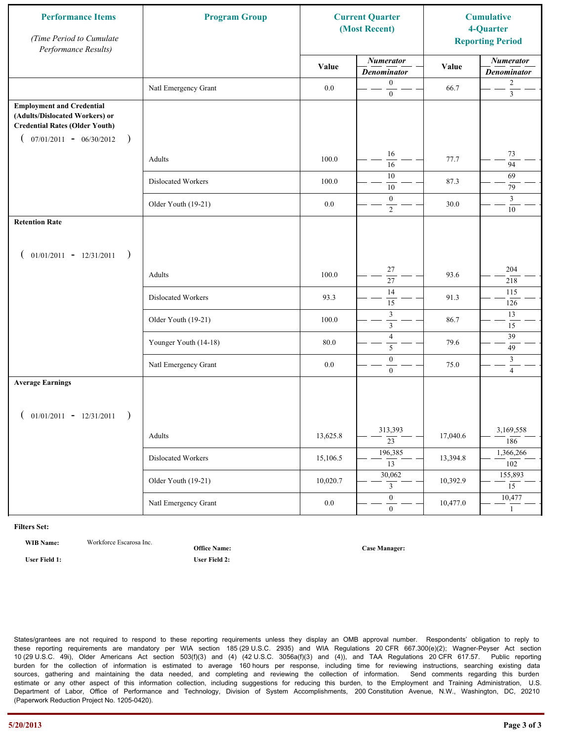| <b>Performance Items</b><br>(Time Period to Cumulate<br>Performance Results)                                                                              | <b>Program Group</b>  |          | <b>Current Quarter</b><br>(Most Recent) |          | <b>Cumulative</b><br>4-Quarter<br><b>Reporting Period</b> |
|-----------------------------------------------------------------------------------------------------------------------------------------------------------|-----------------------|----------|-----------------------------------------|----------|-----------------------------------------------------------|
|                                                                                                                                                           |                       | Value    | <b>Numerator</b><br><b>Denominator</b>  | Value    | <b>Numerator</b><br><b>Denominator</b>                    |
|                                                                                                                                                           | Natl Emergency Grant  | $0.0\,$  | $\mathbf{0}$<br>$\boldsymbol{0}$        | 66.7     | $\overline{c}$<br>$\overline{3}$                          |
| <b>Employment and Credential</b><br>(Adults/Dislocated Workers) or<br><b>Credential Rates (Older Youth)</b><br>$07/01/2011 - 06/30/2012$<br>$\rightarrow$ |                       |          |                                         |          |                                                           |
|                                                                                                                                                           | Adults                | 100.0    | 16<br>16                                | 77.7     | 73<br>$\overline{94}$                                     |
|                                                                                                                                                           | Dislocated Workers    | 100.0    | 10<br>10                                | 87.3     | 69<br>79                                                  |
|                                                                                                                                                           | Older Youth (19-21)   | $0.0\,$  | $\boldsymbol{0}$<br>$\overline{2}$      | 30.0     | $\overline{3}$<br>$10\,$                                  |
| <b>Retention Rate</b>                                                                                                                                     |                       |          |                                         |          |                                                           |
| $01/01/2011 - 12/31/2011$<br>$\rightarrow$                                                                                                                |                       |          |                                         |          |                                                           |
|                                                                                                                                                           | Adults                | 100.0    | 27<br>27                                | 93.6     | 204<br>218                                                |
|                                                                                                                                                           | Dislocated Workers    | 93.3     | 14<br>$\overline{15}$                   | 91.3     | 115<br>126                                                |
|                                                                                                                                                           | Older Youth (19-21)   | 100.0    | $\mathfrak z$<br>$\mathfrak{Z}$         | 86.7     | 13<br>15                                                  |
|                                                                                                                                                           | Younger Youth (14-18) | 80.0     | $\overline{4}$<br>5                     | 79.6     | 39<br>49                                                  |
|                                                                                                                                                           | Natl Emergency Grant  | 0.0      | $\boldsymbol{0}$<br>$\overline{0}$      | 75.0     | $\mathfrak{Z}$<br>$\overline{4}$                          |
| <b>Average Earnings</b>                                                                                                                                   |                       |          |                                         |          |                                                           |
| $01/01/2011 - 12/31/2011$<br>$\rightarrow$                                                                                                                |                       |          |                                         |          |                                                           |
|                                                                                                                                                           | Adults                | 13,625.8 | 313,393<br>$\overline{23}$              | 17,040.6 | 3,169,558<br>186                                          |
|                                                                                                                                                           | Dislocated Workers    | 15,106.5 | 196,385<br>$\overline{13}$              | 13,394.8 | 1,366,266<br>102                                          |
|                                                                                                                                                           | Older Youth (19-21)   | 10,020.7 | 30,062<br>3                             | 10,392.9 | 155,893<br>$\overline{15}$                                |
|                                                                                                                                                           | Natl Emergency Grant  | $0.0\,$  | $\overline{0}$<br>$\mathbf{0}$          | 10,477.0 | 10,477<br>$\mathbf{1}$                                    |

**WIB Name:** Workforce Escarosa Inc.

**Office Name:**

**User Field 1: User Field 2:**

**Case Manager:**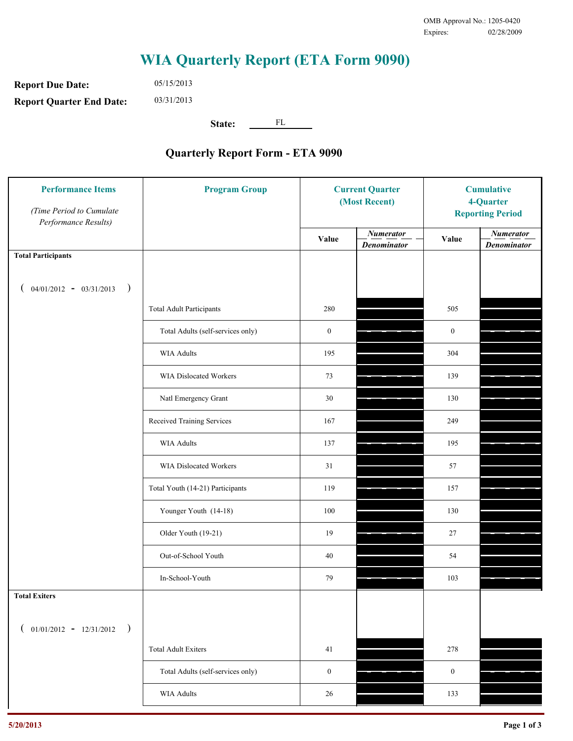**Report Due Date: Report Quarter End Date:** 05/15/2013 03/31/2013

**State:** FL

| <b>Performance Items</b><br>(Time Period to Cumulate<br>Performance Results) | <b>Program Group</b>              | <b>Current Quarter</b><br>(Most Recent) |                                        | <b>Cumulative</b><br>4-Quarter<br><b>Reporting Period</b> |                                        |
|------------------------------------------------------------------------------|-----------------------------------|-----------------------------------------|----------------------------------------|-----------------------------------------------------------|----------------------------------------|
|                                                                              |                                   | Value                                   | <b>Numerator</b><br><b>Denominator</b> | Value                                                     | <b>Numerator</b><br><b>Denominator</b> |
| <b>Total Participants</b>                                                    |                                   |                                         |                                        |                                                           |                                        |
| $04/01/2012 - 03/31/2013$ )                                                  |                                   |                                         |                                        |                                                           |                                        |
|                                                                              | <b>Total Adult Participants</b>   | 280                                     |                                        | 505                                                       |                                        |
|                                                                              | Total Adults (self-services only) | $\boldsymbol{0}$                        |                                        | $\boldsymbol{0}$                                          |                                        |
|                                                                              | WIA Adults                        | 195                                     |                                        | 304                                                       |                                        |
|                                                                              | <b>WIA Dislocated Workers</b>     | 73                                      |                                        | 139                                                       |                                        |
|                                                                              | Natl Emergency Grant              | 30                                      |                                        | 130                                                       |                                        |
|                                                                              | Received Training Services        | 167                                     |                                        | 249                                                       |                                        |
|                                                                              | <b>WIA Adults</b>                 | 137                                     |                                        | 195                                                       |                                        |
|                                                                              | WIA Dislocated Workers            | 31                                      |                                        | 57                                                        |                                        |
|                                                                              | Total Youth (14-21) Participants  | 119                                     |                                        | 157                                                       |                                        |
|                                                                              | Younger Youth (14-18)             | 100                                     |                                        | 130                                                       |                                        |
|                                                                              | Older Youth (19-21)               | 19                                      |                                        | $27\,$                                                    |                                        |
|                                                                              | Out-of-School Youth               | $40\,$                                  |                                        | 54                                                        |                                        |
|                                                                              | In-School-Youth                   | 79                                      |                                        | 103                                                       |                                        |
| <b>Total Exiters</b>                                                         |                                   |                                         |                                        |                                                           |                                        |
| $01/01/2012 - 12/31/2012$ )<br>$\left($                                      |                                   |                                         |                                        |                                                           |                                        |
|                                                                              | <b>Total Adult Exiters</b>        | 41                                      |                                        | 278                                                       |                                        |
|                                                                              | Total Adults (self-services only) | $\boldsymbol{0}$                        |                                        | $\boldsymbol{0}$                                          |                                        |
|                                                                              | <b>WIA Adults</b>                 | 26                                      |                                        | 133                                                       |                                        |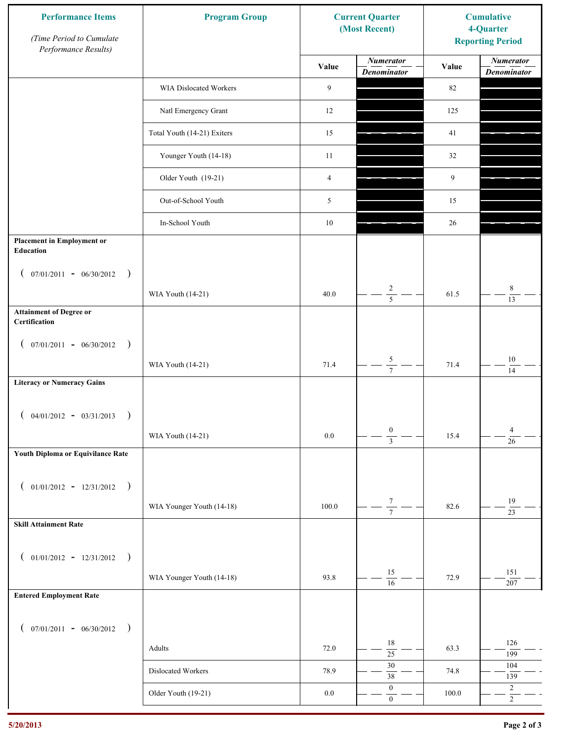| <b>Performance Items</b><br>(Time Period to Cumulate<br>Performance Results) | <b>Program Group</b>        |                | <b>Current Quarter</b><br>(Most Recent) | <b>Cumulative</b><br>4-Quarter<br><b>Reporting Period</b> |                                        |
|------------------------------------------------------------------------------|-----------------------------|----------------|-----------------------------------------|-----------------------------------------------------------|----------------------------------------|
|                                                                              |                             | Value          | <b>Numerator</b><br><b>Denominator</b>  | Value                                                     | <b>Numerator</b><br><b>Denominator</b> |
|                                                                              | WIA Dislocated Workers      | 9              |                                         | 82                                                        |                                        |
|                                                                              | Natl Emergency Grant        | 12             |                                         | 125                                                       |                                        |
|                                                                              | Total Youth (14-21) Exiters | 15             |                                         | 41                                                        |                                        |
|                                                                              | Younger Youth (14-18)       | 11             |                                         | 32                                                        |                                        |
|                                                                              | Older Youth (19-21)         | $\overline{4}$ |                                         | 9                                                         |                                        |
|                                                                              | Out-of-School Youth         | 5              |                                         | 15                                                        |                                        |
|                                                                              | In-School Youth             | $10\,$         |                                         | 26                                                        |                                        |
| <b>Placement in Employment or</b><br>Education                               |                             |                |                                         |                                                           |                                        |
| $07/01/2011 - 06/30/2012$<br>$\rightarrow$<br>$\mathcal{L}$                  | WIA Youth (14-21)           | 40.0           | $\overline{c}$                          | 61.5                                                      | 8                                      |
| <b>Attainment of Degree or</b><br>Certification                              |                             |                | $\overline{5}$                          |                                                           | $\overline{13}$                        |
| $($ 07/01/2011 - 06/30/2012<br>$\rightarrow$                                 |                             |                |                                         |                                                           |                                        |
|                                                                              | WIA Youth (14-21)           | 71.4           | $\sqrt{5}$<br>$\overline{7}$            | 71.4                                                      | $10\,$<br>14                           |
| <b>Literacy or Numeracy Gains</b>                                            |                             |                |                                         |                                                           |                                        |
| $($ 04/01/2012 - 03/31/2013<br>$\rightarrow$                                 |                             |                |                                         |                                                           |                                        |
|                                                                              | WIA Youth (14-21)           | $0.0\,$        | $\boldsymbol{0}$<br>$\overline{3}$      | 15.4                                                      | $\overline{4}$<br>$\overline{26}$      |
| Youth Diploma or Equivilance Rate                                            |                             |                |                                         |                                                           |                                        |
| $01/01/2012 - 12/31/2012$ )<br>$\left($                                      |                             |                |                                         |                                                           |                                        |
|                                                                              | WIA Younger Youth (14-18)   | 100.0          | $\frac{7}{7}$                           | 82.6                                                      | $19\,$<br>$\overline{23}$              |
| <b>Skill Attainment Rate</b>                                                 |                             |                |                                         |                                                           |                                        |
| $01/01/2012 - 12/31/2012$ )<br>$\left($                                      |                             |                |                                         |                                                           |                                        |
|                                                                              | WIA Younger Youth (14-18)   | 93.8           | 15<br>$\overline{16}$                   | 72.9                                                      | 151<br>207                             |
| <b>Entered Employment Rate</b>                                               |                             |                |                                         |                                                           |                                        |
| $($ 07/01/2011 - 06/30/2012 )                                                |                             |                |                                         |                                                           |                                        |
|                                                                              | Adults                      | 72.0           | 18<br>$\overline{25}$                   | 63.3                                                      | 126<br>199                             |
|                                                                              | Dislocated Workers          | 78.9           | $30\,$<br>$38\,$                        | 74.8                                                      | 104<br>139                             |
|                                                                              | Older Youth (19-21)         | $0.0\,$        | $\boldsymbol{0}$<br>$\mathbf{0}$        | 100.0                                                     | $\overline{c}$<br>$\overline{2}$       |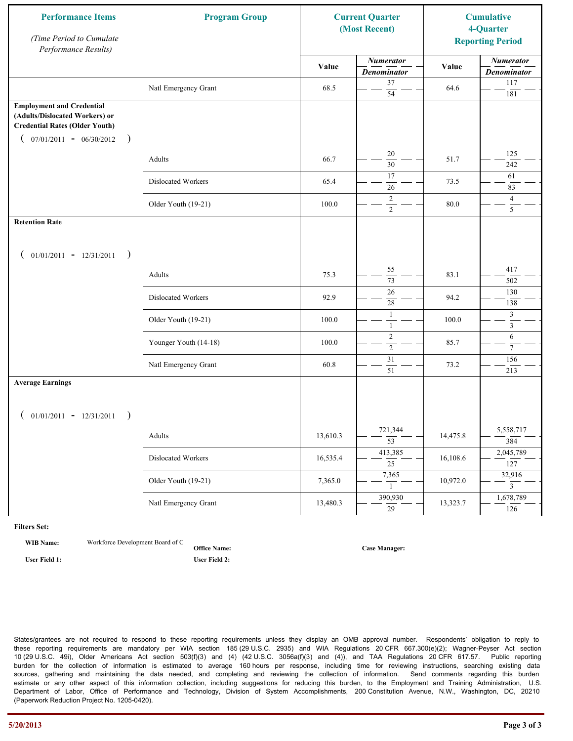| <b>Performance Items</b><br>(Time Period to Cumulate<br>Performance Results)                                                                              | <b>Program Group</b>  |          | <b>Current Quarter</b><br>(Most Recent) |          | <b>Cumulative</b><br>4-Quarter<br><b>Reporting Period</b> |
|-----------------------------------------------------------------------------------------------------------------------------------------------------------|-----------------------|----------|-----------------------------------------|----------|-----------------------------------------------------------|
|                                                                                                                                                           |                       | Value    | <b>Numerator</b><br><b>Denominator</b>  | Value    | <b>Numerator</b><br><b>Denominator</b>                    |
|                                                                                                                                                           | Natl Emergency Grant  | 68.5     | 37<br>$\overline{54}$                   | 64.6     | 117<br>181                                                |
| <b>Employment and Credential</b><br>(Adults/Dislocated Workers) or<br><b>Credential Rates (Older Youth)</b><br>$07/01/2011 - 06/30/2012$<br>$\rightarrow$ |                       |          |                                         |          |                                                           |
|                                                                                                                                                           | Adults                | 66.7     | 20<br>$\overline{30}$                   | 51.7     | 125<br>242                                                |
|                                                                                                                                                           | Dislocated Workers    | 65.4     | 17<br>26                                | 73.5     | 61<br>83                                                  |
|                                                                                                                                                           | Older Youth (19-21)   | 100.0    | $\overline{2}$<br>$\overline{2}$        | 80.0     | $\overline{4}$<br>$\overline{5}$                          |
| <b>Retention Rate</b>                                                                                                                                     |                       |          |                                         |          |                                                           |
| $01/01/2011 - 12/31/2011$<br>$\rightarrow$                                                                                                                |                       |          |                                         |          |                                                           |
|                                                                                                                                                           | Adults                | 75.3     | 55<br>73                                | 83.1     | 417<br>502                                                |
|                                                                                                                                                           | Dislocated Workers    | 92.9     | 26<br>28                                | 94.2     | 130<br>138                                                |
|                                                                                                                                                           | Older Youth (19-21)   | 100.0    | $\mathbf{1}$<br>$\mathbf{1}$            | 100.0    | 3<br>$\overline{3}$                                       |
|                                                                                                                                                           | Younger Youth (14-18) | 100.0    | $\sqrt{2}$<br>$\overline{2}$            | 85.7     | 6<br>$\tau$                                               |
|                                                                                                                                                           | Natl Emergency Grant  | 60.8     | $\overline{31}$<br>51                   | 73.2     | 156<br>213                                                |
| <b>Average Earnings</b>                                                                                                                                   |                       |          |                                         |          |                                                           |
| $01/01/2011 - 12/31/2011$<br>$\rightarrow$                                                                                                                |                       |          |                                         |          |                                                           |
|                                                                                                                                                           | Adults                | 13,610.3 | 721,344<br>$\overline{53}$              | 14,475.8 | 5,558,717<br>384                                          |
|                                                                                                                                                           | Dislocated Workers    | 16,535.4 | 413,385<br>$\overline{25}$              | 16,108.6 | 2,045,789<br>127                                          |
|                                                                                                                                                           | Older Youth (19-21)   | 7,365.0  | 7,365<br>$\mathbf{1}$                   | 10,972.0 | 32,916<br>$\overline{3}$                                  |
|                                                                                                                                                           | Natl Emergency Grant  | 13,480.3 | 390,930<br>$\overline{29}$              | 13,323.7 | 1,678,789<br>126                                          |

**WIB Name:** Workforce Development Board of C

**Office Name: User Field 1: User Field 2:**

**Case Manager:**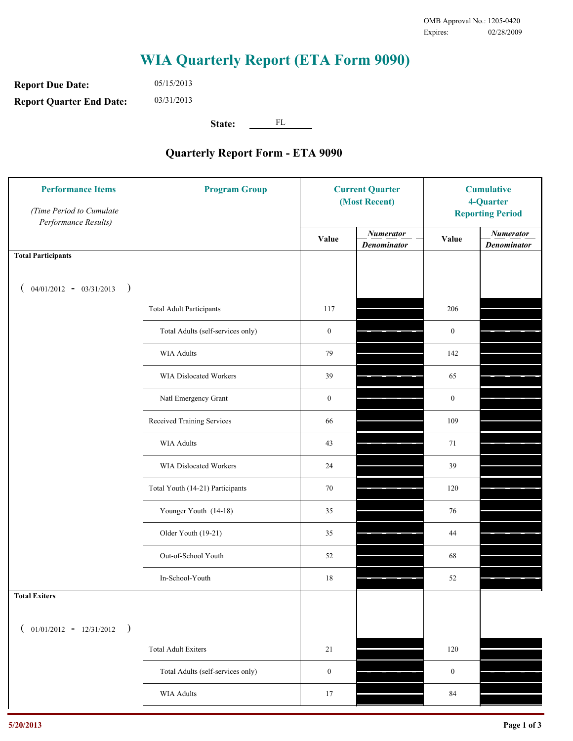**Report Due Date: Report Quarter End Date:** 05/15/2013 03/31/2013

**State:** FL

| <b>Performance Items</b><br>(Time Period to Cumulate<br>Performance Results) | <b>Program Group</b>              | <b>Current Quarter</b><br>(Most Recent) |                                        | <b>Cumulative</b><br>4-Quarter<br><b>Reporting Period</b> |                                        |
|------------------------------------------------------------------------------|-----------------------------------|-----------------------------------------|----------------------------------------|-----------------------------------------------------------|----------------------------------------|
|                                                                              |                                   | Value                                   | <b>Numerator</b><br><b>Denominator</b> | Value                                                     | <b>Numerator</b><br><b>Denominator</b> |
| <b>Total Participants</b>                                                    |                                   |                                         |                                        |                                                           |                                        |
| $04/01/2012 - 03/31/2013$ )                                                  |                                   |                                         |                                        |                                                           |                                        |
|                                                                              | <b>Total Adult Participants</b>   | 117                                     |                                        | 206                                                       |                                        |
|                                                                              | Total Adults (self-services only) | $\boldsymbol{0}$                        |                                        | $\boldsymbol{0}$                                          |                                        |
|                                                                              | <b>WIA Adults</b>                 | 79                                      |                                        | 142                                                       |                                        |
|                                                                              | <b>WIA Dislocated Workers</b>     | 39                                      |                                        | 65                                                        |                                        |
|                                                                              | Natl Emergency Grant              | $\boldsymbol{0}$                        |                                        | $\boldsymbol{0}$                                          |                                        |
|                                                                              | Received Training Services        | 66                                      |                                        | 109                                                       |                                        |
|                                                                              | <b>WIA Adults</b>                 | 43                                      |                                        | 71                                                        |                                        |
|                                                                              | WIA Dislocated Workers            | 24                                      |                                        | 39                                                        |                                        |
|                                                                              | Total Youth (14-21) Participants  | 70                                      |                                        | 120                                                       |                                        |
|                                                                              | Younger Youth (14-18)             | 35                                      |                                        | 76                                                        |                                        |
|                                                                              | Older Youth (19-21)               | 35                                      |                                        | $44\,$                                                    |                                        |
|                                                                              | Out-of-School Youth               | 52                                      |                                        | 68                                                        |                                        |
|                                                                              | In-School-Youth                   | $18\,$                                  |                                        | $52\,$                                                    |                                        |
| <b>Total Exiters</b>                                                         |                                   |                                         |                                        |                                                           |                                        |
| $01/01/2012 - 12/31/2012$<br>$\rightarrow$                                   |                                   |                                         |                                        |                                                           |                                        |
|                                                                              | <b>Total Adult Exiters</b>        | 21                                      |                                        | 120                                                       |                                        |
|                                                                              | Total Adults (self-services only) | $\boldsymbol{0}$                        |                                        | $\boldsymbol{0}$                                          |                                        |
|                                                                              | <b>WIA Adults</b>                 | 17                                      |                                        | $\bf 84$                                                  |                                        |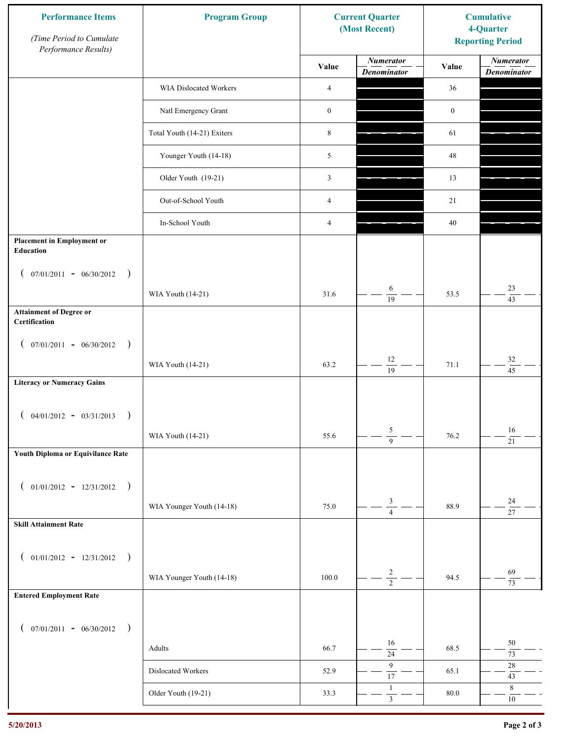| <b>Performance Items</b><br>(Time Period to Cumulate<br>Performance Results) | <b>Program Group</b>        |                  | <b>Current Quarter</b><br>(Most Recent) | <b>Cumulative</b><br>4-Quarter<br><b>Reporting Period</b> |                                        |
|------------------------------------------------------------------------------|-----------------------------|------------------|-----------------------------------------|-----------------------------------------------------------|----------------------------------------|
|                                                                              |                             | Value            | <b>Numerator</b><br><b>Denominator</b>  | Value                                                     | <b>Numerator</b><br><b>Denominator</b> |
|                                                                              | WIA Dislocated Workers      | $\overline{4}$   |                                         | 36                                                        |                                        |
|                                                                              | Natl Emergency Grant        | $\boldsymbol{0}$ |                                         | $\boldsymbol{0}$                                          |                                        |
|                                                                              | Total Youth (14-21) Exiters | $\,$ 8 $\,$      |                                         | 61                                                        |                                        |
|                                                                              | Younger Youth (14-18)       | 5                |                                         | $48\,$                                                    |                                        |
|                                                                              | Older Youth (19-21)         | $\mathfrak{Z}$   |                                         | 13                                                        |                                        |
|                                                                              | Out-of-School Youth         | $\overline{4}$   |                                         | 21                                                        |                                        |
|                                                                              | In-School Youth             | $\overline{4}$   |                                         | 40                                                        |                                        |
| <b>Placement in Employment or</b><br>Education                               |                             |                  |                                         |                                                           |                                        |
| $07/01/2011 - 06/30/2012$<br>$\rightarrow$<br>$\overline{ }$                 |                             |                  |                                         |                                                           |                                        |
|                                                                              | WIA Youth (14-21)           | 31.6             | 6<br>$\overline{19}$                    | 53.5                                                      | 23<br>43                               |
| <b>Attainment of Degree or</b><br>Certification                              |                             |                  |                                         |                                                           |                                        |
| $($ 07/01/2011 - 06/30/2012<br>$\rightarrow$                                 |                             |                  |                                         |                                                           |                                        |
|                                                                              | WIA Youth (14-21)           | 63.2             | $12\,$<br>$\overline{19}$               | 71.1                                                      | $32\,$<br>$\overline{45}$              |
| <b>Literacy or Numeracy Gains</b>                                            |                             |                  |                                         |                                                           |                                        |
| $($ 04/01/2012 - 03/31/2013<br>$\rightarrow$                                 |                             |                  |                                         |                                                           |                                        |
|                                                                              | WIA Youth (14-21)           | 55.6             | 5<br>$\overline{9}$                     | 76.2                                                      | 16<br>$\overline{21}$                  |
| Youth Diploma or Equivilance Rate                                            |                             |                  |                                         |                                                           |                                        |
|                                                                              |                             |                  |                                         |                                                           |                                        |
| $01/01/2012 - 12/31/2012$ )<br>$\left($                                      | WIA Younger Youth (14-18)   | 75.0             | $\mathfrak{Z}$                          | 88.9                                                      | $24\,$                                 |
| <b>Skill Attainment Rate</b>                                                 |                             |                  | $\overline{4}$                          |                                                           | $\overline{27}$                        |
|                                                                              |                             |                  |                                         |                                                           |                                        |
| $01/01/2012 - 12/31/2012$ )<br>$\left($                                      |                             |                  |                                         |                                                           |                                        |
|                                                                              | WIA Younger Youth (14-18)   | 100.0            | $\overline{c}$<br>$\overline{2}$        | 94.5                                                      | 69<br>73                               |
| <b>Entered Employment Rate</b>                                               |                             |                  |                                         |                                                           |                                        |
| $($ 07/01/2011 - 06/30/2012 )                                                |                             |                  |                                         |                                                           |                                        |
|                                                                              | Adults                      | 66.7             | 16<br>$\overline{24}$                   | 68.5                                                      | $50\,$<br>$73\,$                       |
|                                                                              | Dislocated Workers          | 52.9             | 9<br>$\overline{17}$                    | 65.1                                                      | $28\,$<br>$43\,$                       |
|                                                                              | Older Youth (19-21)         | 33.3             | $\mathbf{1}$<br>$\overline{\mathbf{3}}$ | 80.0                                                      | $\,8\,$<br>$10\,$                      |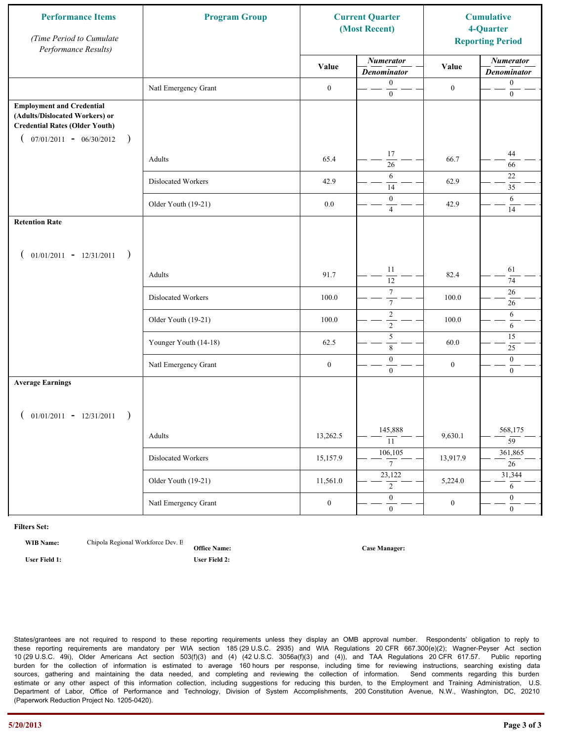| <b>Performance Items</b><br>(Time Period to Cumulate<br>Performance Results)                                                                              | <b>Program Group</b>  | <b>Current Quarter</b><br>(Most Recent) |                                        | <b>Cumulative</b><br>4-Quarter<br><b>Reporting Period</b> |                                        |
|-----------------------------------------------------------------------------------------------------------------------------------------------------------|-----------------------|-----------------------------------------|----------------------------------------|-----------------------------------------------------------|----------------------------------------|
|                                                                                                                                                           |                       | Value                                   | <b>Numerator</b><br><b>Denominator</b> | Value                                                     | <b>Numerator</b><br><b>Denominator</b> |
|                                                                                                                                                           | Natl Emergency Grant  | $\boldsymbol{0}$                        | $\mathbf{0}$<br>$\mathbf{0}$           | $\boldsymbol{0}$                                          | $\boldsymbol{0}$<br>$\boldsymbol{0}$   |
| <b>Employment and Credential</b><br>(Adults/Dislocated Workers) or<br><b>Credential Rates (Older Youth)</b><br>$07/01/2011 - 06/30/2012$<br>$\rightarrow$ |                       |                                         |                                        |                                                           |                                        |
|                                                                                                                                                           | Adults                | 65.4                                    | 17<br>26                               | 66.7                                                      | 44<br>66                               |
|                                                                                                                                                           | Dislocated Workers    | 42.9                                    | 6<br>14                                | 62.9                                                      | 22<br>35                               |
|                                                                                                                                                           | Older Youth (19-21)   | $0.0\,$                                 | $\mathbf{0}$<br>$\overline{4}$         | 42.9                                                      | 6<br>14                                |
| <b>Retention Rate</b>                                                                                                                                     |                       |                                         |                                        |                                                           |                                        |
| $01/01/2011 - 12/31/2011$<br>$\rightarrow$                                                                                                                |                       |                                         |                                        |                                                           |                                        |
|                                                                                                                                                           | Adults                | 91.7                                    | 11<br>12                               | 82.4                                                      | 61<br>74                               |
|                                                                                                                                                           | Dislocated Workers    | 100.0                                   | $\tau$<br>$\boldsymbol{7}$             | 100.0                                                     | 26<br>26                               |
|                                                                                                                                                           | Older Youth (19-21)   | 100.0                                   | $\sqrt{2}$<br>$\overline{2}$           | 100.0                                                     | 6<br>6                                 |
|                                                                                                                                                           | Younger Youth (14-18) | 62.5                                    | 5<br>8                                 | 60.0                                                      | 15<br>25                               |
|                                                                                                                                                           | Natl Emergency Grant  | $\boldsymbol{0}$                        | $\boldsymbol{0}$<br>$\overline{0}$     | $\boldsymbol{0}$                                          | $\mathbf{0}$<br>$\overline{0}$         |
| <b>Average Earnings</b>                                                                                                                                   |                       |                                         |                                        |                                                           |                                        |
| $01/01/2011 - 12/31/2011$<br>$\rightarrow$                                                                                                                |                       |                                         |                                        |                                                           |                                        |
|                                                                                                                                                           | Adults                | 13,262.5                                | 145,888<br>11                          | 9,630.1                                                   | 568,175<br>$\overline{59}$             |
|                                                                                                                                                           | Dislocated Workers    | 15,157.9                                | 106,105<br>$\overline{7}$              | 13,917.9                                                  | 361,865<br>26                          |
|                                                                                                                                                           | Older Youth (19-21)   | 11,561.0                                | 23,122<br>$\overline{2}$               | 5,224.0                                                   | 31,344<br>6                            |
|                                                                                                                                                           | Natl Emergency Grant  | $\boldsymbol{0}$                        | $\overline{0}$<br>$\mathbf{0}$         | $\boldsymbol{0}$                                          | $\overline{0}$<br>$\overline{0}$       |

**WIB Name:** Chipola Regional Workforce Dev. E

**Office Name: User Field 1: User Field 2:**

**Case Manager:**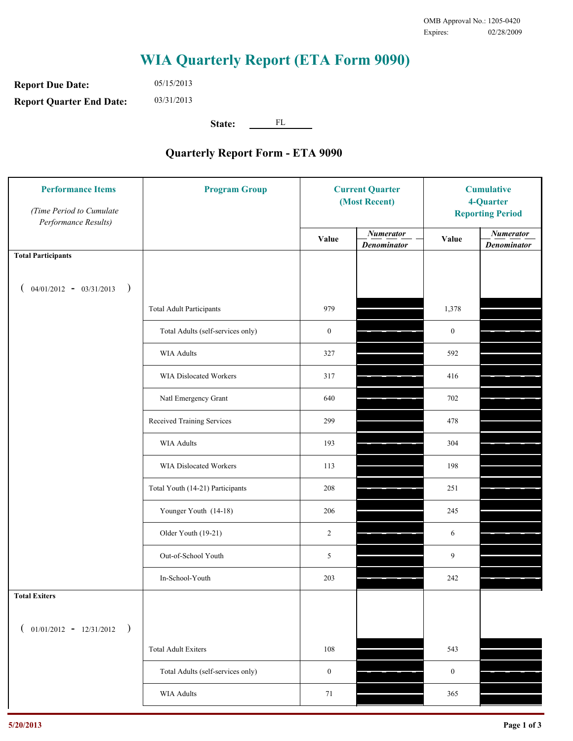**Report Due Date: Report Quarter End Date:** 05/15/2013 03/31/2013

**State:** FL

| <b>Performance Items</b><br>(Time Period to Cumulate<br>Performance Results) | <b>Program Group</b>              | <b>Current Quarter</b><br>(Most Recent) |                                        | <b>Cumulative</b><br>4-Quarter<br><b>Reporting Period</b> |                                        |
|------------------------------------------------------------------------------|-----------------------------------|-----------------------------------------|----------------------------------------|-----------------------------------------------------------|----------------------------------------|
|                                                                              |                                   | Value                                   | <b>Numerator</b><br><b>Denominator</b> | Value                                                     | <b>Numerator</b><br><b>Denominator</b> |
| <b>Total Participants</b>                                                    |                                   |                                         |                                        |                                                           |                                        |
| $04/01/2012 - 03/31/2013$ )                                                  |                                   |                                         |                                        |                                                           |                                        |
|                                                                              | <b>Total Adult Participants</b>   | 979                                     |                                        | 1,378                                                     |                                        |
|                                                                              | Total Adults (self-services only) | $\boldsymbol{0}$                        |                                        | $\boldsymbol{0}$                                          |                                        |
|                                                                              | <b>WIA Adults</b>                 | 327                                     |                                        | 592                                                       |                                        |
|                                                                              | <b>WIA Dislocated Workers</b>     | 317                                     |                                        | 416                                                       |                                        |
|                                                                              | Natl Emergency Grant              | 640                                     |                                        | 702                                                       |                                        |
|                                                                              | Received Training Services        | 299                                     |                                        | 478                                                       |                                        |
|                                                                              | <b>WIA Adults</b>                 | 193                                     |                                        | 304                                                       |                                        |
|                                                                              | WIA Dislocated Workers            | 113                                     |                                        | 198                                                       |                                        |
|                                                                              | Total Youth (14-21) Participants  | 208                                     |                                        | 251                                                       |                                        |
|                                                                              | Younger Youth (14-18)             | 206                                     |                                        | 245                                                       |                                        |
|                                                                              | Older Youth (19-21)               | $\overline{2}$                          |                                        | 6                                                         |                                        |
|                                                                              | Out-of-School Youth               | 5                                       |                                        | 9                                                         |                                        |
|                                                                              | In-School-Youth                   | 203                                     |                                        | $242\,$                                                   |                                        |
| <b>Total Exiters</b>                                                         |                                   |                                         |                                        |                                                           |                                        |
| $01/01/2012 - 12/31/2012$<br>$\rightarrow$                                   |                                   |                                         |                                        |                                                           |                                        |
|                                                                              | <b>Total Adult Exiters</b>        | 108                                     |                                        | 543                                                       |                                        |
|                                                                              | Total Adults (self-services only) | $\boldsymbol{0}$                        |                                        | $\boldsymbol{0}$                                          |                                        |
|                                                                              | WIA Adults                        | 71                                      |                                        | 365                                                       |                                        |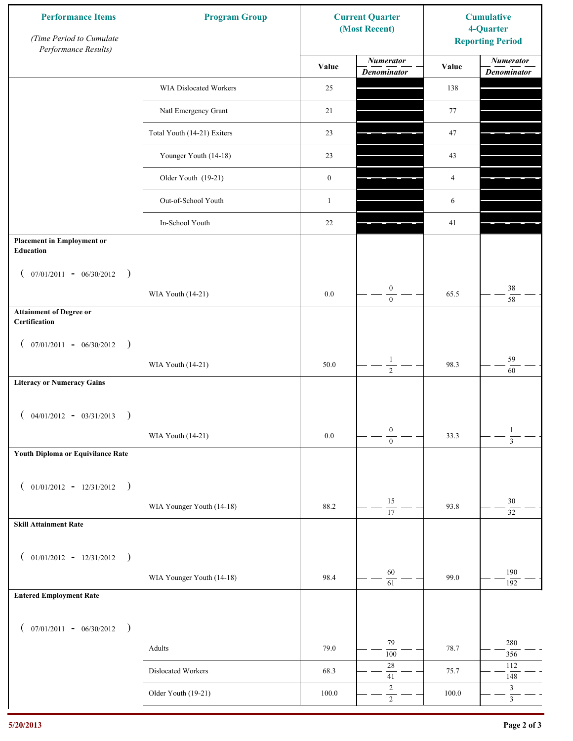| <b>Performance Items</b><br>(Time Period to Cumulate<br>Performance Results) | <b>Program Group</b>        |                  | <b>Current Quarter</b><br>(Most Recent) | <b>Cumulative</b><br>4-Quarter<br><b>Reporting Period</b> |                                        |
|------------------------------------------------------------------------------|-----------------------------|------------------|-----------------------------------------|-----------------------------------------------------------|----------------------------------------|
|                                                                              |                             | Value            | <b>Numerator</b><br><b>Denominator</b>  | Value                                                     | <b>Numerator</b><br><b>Denominator</b> |
|                                                                              | WIA Dislocated Workers      | 25               |                                         | 138                                                       |                                        |
|                                                                              | Natl Emergency Grant        | 21               |                                         | 77                                                        |                                        |
|                                                                              | Total Youth (14-21) Exiters | 23               |                                         | 47                                                        |                                        |
|                                                                              | Younger Youth (14-18)       | 23               |                                         | 43                                                        |                                        |
|                                                                              | Older Youth (19-21)         | $\boldsymbol{0}$ |                                         | 4                                                         |                                        |
|                                                                              | Out-of-School Youth         | $\mathbf{1}$     |                                         | 6                                                         |                                        |
|                                                                              | In-School Youth             | 22               |                                         | 41                                                        |                                        |
| <b>Placement in Employment or</b><br><b>Education</b>                        |                             |                  |                                         |                                                           |                                        |
| $07/01/2011 - 06/30/2012$<br>$\rightarrow$<br>$\mathcal{L}$                  |                             |                  |                                         |                                                           |                                        |
|                                                                              | WIA Youth (14-21)           | $0.0\,$          | $\boldsymbol{0}$<br>$\mathbf{0}$        | 65.5                                                      | 38<br>58                               |
| <b>Attainment of Degree or</b><br>Certification                              |                             |                  |                                         |                                                           |                                        |
| $($ 07/01/2011 - 06/30/2012<br>$\rightarrow$                                 |                             |                  |                                         |                                                           |                                        |
|                                                                              | WIA Youth (14-21)           | 50.0             | $\mathbf{1}$<br>$\overline{2}$          | 98.3                                                      | 59<br>60                               |
| <b>Literacy or Numeracy Gains</b>                                            |                             |                  |                                         |                                                           |                                        |
| $($ 04/01/2012 - 03/31/2013<br>$\rightarrow$                                 |                             |                  |                                         |                                                           |                                        |
|                                                                              | WIA Youth (14-21)           | $0.0\,$          | $\boldsymbol{0}$<br>$\overline{0}$      | 33.3                                                      | $\mathbf{1}$<br>$\overline{3}$         |
| Youth Diploma or Equivilance Rate                                            |                             |                  |                                         |                                                           |                                        |
| $01/01/2012 - 12/31/2012$ )<br>$\left($                                      |                             |                  |                                         |                                                           |                                        |
|                                                                              | WIA Younger Youth (14-18)   | 88.2             | 15                                      | 93.8                                                      | $30\,$                                 |
| <b>Skill Attainment Rate</b>                                                 |                             |                  | $\overline{17}$                         |                                                           | $\overline{32}$                        |
|                                                                              |                             |                  |                                         |                                                           |                                        |
| $01/01/2012 - 12/31/2012$ )<br>$\left($                                      | WIA Younger Youth (14-18)   | 98.4             | $60\,$                                  | 99.0                                                      | 190                                    |
| <b>Entered Employment Rate</b>                                               |                             |                  | 61                                      |                                                           | 192                                    |
|                                                                              |                             |                  |                                         |                                                           |                                        |
| $($ 07/01/2011 - 06/30/2012 )                                                |                             |                  | 79                                      |                                                           | 280                                    |
|                                                                              | Adults                      | 79.0             | 100<br>$28\,$                           | 78.7                                                      | 356<br>112                             |
|                                                                              | Dislocated Workers          | 68.3             | $41\,$                                  | 75.7                                                      | 148                                    |
|                                                                              | Older Youth (19-21)         | $100.0\,$        | $\sqrt{2}$<br>$\overline{2}$            | 100.0                                                     | $\mathfrak{Z}$<br>$\overline{3}$       |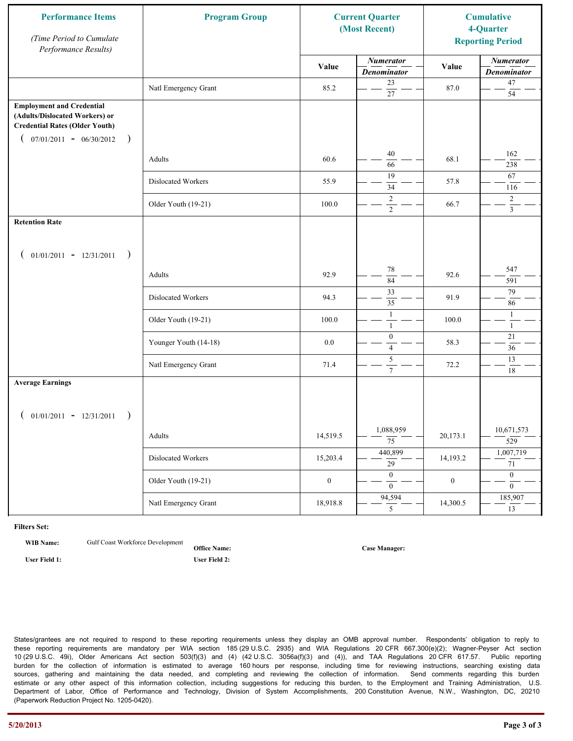| <b>Performance Items</b><br>(Time Period to Cumulate<br>Performance Results)                                                                              | <b>Program Group</b>  |                  | <b>Current Quarter</b><br>(Most Recent) |                  | <b>Cumulative</b><br>4-Quarter<br><b>Reporting Period</b> |
|-----------------------------------------------------------------------------------------------------------------------------------------------------------|-----------------------|------------------|-----------------------------------------|------------------|-----------------------------------------------------------|
|                                                                                                                                                           |                       | Value            | <b>Numerator</b><br><b>Denominator</b>  | Value            | <b>Numerator</b><br><b>Denominator</b>                    |
|                                                                                                                                                           | Natl Emergency Grant  | 85.2             | 23<br>$\overline{27}$                   | 87.0             | $47\,$<br>54                                              |
| <b>Employment and Credential</b><br>(Adults/Dislocated Workers) or<br><b>Credential Rates (Older Youth)</b><br>$07/01/2011 - 06/30/2012$<br>$\rightarrow$ |                       |                  |                                         |                  |                                                           |
|                                                                                                                                                           | Adults                | 60.6             | 40<br>66                                | 68.1             | 162<br>238                                                |
|                                                                                                                                                           | Dislocated Workers    | 55.9             | 19<br>34                                | 57.8             | 67<br>116                                                 |
|                                                                                                                                                           | Older Youth (19-21)   | 100.0            | $\overline{2}$<br>$\overline{2}$        | 66.7             | $\overline{2}$<br>$\overline{3}$                          |
| <b>Retention Rate</b>                                                                                                                                     |                       |                  |                                         |                  |                                                           |
| $01/01/2011 - 12/31/2011$<br>$\rightarrow$                                                                                                                |                       |                  |                                         |                  |                                                           |
|                                                                                                                                                           | Adults                | 92.9             | 78<br>84                                | 92.6             | 547<br>591                                                |
|                                                                                                                                                           | Dislocated Workers    | 94.3             | $\overline{33}$<br>$\overline{35}$      | 91.9             | 79<br>86                                                  |
|                                                                                                                                                           | Older Youth (19-21)   | 100.0            | $\mathbf{1}$<br>$\mathbf{1}$            | 100.0            | $\mathbf{1}$<br>$\mathbf{1}$                              |
|                                                                                                                                                           | Younger Youth (14-18) | 0.0              | $\boldsymbol{0}$<br>$\overline{4}$      | 58.3             | 21<br>36                                                  |
|                                                                                                                                                           | Natl Emergency Grant  | 71.4             | $\sqrt{5}$<br>$\overline{7}$            | 72.2             | 13<br>18                                                  |
| <b>Average Earnings</b>                                                                                                                                   |                       |                  |                                         |                  |                                                           |
| $01/01/2011 - 12/31/2011$<br>$\rightarrow$                                                                                                                |                       |                  |                                         |                  |                                                           |
|                                                                                                                                                           | Adults                | 14,519.5         | 1,088,959<br>$\overline{75}$            | 20,173.1         | 10,671,573<br>529                                         |
|                                                                                                                                                           | Dislocated Workers    | 15,203.4         | 440,899<br>$\overline{29}$              | 14,193.2         | 1,007,719<br>71                                           |
|                                                                                                                                                           | Older Youth (19-21)   | $\boldsymbol{0}$ | $\overline{0}$<br>$\mathbf{0}$          | $\boldsymbol{0}$ | $\overline{0}$<br>$\overline{0}$                          |
|                                                                                                                                                           | Natl Emergency Grant  | 18,918.8         | 94,594<br>5 <sup>5</sup>                | 14,300.5         | 185,907<br>$\overline{13}$                                |

**WIB Name:** Gulf Coast Workforce Development

**Office Name: User Field 1: User Field 2:**

**Case Manager:**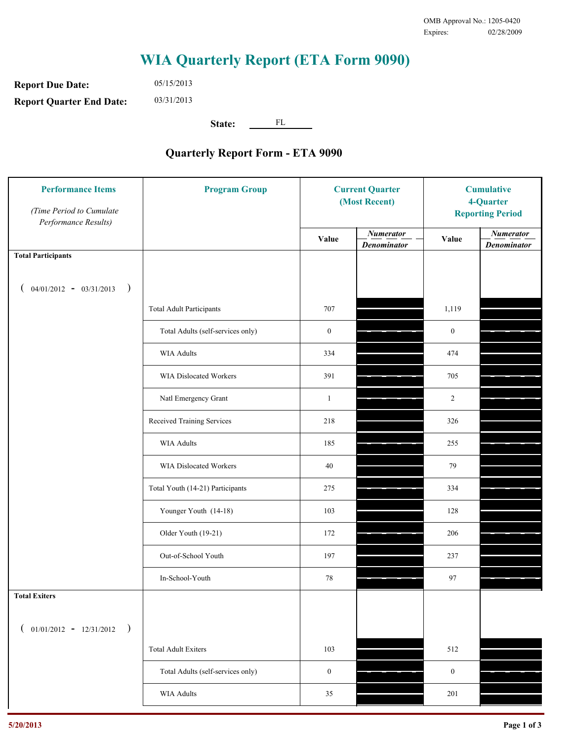**Report Due Date: Report Quarter End Date:** 05/15/2013 03/31/2013

**State:** FL

| <b>Performance Items</b><br>(Time Period to Cumulate<br>Performance Results) | <b>Program Group</b>              | <b>Current Quarter</b><br>(Most Recent) |                                        | <b>Cumulative</b><br>4-Quarter<br><b>Reporting Period</b> |                                        |
|------------------------------------------------------------------------------|-----------------------------------|-----------------------------------------|----------------------------------------|-----------------------------------------------------------|----------------------------------------|
|                                                                              |                                   | Value                                   | <b>Numerator</b><br><b>Denominator</b> | Value                                                     | <b>Numerator</b><br><b>Denominator</b> |
| <b>Total Participants</b>                                                    |                                   |                                         |                                        |                                                           |                                        |
| $04/01/2012 - 03/31/2013$ )                                                  |                                   |                                         |                                        |                                                           |                                        |
|                                                                              | <b>Total Adult Participants</b>   | 707                                     |                                        | 1,119                                                     |                                        |
|                                                                              | Total Adults (self-services only) | $\boldsymbol{0}$                        |                                        | $\boldsymbol{0}$                                          |                                        |
|                                                                              | <b>WIA Adults</b>                 | 334                                     |                                        | 474                                                       |                                        |
|                                                                              | WIA Dislocated Workers            | 391                                     |                                        | 705                                                       |                                        |
|                                                                              | Natl Emergency Grant              | $\mathbf{1}$                            |                                        | $\overline{c}$                                            |                                        |
|                                                                              | Received Training Services        | 218                                     |                                        | 326                                                       |                                        |
|                                                                              | <b>WIA Adults</b>                 | 185                                     |                                        | 255                                                       |                                        |
|                                                                              | WIA Dislocated Workers            | 40                                      |                                        | 79                                                        |                                        |
|                                                                              | Total Youth (14-21) Participants  | 275                                     |                                        | 334                                                       |                                        |
|                                                                              | Younger Youth (14-18)             | 103                                     |                                        | 128                                                       |                                        |
|                                                                              | Older Youth (19-21)               | 172                                     |                                        | 206                                                       |                                        |
|                                                                              | Out-of-School Youth               | 197                                     |                                        | 237                                                       |                                        |
|                                                                              | In-School-Youth                   | $78\,$                                  |                                        | 97                                                        |                                        |
| <b>Total Exiters</b>                                                         |                                   |                                         |                                        |                                                           |                                        |
| $01/01/2012 - 12/31/2012$<br>$\rightarrow$                                   |                                   |                                         |                                        |                                                           |                                        |
|                                                                              | <b>Total Adult Exiters</b>        | 103                                     |                                        | 512                                                       |                                        |
|                                                                              | Total Adults (self-services only) | $\boldsymbol{0}$                        |                                        | $\boldsymbol{0}$                                          |                                        |
|                                                                              | <b>WIA Adults</b>                 | 35                                      |                                        | 201                                                       |                                        |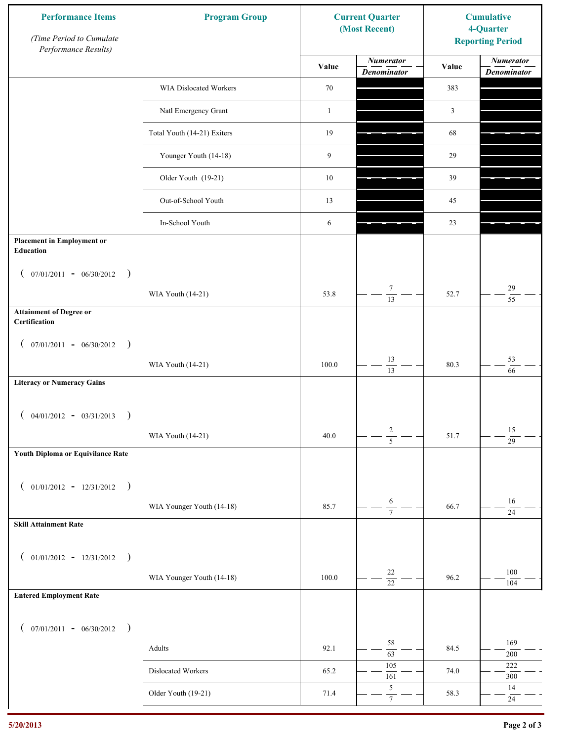| <b>Performance Items</b><br>(Time Period to Cumulate<br>Performance Results) | <b>Program Group</b>        |              | <b>Current Quarter</b><br>(Most Recent) | <b>Cumulative</b><br>4-Quarter<br><b>Reporting Period</b> |                                        |
|------------------------------------------------------------------------------|-----------------------------|--------------|-----------------------------------------|-----------------------------------------------------------|----------------------------------------|
|                                                                              |                             | Value        | <b>Numerator</b><br><b>Denominator</b>  | Value                                                     | <b>Numerator</b><br><b>Denominator</b> |
|                                                                              | WIA Dislocated Workers      | $70\,$       |                                         | 383                                                       |                                        |
|                                                                              | Natl Emergency Grant        | $\mathbf{1}$ |                                         | $\mathfrak{Z}$                                            |                                        |
|                                                                              | Total Youth (14-21) Exiters | 19           |                                         | 68                                                        |                                        |
|                                                                              | Younger Youth (14-18)       | 9            |                                         | 29                                                        |                                        |
|                                                                              | Older Youth (19-21)         | $10\,$       |                                         | 39                                                        |                                        |
|                                                                              | Out-of-School Youth         | 13           |                                         | 45                                                        |                                        |
|                                                                              | In-School Youth             | 6            |                                         | 23                                                        |                                        |
| <b>Placement in Employment or</b><br>Education                               |                             |              |                                         |                                                           |                                        |
| $07/01/2011 - 06/30/2012$<br>$\rightarrow$<br>$\mathcal{L}$                  |                             |              |                                         |                                                           |                                        |
|                                                                              | WIA Youth (14-21)           | 53.8         | $\overline{7}$<br>$\overline{13}$       | 52.7                                                      | 29<br>$\overline{55}$                  |
| <b>Attainment of Degree or</b><br>Certification                              |                             |              |                                         |                                                           |                                        |
| $($ 07/01/2011 - 06/30/2012<br>$\rightarrow$                                 |                             |              |                                         |                                                           |                                        |
|                                                                              | WIA Youth (14-21)           | 100.0        | 13<br>$\overline{13}$                   | 80.3                                                      | 53<br>66                               |
| <b>Literacy or Numeracy Gains</b>                                            |                             |              |                                         |                                                           |                                        |
| $04/01/2012 - 03/31/2013$<br>$\rightarrow$                                   |                             |              |                                         |                                                           |                                        |
|                                                                              | WIA Youth (14-21)           | 40.0         | $\overline{c}$<br>$\overline{5}$        | 51.7                                                      | 15<br>$\overline{29}$                  |
| Youth Diploma or Equivilance Rate                                            |                             |              |                                         |                                                           |                                        |
| $01/01/2012 - 12/31/2012$ )<br>$\left($                                      |                             |              |                                         |                                                           |                                        |
|                                                                              | WIA Younger Youth (14-18)   | 85.7         | 6<br>$\overline{7}$                     | 66.7                                                      | $16\,$<br>$24\,$                       |
| <b>Skill Attainment Rate</b>                                                 |                             |              |                                         |                                                           |                                        |
| $01/01/2012 - 12/31/2012$ )<br>$\left($                                      |                             |              |                                         |                                                           |                                        |
|                                                                              | WIA Younger Youth (14-18)   | 100.0        | $22\,$                                  | 96.2                                                      | 100                                    |
| <b>Entered Employment Rate</b>                                               |                             |              | $\overline{22}$                         |                                                           | 104                                    |
|                                                                              |                             |              |                                         |                                                           |                                        |
| $($ 07/01/2011 - 06/30/2012 )                                                |                             |              | 58                                      |                                                           | 169                                    |
|                                                                              | Adults                      | 92.1         | $\overline{63}$<br>105                  | 84.5                                                      | $200\,$<br>$222\,$                     |
|                                                                              | Dislocated Workers          | 65.2         | 161<br>$\sqrt{5}$                       | 74.0                                                      | $300\,$<br>14                          |
|                                                                              | Older Youth (19-21)         | 71.4         | $\tau$                                  | 58.3                                                      | $24\,$                                 |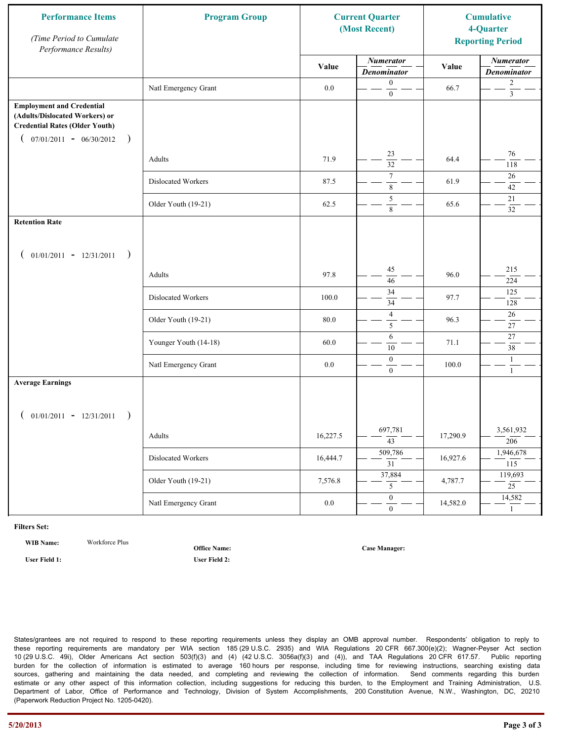| <b>Performance Items</b><br>(Time Period to Cumulate<br>Performance Results)                                                                              | <b>Program Group</b>  |          | <b>Current Quarter</b><br>(Most Recent) |          | <b>Cumulative</b><br>4-Quarter<br><b>Reporting Period</b> |
|-----------------------------------------------------------------------------------------------------------------------------------------------------------|-----------------------|----------|-----------------------------------------|----------|-----------------------------------------------------------|
|                                                                                                                                                           |                       | Value    | <b>Numerator</b><br><b>Denominator</b>  | Value    | <b>Numerator</b><br><b>Denominator</b>                    |
|                                                                                                                                                           | Natl Emergency Grant  | $0.0\,$  | $\mathbf{0}$<br>$\mathbf{0}$            | 66.7     | $\overline{c}$<br>$\overline{3}$                          |
| <b>Employment and Credential</b><br>(Adults/Dislocated Workers) or<br><b>Credential Rates (Older Youth)</b><br>$07/01/2011 - 06/30/2012$<br>$\rightarrow$ |                       |          |                                         |          |                                                           |
|                                                                                                                                                           | Adults                | 71.9     | 23<br>$\overline{32}$                   | 64.4     | 76<br>118                                                 |
|                                                                                                                                                           | Dislocated Workers    | 87.5     | $\overline{7}$<br>$\,$ 8 $\,$           | 61.9     | 26<br>42                                                  |
|                                                                                                                                                           | Older Youth (19-21)   | 62.5     | 5<br>8                                  | 65.6     | 21<br>32                                                  |
| <b>Retention Rate</b>                                                                                                                                     |                       |          |                                         |          |                                                           |
| $01/01/2011 - 12/31/2011$<br>$\rightarrow$                                                                                                                |                       |          |                                         |          |                                                           |
|                                                                                                                                                           | Adults                | 97.8     | 45<br>46                                | 96.0     | 215<br>224                                                |
|                                                                                                                                                           | Dislocated Workers    | 100.0    | $\overline{34}$<br>34                   | 97.7     | 125<br>128                                                |
|                                                                                                                                                           | Older Youth (19-21)   | 80.0     | $\overline{4}$<br>5                     | 96.3     | $26\,$<br>27                                              |
|                                                                                                                                                           | Younger Youth (14-18) | 60.0     | 6<br>10                                 | 71.1     | 27<br>38                                                  |
|                                                                                                                                                           | Natl Emergency Grant  | 0.0      | $\boldsymbol{0}$<br>$\mathbf{0}$        | 100.0    | $\mathbf{1}$<br>$\mathbf{1}$                              |
| <b>Average Earnings</b>                                                                                                                                   |                       |          |                                         |          |                                                           |
| $01/01/2011 - 12/31/2011$<br>$\rightarrow$                                                                                                                |                       |          |                                         |          |                                                           |
|                                                                                                                                                           | Adults                | 16,227.5 | 697,781<br>$\overline{43}$              | 17,290.9 | 3,561,932<br>206                                          |
|                                                                                                                                                           | Dislocated Workers    | 16,444.7 | 509,786<br>$\overline{31}$              | 16,927.6 | 1,946,678<br>115                                          |
|                                                                                                                                                           | Older Youth (19-21)   | 7,576.8  | 37,884<br>5                             | 4,787.7  | 119,693<br>$\overline{25}$                                |
|                                                                                                                                                           | Natl Emergency Grant  | $0.0\,$  | $\overline{0}$<br>$\mathbf{0}$          | 14,582.0 | 14,582<br>$\mathbf{1}$                                    |

**WIB Name:** Workforce Plus

**Office Name:**

**User Field 1: User Field 2:**

**Case Manager:**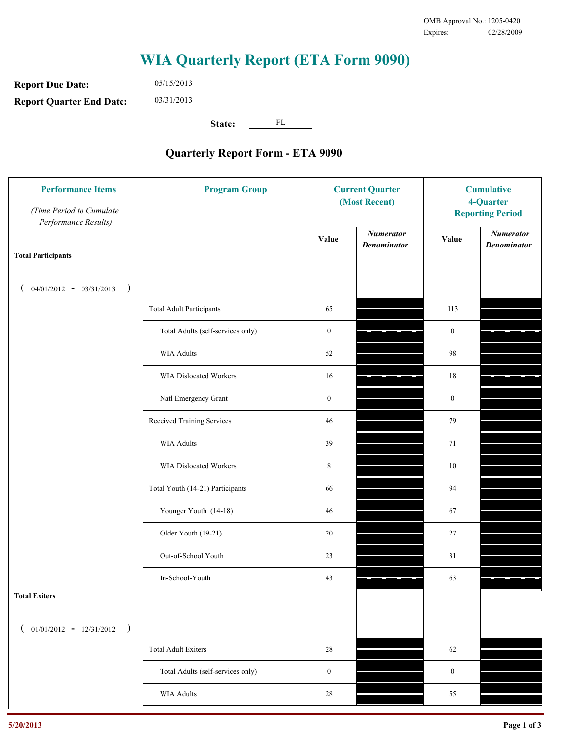**Report Due Date: Report Quarter End Date:** 05/15/2013 03/31/2013

**State:** FL

| <b>Performance Items</b><br>(Time Period to Cumulate<br>Performance Results) | <b>Program Group</b>              | <b>Current Quarter</b><br>(Most Recent) |                                        | <b>Cumulative</b><br>4-Quarter<br><b>Reporting Period</b> |                                        |
|------------------------------------------------------------------------------|-----------------------------------|-----------------------------------------|----------------------------------------|-----------------------------------------------------------|----------------------------------------|
|                                                                              |                                   | Value                                   | <b>Numerator</b><br><b>Denominator</b> | Value                                                     | <b>Numerator</b><br><b>Denominator</b> |
| <b>Total Participants</b>                                                    |                                   |                                         |                                        |                                                           |                                        |
| $04/01/2012 - 03/31/2013$ )                                                  |                                   |                                         |                                        |                                                           |                                        |
|                                                                              | <b>Total Adult Participants</b>   | 65                                      |                                        | 113                                                       |                                        |
|                                                                              | Total Adults (self-services only) | $\boldsymbol{0}$                        |                                        | $\mathbf{0}$                                              |                                        |
|                                                                              | <b>WIA Adults</b>                 | 52                                      |                                        | 98                                                        |                                        |
|                                                                              | <b>WIA Dislocated Workers</b>     | 16                                      |                                        | 18                                                        |                                        |
|                                                                              | Natl Emergency Grant              | $\boldsymbol{0}$                        |                                        | $\mathbf{0}$                                              |                                        |
|                                                                              | Received Training Services        | 46                                      |                                        | 79                                                        |                                        |
|                                                                              | <b>WIA Adults</b>                 | 39                                      |                                        | 71                                                        |                                        |
|                                                                              | WIA Dislocated Workers            | $\,8\,$                                 |                                        | 10                                                        |                                        |
|                                                                              | Total Youth (14-21) Participants  | 66                                      |                                        | 94                                                        |                                        |
|                                                                              | Younger Youth (14-18)             | 46                                      |                                        | 67                                                        |                                        |
|                                                                              | Older Youth (19-21)               | $20\,$                                  |                                        | $27\,$                                                    |                                        |
|                                                                              | Out-of-School Youth               | 23                                      |                                        | 31                                                        |                                        |
|                                                                              | In-School-Youth                   | 43                                      |                                        | 63                                                        |                                        |
| <b>Total Exiters</b>                                                         |                                   |                                         |                                        |                                                           |                                        |
| $01/01/2012 - 12/31/2012$ )                                                  |                                   |                                         |                                        |                                                           |                                        |
|                                                                              | <b>Total Adult Exiters</b>        | 28                                      |                                        | 62                                                        |                                        |
|                                                                              | Total Adults (self-services only) | $\boldsymbol{0}$                        |                                        | $\boldsymbol{0}$                                          |                                        |
|                                                                              | <b>WIA Adults</b>                 | 28                                      |                                        | 55                                                        |                                        |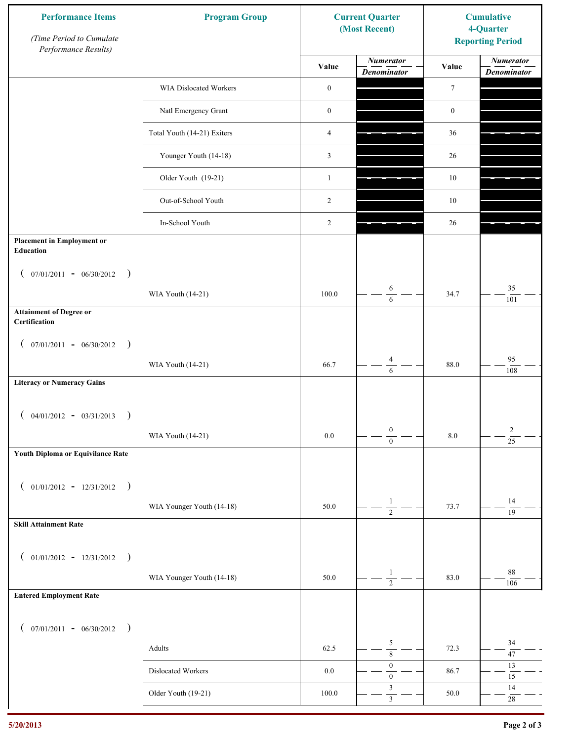| <b>Performance Items</b><br>(Time Period to Cumulate<br>Performance Results) | <b>Program Group</b>        |                  | <b>Current Quarter</b><br>(Most Recent) | <b>Cumulative</b><br>4-Quarter<br><b>Reporting Period</b> |                                        |
|------------------------------------------------------------------------------|-----------------------------|------------------|-----------------------------------------|-----------------------------------------------------------|----------------------------------------|
|                                                                              |                             | Value            | <b>Numerator</b><br><b>Denominator</b>  | Value                                                     | <b>Numerator</b><br><b>Denominator</b> |
|                                                                              | WIA Dislocated Workers      | $\boldsymbol{0}$ |                                         | $\tau$                                                    |                                        |
|                                                                              | Natl Emergency Grant        | $\boldsymbol{0}$ |                                         | $\boldsymbol{0}$                                          |                                        |
|                                                                              | Total Youth (14-21) Exiters | $\overline{4}$   |                                         | 36                                                        |                                        |
|                                                                              | Younger Youth (14-18)       | $\mathfrak{Z}$   |                                         | 26                                                        |                                        |
|                                                                              | Older Youth (19-21)         | $\mathbf{1}$     |                                         | $10\,$                                                    |                                        |
|                                                                              | Out-of-School Youth         | 2                |                                         | $10\,$                                                    |                                        |
|                                                                              | In-School Youth             | 2                |                                         | 26                                                        |                                        |
| <b>Placement in Employment or</b><br>Education                               |                             |                  |                                         |                                                           |                                        |
| $07/01/2011 - 06/30/2012$<br>$\rightarrow$<br>$\overline{ }$                 |                             |                  |                                         |                                                           |                                        |
|                                                                              | WIA Youth (14-21)           | 100.0            | 6<br>$\sqrt{6}$                         | 34.7                                                      | 35<br>101                              |
| <b>Attainment of Degree or</b><br>Certification                              |                             |                  |                                         |                                                           |                                        |
| $($ 07/01/2011 - 06/30/2012<br>$\rightarrow$                                 |                             |                  |                                         |                                                           |                                        |
|                                                                              | WIA Youth (14-21)           | 66.7             | $\overline{4}$<br>6                     | 88.0                                                      | 95<br>108                              |
| <b>Literacy or Numeracy Gains</b>                                            |                             |                  |                                         |                                                           |                                        |
| $04/01/2012 - 03/31/2013$<br>$\rightarrow$                                   |                             |                  |                                         |                                                           |                                        |
|                                                                              | WIA Youth (14-21)           | $0.0\,$          | $\boldsymbol{0}$<br>$\overline{0}$      | $8.0\,$                                                   | $\overline{c}$<br>$\overline{25}$      |
| Youth Diploma or Equivilance Rate                                            |                             |                  |                                         |                                                           |                                        |
| $01/01/2012 - 12/31/2012$ )<br>$\left($                                      |                             |                  |                                         |                                                           |                                        |
|                                                                              | WIA Younger Youth (14-18)   | 50.0             | $\mathbf{1}$                            | 73.7                                                      | 14                                     |
| <b>Skill Attainment Rate</b>                                                 |                             |                  | $\overline{2}$                          |                                                           | 19                                     |
|                                                                              |                             |                  |                                         |                                                           |                                        |
| $01/01/2012 - 12/31/2012$ )<br>$\left($                                      | WIA Younger Youth (14-18)   | 50.0             | $\mathbf{1}$                            | 83.0                                                      | 88                                     |
| <b>Entered Employment Rate</b>                                               |                             |                  | $\overline{2}$                          |                                                           | 106                                    |
|                                                                              |                             |                  |                                         |                                                           |                                        |
| $($ 07/01/2011 - 06/30/2012 )                                                |                             |                  | $\sqrt{5}$                              |                                                           | 34                                     |
|                                                                              | Adults                      | 62.5             | $\overline{8}$                          | 72.3                                                      | $47\,$                                 |
|                                                                              | Dislocated Workers          | $0.0\,$          | $\boldsymbol{0}$<br>$\boldsymbol{0}$    | 86.7                                                      | 13<br>$15\,$                           |
|                                                                              | Older Youth (19-21)         | $100.0\,$        | $\mathfrak z$<br>$\overline{3}$         | 50.0                                                      | 14<br>$28\,$                           |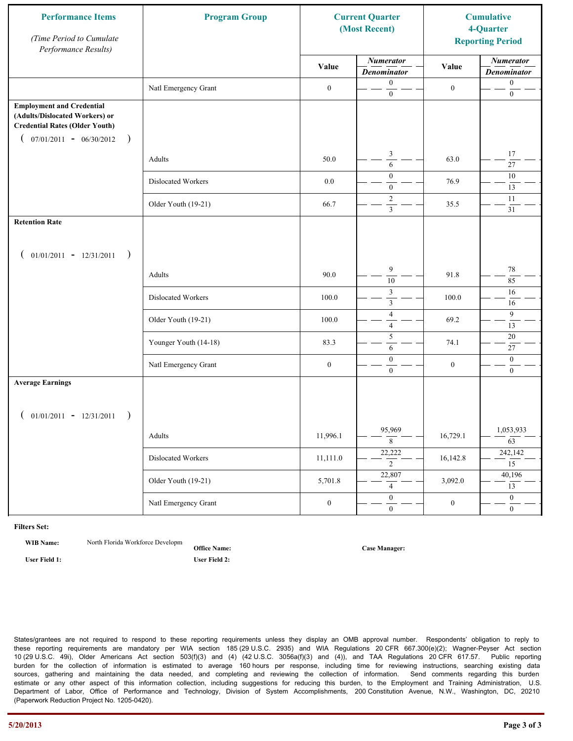| <b>Performance Items</b><br>(Time Period to Cumulate<br>Performance Results)                                                                                   | <b>Program Group</b>  | <b>Current Quarter</b><br>(Most Recent) |                                                    |                  |                                        | <b>Cumulative</b><br>4-Quarter<br><b>Reporting Period</b> |
|----------------------------------------------------------------------------------------------------------------------------------------------------------------|-----------------------|-----------------------------------------|----------------------------------------------------|------------------|----------------------------------------|-----------------------------------------------------------|
|                                                                                                                                                                |                       | Value                                   | <b>Numerator</b><br><b>Denominator</b>             | Value            | <b>Numerator</b><br><b>Denominator</b> |                                                           |
|                                                                                                                                                                | Natl Emergency Grant  | $\boldsymbol{0}$                        | $\mathbf{0}$<br>$\boldsymbol{0}$                   | $\boldsymbol{0}$ | $\boldsymbol{0}$<br>$\boldsymbol{0}$   |                                                           |
| <b>Employment and Credential</b><br>(Adults/Dislocated Workers) or<br><b>Credential Rates (Older Youth)</b><br>$07/01/2011 - 06/30/2012$<br>€<br>$\rightarrow$ |                       |                                         |                                                    |                  |                                        |                                                           |
|                                                                                                                                                                | Adults                | 50.0                                    | 3<br>6                                             | 63.0             | 17<br>$\overline{27}$                  |                                                           |
|                                                                                                                                                                | Dislocated Workers    | 0.0                                     | $\boldsymbol{0}$<br>$\mathbf{0}$                   | 76.9             | $10\,$<br>13                           |                                                           |
|                                                                                                                                                                | Older Youth (19-21)   | 66.7                                    | $\overline{2}$<br>$\overline{\mathbf{3}}$          | 35.5             | 11<br>31                               |                                                           |
| <b>Retention Rate</b>                                                                                                                                          |                       |                                         |                                                    |                  |                                        |                                                           |
| $01/01/2011 - 12/31/2011$<br>$\rightarrow$                                                                                                                     |                       |                                         |                                                    |                  |                                        |                                                           |
|                                                                                                                                                                | Adults                | 90.0                                    | $\overline{9}$<br>$\overline{10}$                  | 91.8             | 78<br>85                               |                                                           |
|                                                                                                                                                                | Dislocated Workers    | 100.0                                   | $\overline{\mathbf{3}}$<br>$\overline{\mathbf{3}}$ | 100.0            | 16<br>16                               |                                                           |
|                                                                                                                                                                | Older Youth (19-21)   | 100.0                                   | $\sqrt{4}$<br>$\overline{4}$                       | 69.2             | 9<br>13                                |                                                           |
|                                                                                                                                                                | Younger Youth (14-18) | 83.3                                    | $\sqrt{5}$<br>6                                    | 74.1             | $20\,$<br>27                           |                                                           |
|                                                                                                                                                                | Natl Emergency Grant  | $\boldsymbol{0}$                        | $\boldsymbol{0}$<br>$\overline{0}$                 | $\boldsymbol{0}$ | $\boldsymbol{0}$<br>$\mathbf{0}$       |                                                           |
| <b>Average Earnings</b>                                                                                                                                        |                       |                                         |                                                    |                  |                                        |                                                           |
| $01/01/2011 - 12/31/2011$<br>$\rightarrow$                                                                                                                     |                       |                                         |                                                    |                  |                                        |                                                           |
|                                                                                                                                                                | Adults                | 11,996.1                                | 95,969<br>8                                        | 16,729.1         | 1,053,933<br>$\overline{63}$           |                                                           |
|                                                                                                                                                                | Dislocated Workers    | 11,111.0                                | 22,222<br>$\overline{2}$                           | 16,142.8         | 242,142<br>15                          |                                                           |
|                                                                                                                                                                | Older Youth (19-21)   | 5,701.8                                 | 22,807<br>$\overline{4}$                           | 3,092.0          | 40,196<br>13                           |                                                           |
|                                                                                                                                                                | Natl Emergency Grant  | $\boldsymbol{0}$                        | $\overline{0}$<br>$\mathbf{0}$                     | $\boldsymbol{0}$ | $\overline{0}$<br>$\boldsymbol{0}$     |                                                           |

**WIB Name:** North Florida Workforce Developm

**Office Name: User Field 1: User Field 2:**

**Case Manager:**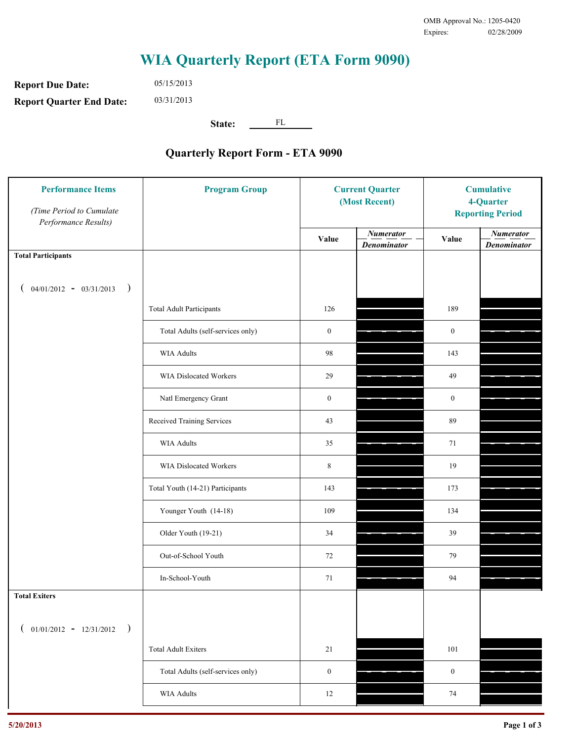**Report Due Date: Report Quarter End Date:** 05/15/2013 03/31/2013

**State:** FL

| <b>Performance Items</b><br>(Time Period to Cumulate<br>Performance Results) | <b>Program Group</b>              | <b>Current Quarter</b><br>(Most Recent) |                                        | <b>Cumulative</b><br>4-Quarter<br><b>Reporting Period</b> |                                        |
|------------------------------------------------------------------------------|-----------------------------------|-----------------------------------------|----------------------------------------|-----------------------------------------------------------|----------------------------------------|
|                                                                              |                                   | Value                                   | <b>Numerator</b><br><b>Denominator</b> | Value                                                     | <b>Numerator</b><br><b>Denominator</b> |
| <b>Total Participants</b>                                                    |                                   |                                         |                                        |                                                           |                                        |
| $04/01/2012 - 03/31/2013$ )                                                  |                                   |                                         |                                        |                                                           |                                        |
|                                                                              | <b>Total Adult Participants</b>   | 126                                     |                                        | 189                                                       |                                        |
|                                                                              | Total Adults (self-services only) | $\boldsymbol{0}$                        |                                        | $\boldsymbol{0}$                                          |                                        |
|                                                                              | <b>WIA Adults</b>                 | 98                                      |                                        | 143                                                       |                                        |
|                                                                              | WIA Dislocated Workers            | 29                                      |                                        | 49                                                        |                                        |
|                                                                              | Natl Emergency Grant              | $\boldsymbol{0}$                        |                                        | $\boldsymbol{0}$                                          |                                        |
|                                                                              | Received Training Services        | 43                                      |                                        | 89                                                        |                                        |
|                                                                              | <b>WIA Adults</b>                 | 35                                      |                                        | 71                                                        |                                        |
|                                                                              | WIA Dislocated Workers            | $\,8\,$                                 |                                        | 19                                                        |                                        |
|                                                                              | Total Youth (14-21) Participants  | 143                                     |                                        | 173                                                       |                                        |
|                                                                              | Younger Youth (14-18)             | 109                                     |                                        | 134                                                       |                                        |
|                                                                              | Older Youth (19-21)               | 34                                      |                                        | 39                                                        |                                        |
|                                                                              | Out-of-School Youth               | 72                                      |                                        | 79                                                        |                                        |
|                                                                              | In-School-Youth                   | 71                                      |                                        | 94                                                        |                                        |
| <b>Total Exiters</b>                                                         |                                   |                                         |                                        |                                                           |                                        |
| $01/01/2012 - 12/31/2012$<br>$\rightarrow$                                   |                                   |                                         |                                        |                                                           |                                        |
|                                                                              | <b>Total Adult Exiters</b>        | 21                                      |                                        | 101                                                       |                                        |
|                                                                              | Total Adults (self-services only) | $\boldsymbol{0}$                        |                                        | $\boldsymbol{0}$                                          |                                        |
|                                                                              | <b>WIA Adults</b>                 | $12 \,$                                 |                                        | $74\,$                                                    |                                        |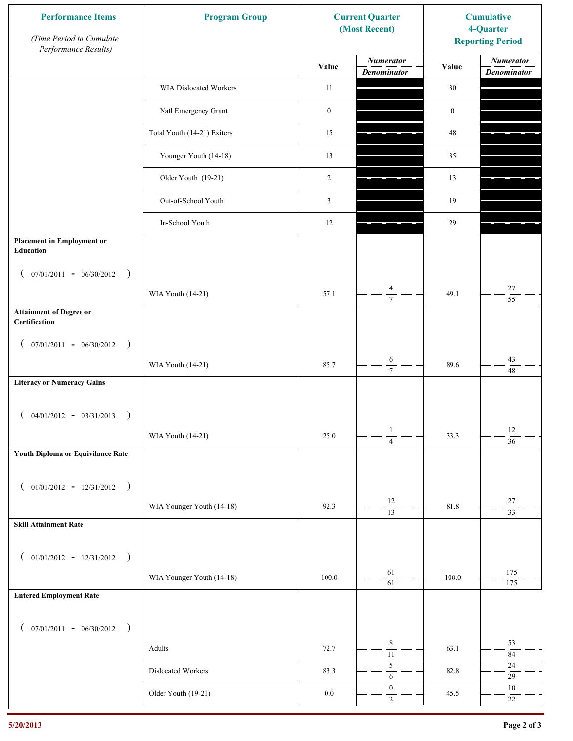| <b>Performance Items</b><br>(Time Period to Cumulate<br>Performance Results) | <b>Program Group</b>        |                  | <b>Current Quarter</b><br>(Most Recent) | <b>Cumulative</b><br>4-Quarter<br><b>Reporting Period</b> |                                        |
|------------------------------------------------------------------------------|-----------------------------|------------------|-----------------------------------------|-----------------------------------------------------------|----------------------------------------|
|                                                                              |                             | Value            | <b>Numerator</b><br><b>Denominator</b>  | Value                                                     | <b>Numerator</b><br><b>Denominator</b> |
|                                                                              | WIA Dislocated Workers      | 11               |                                         | 30                                                        |                                        |
|                                                                              | Natl Emergency Grant        | $\boldsymbol{0}$ |                                         | $\boldsymbol{0}$                                          |                                        |
|                                                                              | Total Youth (14-21) Exiters | 15               |                                         | $48\,$                                                    |                                        |
|                                                                              | Younger Youth (14-18)       | 13               |                                         | 35                                                        |                                        |
|                                                                              | Older Youth (19-21)         | 2                |                                         | 13                                                        |                                        |
|                                                                              | Out-of-School Youth         | 3                |                                         | 19                                                        |                                        |
|                                                                              | In-School Youth             | 12               |                                         | 29                                                        |                                        |
| <b>Placement in Employment or</b><br>Education                               |                             |                  |                                         |                                                           |                                        |
| $07/01/2011 - 06/30/2012$<br>$\rightarrow$<br>$\mathcal{L}$                  |                             |                  |                                         |                                                           |                                        |
|                                                                              | WIA Youth (14-21)           | 57.1             | $\overline{4}$<br>$\overline{7}$        | 49.1                                                      | $27\,$<br>$\overline{55}$              |
| <b>Attainment of Degree or</b><br>Certification                              |                             |                  |                                         |                                                           |                                        |
| $($ 07/01/2011 - 06/30/2012<br>$\rightarrow$                                 |                             |                  |                                         |                                                           |                                        |
|                                                                              | WIA Youth (14-21)           | 85.7             | $\sqrt{6}$<br>$\overline{7}$            | 89.6                                                      | 43<br>48                               |
| <b>Literacy or Numeracy Gains</b>                                            |                             |                  |                                         |                                                           |                                        |
| $($ 04/01/2012 - 03/31/2013<br>$\rightarrow$                                 |                             |                  |                                         |                                                           |                                        |
|                                                                              | WIA Youth (14-21)           | $25.0\,$         | $\mathbf{1}$<br>$\overline{4}$          | 33.3                                                      | $12\,$<br>$\overline{36}$              |
| Youth Diploma or Equivilance Rate                                            |                             |                  |                                         |                                                           |                                        |
| $01/01/2012 - 12/31/2012$ )<br>$\left($                                      |                             |                  |                                         |                                                           |                                        |
|                                                                              | WIA Younger Youth (14-18)   | 92.3             | $12\,$                                  | 81.8                                                      | $27\,$                                 |
| <b>Skill Attainment Rate</b>                                                 |                             |                  | $\overline{13}$                         |                                                           | $\overline{33}$                        |
|                                                                              |                             |                  |                                         |                                                           |                                        |
| $01/01/2012 - 12/31/2012$ )<br>$\left($                                      |                             |                  | 61                                      |                                                           | 175                                    |
|                                                                              | WIA Younger Youth (14-18)   | 100.0            | $\overline{61}$                         | 100.0                                                     | 175                                    |
| <b>Entered Employment Rate</b>                                               |                             |                  |                                         |                                                           |                                        |
| $($ 07/01/2011 - 06/30/2012 )                                                |                             |                  |                                         |                                                           |                                        |
|                                                                              | Adults                      | 72.7             | $\,$ 8 $\,$<br>$\overline{11}$          | 63.1                                                      | 53<br>$\bf 84$                         |
|                                                                              | Dislocated Workers          | 83.3             | $\sqrt{5}$<br>$\sqrt{6}$                | 82.8                                                      | $24\,$<br>$29\,$                       |
|                                                                              | Older Youth (19-21)         | $0.0\,$          | $\boldsymbol{0}$<br>$\overline{2}$      | 45.5                                                      | $10\,$<br>$22\,$                       |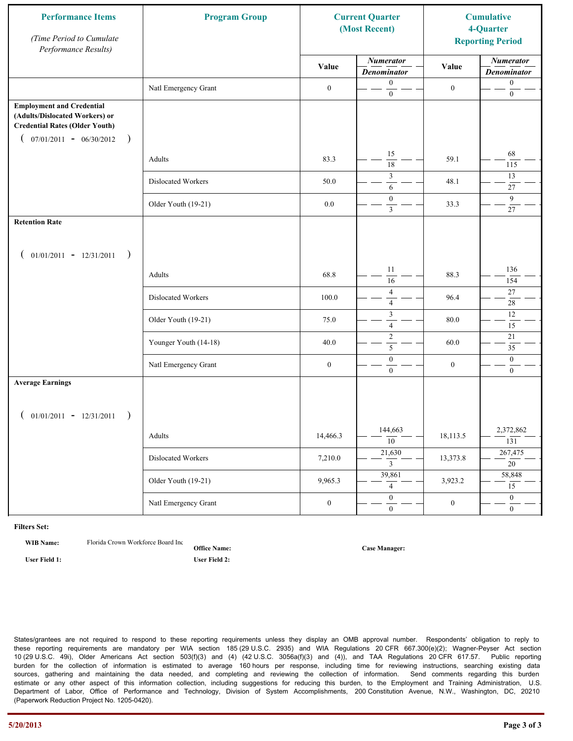| <b>Performance Items</b><br>(Time Period to Cumulate<br>Performance Results)                                                                              | <b>Program Group</b>  |                  | <b>Current Quarter</b><br>(Most Recent) |                  | <b>Cumulative</b><br>4-Quarter<br><b>Reporting Period</b> |
|-----------------------------------------------------------------------------------------------------------------------------------------------------------|-----------------------|------------------|-----------------------------------------|------------------|-----------------------------------------------------------|
|                                                                                                                                                           |                       | Value            | <b>Numerator</b><br><b>Denominator</b>  | Value            | <b>Numerator</b><br><b>Denominator</b>                    |
|                                                                                                                                                           | Natl Emergency Grant  | $\boldsymbol{0}$ | $\mathbf{0}$<br>$\boldsymbol{0}$        | $\boldsymbol{0}$ | $\boldsymbol{0}$<br>$\boldsymbol{0}$                      |
| <b>Employment and Credential</b><br>(Adults/Dislocated Workers) or<br><b>Credential Rates (Older Youth)</b><br>$07/01/2011 - 06/30/2012$<br>$\rightarrow$ |                       |                  |                                         |                  |                                                           |
|                                                                                                                                                           | Adults                | 83.3             | 15<br>$\overline{18}$                   | 59.1             | 68<br>115                                                 |
|                                                                                                                                                           | Dislocated Workers    | 50.0             | 3<br>6                                  | 48.1             | 13<br>$27\,$                                              |
|                                                                                                                                                           | Older Youth (19-21)   | $0.0\,$          | $\mathbf{0}$<br>$\mathfrak{Z}$          | 33.3             | 9<br>$27\,$                                               |
| <b>Retention Rate</b>                                                                                                                                     |                       |                  |                                         |                  |                                                           |
| $01/01/2011 - 12/31/2011$<br>$\rightarrow$                                                                                                                |                       |                  |                                         |                  |                                                           |
|                                                                                                                                                           | Adults                | 68.8             | 11<br>$\overline{16}$                   | 88.3             | 136<br>154                                                |
|                                                                                                                                                           | Dislocated Workers    | 100.0            | $\overline{4}$<br>$\overline{4}$        | 96.4             | 27<br>$\overline{28}$                                     |
|                                                                                                                                                           | Older Youth (19-21)   | 75.0             | $\mathfrak z$<br>$\overline{4}$         | 80.0             | $12\,$<br>$\overline{15}$                                 |
|                                                                                                                                                           | Younger Youth (14-18) | 40.0             | $\sqrt{2}$<br>5                         | 60.0             | 21<br>35                                                  |
|                                                                                                                                                           | Natl Emergency Grant  | $\boldsymbol{0}$ | $\boldsymbol{0}$<br>$\mathbf{0}$        | $\boldsymbol{0}$ | $\boldsymbol{0}$<br>$\overline{0}$                        |
| <b>Average Earnings</b>                                                                                                                                   |                       |                  |                                         |                  |                                                           |
| $01/01/2011 - 12/31/2011$<br>$\rightarrow$                                                                                                                |                       |                  |                                         |                  |                                                           |
|                                                                                                                                                           | Adults                | 14,466.3         | 144,663<br>$\overline{10}$              | 18,113.5         | 2,372,862<br>131                                          |
|                                                                                                                                                           | Dislocated Workers    | 7,210.0          | 21,630<br>$\mathbf{3}$                  | 13,373.8         | 267,475<br>$\overline{20}$                                |
|                                                                                                                                                           | Older Youth (19-21)   | 9,965.3          | 39,861<br>$\overline{4}$                | 3,923.2          | 58,848<br>15                                              |
|                                                                                                                                                           | Natl Emergency Grant  | $\boldsymbol{0}$ | $\overline{0}$<br>$\mathbf{0}$          | $\boldsymbol{0}$ | $\overline{0}$<br>$\overline{0}$                          |

**WIB Name:** Florida Crown Workforce Board Inc.

**Office Name: User Field 1: User Field 2:**

**Case Manager:**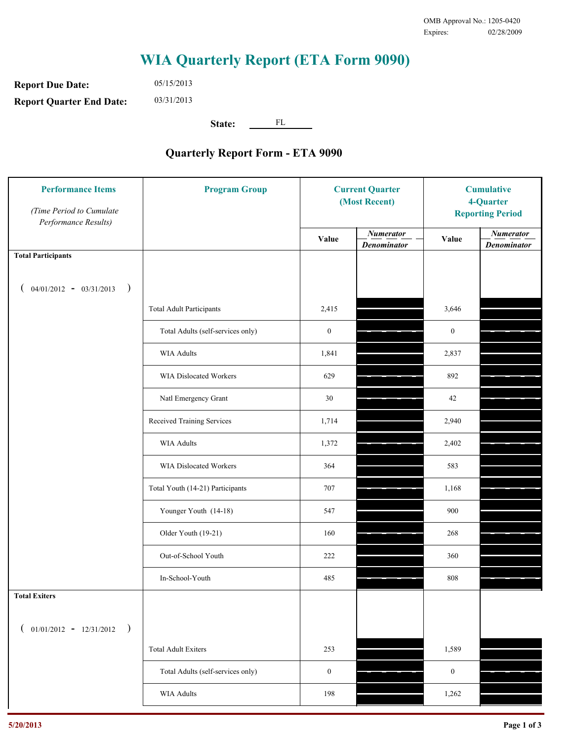**Report Due Date: Report Quarter End Date:** 05/15/2013 03/31/2013

**State:** FL

| <b>Performance Items</b><br>(Time Period to Cumulate<br>Performance Results) | <b>Program Group</b>              | <b>Current Quarter</b><br>(Most Recent) |                                        | <b>Cumulative</b><br>4-Quarter<br><b>Reporting Period</b> |                                        |
|------------------------------------------------------------------------------|-----------------------------------|-----------------------------------------|----------------------------------------|-----------------------------------------------------------|----------------------------------------|
|                                                                              |                                   | Value                                   | <b>Numerator</b><br><b>Denominator</b> | Value                                                     | <b>Numerator</b><br><b>Denominator</b> |
| <b>Total Participants</b>                                                    |                                   |                                         |                                        |                                                           |                                        |
| $04/01/2012 - 03/31/2013$ )                                                  |                                   |                                         |                                        |                                                           |                                        |
|                                                                              | <b>Total Adult Participants</b>   | 2,415                                   |                                        | 3,646                                                     |                                        |
|                                                                              | Total Adults (self-services only) | $\boldsymbol{0}$                        |                                        | $\boldsymbol{0}$                                          |                                        |
|                                                                              | <b>WIA Adults</b>                 | 1,841                                   |                                        | 2,837                                                     |                                        |
|                                                                              | <b>WIA Dislocated Workers</b>     | 629                                     |                                        | 892                                                       |                                        |
|                                                                              | Natl Emergency Grant              | 30                                      |                                        | 42                                                        |                                        |
|                                                                              | Received Training Services        | 1,714                                   |                                        | 2,940                                                     |                                        |
|                                                                              | <b>WIA Adults</b>                 | 1,372                                   |                                        | 2,402                                                     |                                        |
|                                                                              | WIA Dislocated Workers            | 364                                     |                                        | 583                                                       |                                        |
|                                                                              | Total Youth (14-21) Participants  | 707                                     |                                        | 1,168                                                     |                                        |
|                                                                              | Younger Youth (14-18)             | 547                                     |                                        | 900                                                       |                                        |
|                                                                              | Older Youth (19-21)               | 160                                     |                                        | 268                                                       |                                        |
|                                                                              | Out-of-School Youth               | 222                                     |                                        | 360                                                       |                                        |
|                                                                              | In-School-Youth                   | 485                                     |                                        | 808                                                       |                                        |
| <b>Total Exiters</b>                                                         |                                   |                                         |                                        |                                                           |                                        |
| $01/01/2012 - 12/31/2012$<br>$\rightarrow$                                   |                                   |                                         |                                        |                                                           |                                        |
|                                                                              | <b>Total Adult Exiters</b>        | 253                                     |                                        | 1,589                                                     |                                        |
|                                                                              | Total Adults (self-services only) | $\boldsymbol{0}$                        |                                        | $\boldsymbol{0}$                                          |                                        |
|                                                                              | WIA Adults                        | 198                                     |                                        | 1,262                                                     |                                        |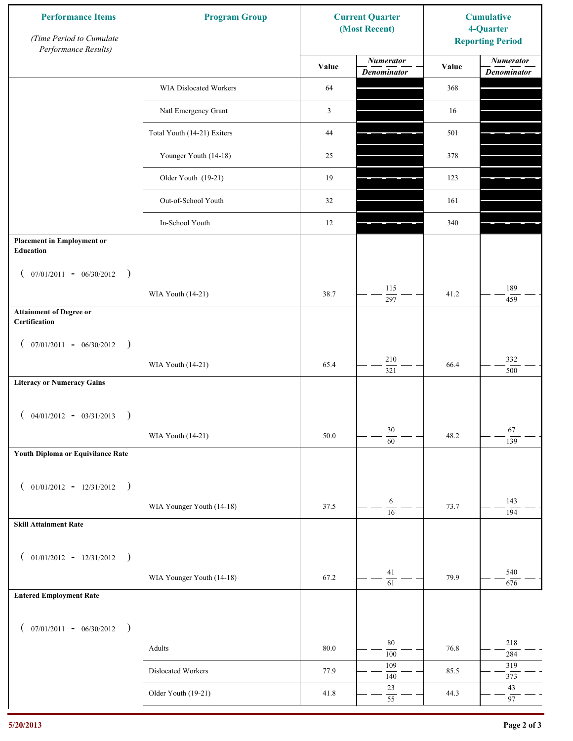| <b>Performance Items</b><br>(Time Period to Cumulate<br>Performance Results) | <b>Program Group</b>        |                | <b>Current Quarter</b><br>(Most Recent) | <b>Cumulative</b><br>4-Quarter<br><b>Reporting Period</b> |                                        |
|------------------------------------------------------------------------------|-----------------------------|----------------|-----------------------------------------|-----------------------------------------------------------|----------------------------------------|
|                                                                              |                             | Value          | <b>Numerator</b><br><b>Denominator</b>  | Value                                                     | <b>Numerator</b><br><b>Denominator</b> |
|                                                                              | WIA Dislocated Workers      | 64             |                                         | 368                                                       |                                        |
|                                                                              | Natl Emergency Grant        | $\mathfrak{Z}$ |                                         | 16                                                        |                                        |
|                                                                              | Total Youth (14-21) Exiters | 44             |                                         | 501                                                       |                                        |
|                                                                              | Younger Youth (14-18)       | 25             |                                         | 378                                                       |                                        |
|                                                                              | Older Youth (19-21)         | 19             |                                         | 123                                                       |                                        |
|                                                                              | Out-of-School Youth         | 32             |                                         | 161                                                       |                                        |
|                                                                              | In-School Youth             | 12             |                                         | 340                                                       |                                        |
| <b>Placement in Employment or</b><br>Education                               |                             |                |                                         |                                                           |                                        |
| $07/01/2011 - 06/30/2012$<br>$\rightarrow$<br>$\overline{ }$                 |                             |                |                                         |                                                           |                                        |
|                                                                              | WIA Youth (14-21)           | 38.7           | 115<br>297                              | 41.2                                                      | 189<br>459                             |
| <b>Attainment of Degree or</b><br>Certification                              |                             |                |                                         |                                                           |                                        |
| $($ 07/01/2011 - 06/30/2012<br>$\rightarrow$                                 |                             |                |                                         |                                                           |                                        |
|                                                                              | WIA Youth (14-21)           | 65.4           | $210\,$<br>$\overline{321}$             | 66.4                                                      | 332<br>500                             |
| <b>Literacy or Numeracy Gains</b>                                            |                             |                |                                         |                                                           |                                        |
| $($ 04/01/2012 - 03/31/2013<br>$\rightarrow$                                 |                             |                |                                         |                                                           |                                        |
|                                                                              | WIA Youth (14-21)           | 50.0           | $30\,$<br>$\overline{60}$               | 48.2                                                      | 67<br>139                              |
| Youth Diploma or Equivilance Rate                                            |                             |                |                                         |                                                           |                                        |
| $01/01/2012 - 12/31/2012$ )<br>$\left($                                      |                             |                |                                         |                                                           |                                        |
|                                                                              | WIA Younger Youth (14-18)   | 37.5           | 6                                       | 73.7                                                      | 143                                    |
| <b>Skill Attainment Rate</b>                                                 |                             |                | $\overline{16}$                         |                                                           | 194                                    |
|                                                                              |                             |                |                                         |                                                           |                                        |
| $01/01/2012 - 12/31/2012$ )<br>$\left($                                      | WIA Younger Youth (14-18)   | 67.2           | 41                                      | 79.9                                                      | 540                                    |
| <b>Entered Employment Rate</b>                                               |                             |                | $\overline{61}$                         |                                                           | 676                                    |
|                                                                              |                             |                |                                         |                                                           |                                        |
| $($ 07/01/2011 - 06/30/2012 )                                                |                             |                |                                         |                                                           |                                        |
|                                                                              | Adults                      | $80.0\,$       | 80<br>100                               | 76.8                                                      | 218<br>284                             |
|                                                                              | Dislocated Workers          | 77.9           | 109<br>140                              | 85.5                                                      | 319<br>373                             |
|                                                                              | Older Youth (19-21)         | 41.8           | $23\,$<br>$\overline{55}$               | 44.3                                                      | $43\,$<br>97                           |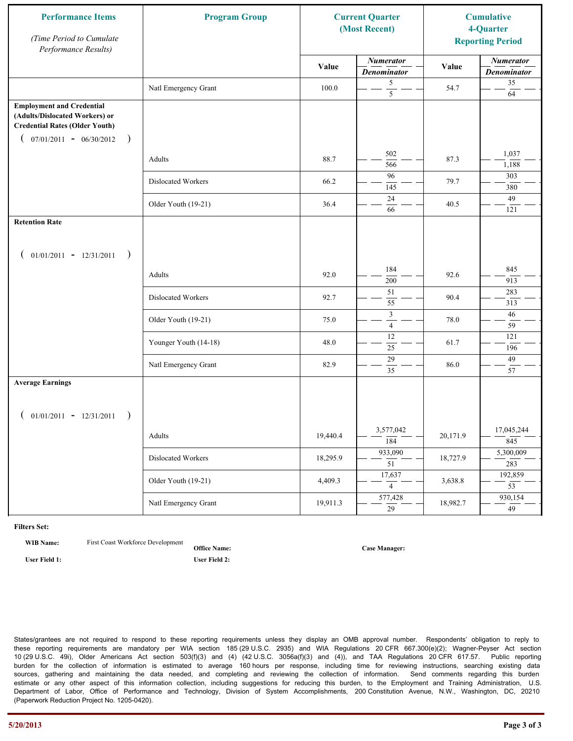| <b>Performance Items</b><br>(Time Period to Cumulate<br>Performance Results)                                                                              | <b>Program Group</b>  |          | <b>Current Quarter</b><br>(Most Recent) |          | <b>Cumulative</b><br>4-Quarter<br><b>Reporting Period</b> |
|-----------------------------------------------------------------------------------------------------------------------------------------------------------|-----------------------|----------|-----------------------------------------|----------|-----------------------------------------------------------|
|                                                                                                                                                           |                       | Value    | <b>Numerator</b><br><b>Denominator</b>  | Value    | <b>Numerator</b><br><b>Denominator</b>                    |
|                                                                                                                                                           | Natl Emergency Grant  | 100.0    | 5<br>$\overline{5}$                     | 54.7     | 35<br>64                                                  |
| <b>Employment and Credential</b><br>(Adults/Dislocated Workers) or<br><b>Credential Rates (Older Youth)</b><br>$07/01/2011 - 06/30/2012$<br>$\rightarrow$ |                       |          |                                         |          |                                                           |
|                                                                                                                                                           | Adults                | 88.7     | 502<br>566                              | 87.3     | 1,037<br>1,188                                            |
|                                                                                                                                                           | Dislocated Workers    | 66.2     | 96<br>145                               | 79.7     | 303<br>380                                                |
|                                                                                                                                                           | Older Youth (19-21)   | 36.4     | 24<br>66                                | 40.5     | 49<br>121                                                 |
| <b>Retention Rate</b>                                                                                                                                     |                       |          |                                         |          |                                                           |
| $01/01/2011 - 12/31/2011$<br>$\rightarrow$                                                                                                                |                       |          |                                         |          |                                                           |
|                                                                                                                                                           | Adults                | 92.0     | 184<br>200                              | 92.6     | 845<br>913                                                |
|                                                                                                                                                           | Dislocated Workers    | 92.7     | 51<br>55                                | 90.4     | 283<br>313                                                |
|                                                                                                                                                           | Older Youth (19-21)   | 75.0     | $\mathfrak z$<br>$\overline{4}$         | 78.0     | 46<br>59                                                  |
|                                                                                                                                                           | Younger Youth (14-18) | 48.0     | 12<br>25                                | 61.7     | 121<br>196                                                |
|                                                                                                                                                           | Natl Emergency Grant  | 82.9     | 29<br>$\overline{35}$                   | 86.0     | 49<br>57                                                  |
| <b>Average Earnings</b>                                                                                                                                   |                       |          |                                         |          |                                                           |
| $01/01/2011 - 12/31/2011$<br>$\rightarrow$                                                                                                                |                       |          |                                         |          |                                                           |
|                                                                                                                                                           | Adults                | 19,440.4 | 3,577,042<br>$\overline{184}$           | 20,171.9 | 17,045,244<br>845                                         |
|                                                                                                                                                           | Dislocated Workers    | 18,295.9 | 933,090<br>$\overline{51}$              | 18,727.9 | 5,300,009<br>283                                          |
|                                                                                                                                                           | Older Youth (19-21)   | 4,409.3  | 17,637<br>$\overline{4}$                | 3,638.8  | 192,859<br>$\overline{53}$                                |
|                                                                                                                                                           | Natl Emergency Grant  | 19,911.3 | 577,428<br>$\overline{29}$              | 18,982.7 | 930,154<br>$\overline{49}$                                |

**WIB Name:** First Coast Workforce Development

**Office Name:**

**User Field 1: User Field 2:**

**Case Manager:**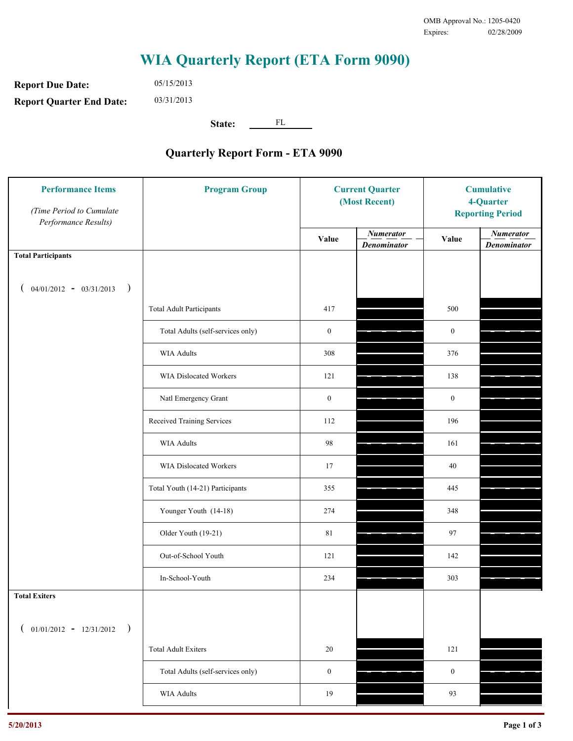**Report Due Date: Report Quarter End Date:** 05/15/2013 03/31/2013

**State:** FL

| <b>Performance Items</b><br>(Time Period to Cumulate<br>Performance Results) | <b>Program Group</b>              | <b>Current Quarter</b><br>(Most Recent) |                                        | <b>Cumulative</b><br>4-Quarter<br><b>Reporting Period</b> |                                        |
|------------------------------------------------------------------------------|-----------------------------------|-----------------------------------------|----------------------------------------|-----------------------------------------------------------|----------------------------------------|
|                                                                              |                                   | Value                                   | <b>Numerator</b><br><b>Denominator</b> | Value                                                     | <b>Numerator</b><br><b>Denominator</b> |
| <b>Total Participants</b>                                                    |                                   |                                         |                                        |                                                           |                                        |
| $04/01/2012 - 03/31/2013$ )                                                  |                                   |                                         |                                        |                                                           |                                        |
|                                                                              | <b>Total Adult Participants</b>   | 417                                     |                                        | 500                                                       |                                        |
|                                                                              | Total Adults (self-services only) | $\boldsymbol{0}$                        |                                        | $\mathbf{0}$                                              |                                        |
|                                                                              | WIA Adults                        | 308                                     |                                        | 376                                                       |                                        |
|                                                                              | WIA Dislocated Workers            | 121                                     |                                        | 138                                                       |                                        |
|                                                                              | Natl Emergency Grant              | $\boldsymbol{0}$                        |                                        | $\mathbf{0}$                                              |                                        |
|                                                                              | Received Training Services        | 112                                     |                                        | 196                                                       |                                        |
|                                                                              | <b>WIA Adults</b>                 | 98                                      |                                        | 161                                                       |                                        |
|                                                                              | WIA Dislocated Workers            | 17                                      |                                        | 40                                                        |                                        |
|                                                                              | Total Youth (14-21) Participants  | 355                                     |                                        | 445                                                       |                                        |
|                                                                              | Younger Youth (14-18)             | 274                                     |                                        | 348                                                       |                                        |
|                                                                              | Older Youth (19-21)               | 81                                      |                                        | 97                                                        |                                        |
|                                                                              | Out-of-School Youth               | 121                                     |                                        | 142                                                       |                                        |
|                                                                              | In-School-Youth                   | 234                                     |                                        | 303                                                       |                                        |
| <b>Total Exiters</b>                                                         |                                   |                                         |                                        |                                                           |                                        |
| $01/01/2012 - 12/31/2012$<br>$\rightarrow$                                   |                                   |                                         |                                        |                                                           |                                        |
|                                                                              | <b>Total Adult Exiters</b>        | 20                                      |                                        | 121                                                       |                                        |
|                                                                              | Total Adults (self-services only) | $\boldsymbol{0}$                        |                                        | $\boldsymbol{0}$                                          |                                        |
|                                                                              | <b>WIA Adults</b>                 | 19                                      |                                        | 93                                                        |                                        |
|                                                                              |                                   |                                         |                                        |                                                           |                                        |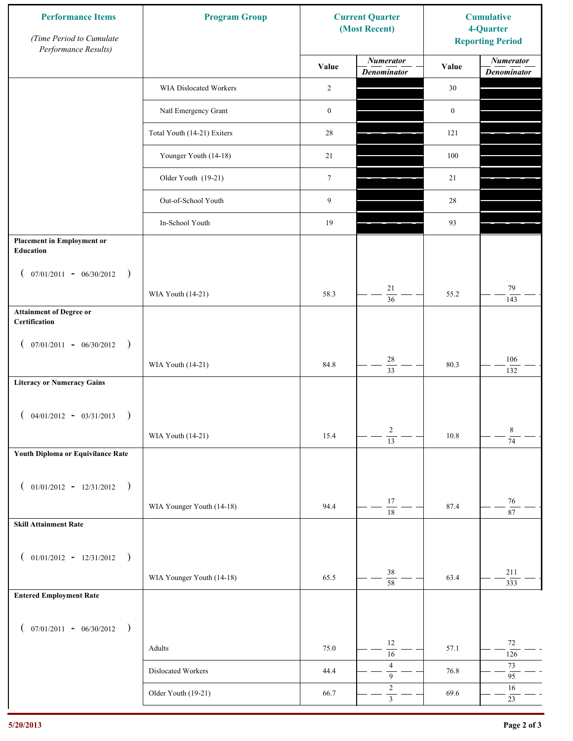| <b>Performance Items</b><br>(Time Period to Cumulate<br>Performance Results) | <b>Program Group</b><br><b>Current Quarter</b><br>(Most Recent) |                  |                                        |                  | <b>Cumulative</b><br>4-Quarter<br><b>Reporting Period</b> |
|------------------------------------------------------------------------------|-----------------------------------------------------------------|------------------|----------------------------------------|------------------|-----------------------------------------------------------|
|                                                                              |                                                                 | Value            | <b>Numerator</b><br><b>Denominator</b> | Value            | <b>Numerator</b><br><b>Denominator</b>                    |
|                                                                              | WIA Dislocated Workers                                          | 2                |                                        | 30               |                                                           |
|                                                                              | Natl Emergency Grant                                            | $\boldsymbol{0}$ |                                        | $\boldsymbol{0}$ |                                                           |
|                                                                              | Total Youth (14-21) Exiters                                     | 28               |                                        | 121              |                                                           |
|                                                                              | Younger Youth (14-18)                                           | 21               |                                        | 100              |                                                           |
|                                                                              | Older Youth (19-21)                                             | $\boldsymbol{7}$ |                                        | 21               |                                                           |
|                                                                              | Out-of-School Youth                                             | 9                |                                        | 28               |                                                           |
|                                                                              | In-School Youth                                                 | 19               |                                        | 93               |                                                           |
| <b>Placement in Employment or</b><br>Education                               |                                                                 |                  |                                        |                  |                                                           |
| $07/01/2011 - 06/30/2012$<br>$\rightarrow$<br>$\overline{ }$                 | WIA Youth (14-21)                                               | 58.3             | 21                                     | 55.2             | 79                                                        |
| <b>Attainment of Degree or</b><br>Certification                              |                                                                 |                  | $\overline{36}$                        |                  | 143                                                       |
| $($ 07/01/2011 - 06/30/2012<br>$\rightarrow$                                 |                                                                 |                  |                                        |                  |                                                           |
|                                                                              | WIA Youth (14-21)                                               | 84.8             | $28\,$<br>$\overline{33}$              | 80.3             | 106<br>132                                                |
| <b>Literacy or Numeracy Gains</b>                                            |                                                                 |                  |                                        |                  |                                                           |
| $($ 04/01/2012 - 03/31/2013<br>$\rightarrow$                                 |                                                                 |                  |                                        |                  |                                                           |
|                                                                              | WIA Youth (14-21)                                               | 15.4             | $\overline{c}$<br>$\overline{13}$      | 10.8             | 8<br>$\overline{74}$                                      |
| Youth Diploma or Equivilance Rate                                            |                                                                 |                  |                                        |                  |                                                           |
| $01/01/2012 - 12/31/2012$ )<br>$\left($                                      |                                                                 |                  |                                        |                  |                                                           |
|                                                                              | WIA Younger Youth (14-18)                                       | 94.4             | 17<br>$\overline{18}$                  | 87.4             | $76\,$<br>87                                              |
| <b>Skill Attainment Rate</b>                                                 |                                                                 |                  |                                        |                  |                                                           |
| $01/01/2012 - 12/31/2012$ )<br>$\left($                                      |                                                                 |                  |                                        |                  |                                                           |
|                                                                              | WIA Younger Youth (14-18)                                       | 65.5             | $38\,$<br>$\overline{58}$              | 63.4             | 211                                                       |
| <b>Entered Employment Rate</b>                                               |                                                                 |                  |                                        |                  | 333                                                       |
| $($ 07/01/2011 - 06/30/2012 )                                                |                                                                 |                  |                                        |                  |                                                           |
|                                                                              | Adults                                                          | 75.0             | 12<br>$\overline{16}$                  | 57.1             | $72\,$<br>126                                             |
|                                                                              | Dislocated Workers                                              | 44.4             | $\sqrt{4}$<br>$\boldsymbol{9}$         | 76.8             | $73\,$<br>95                                              |
|                                                                              | Older Youth (19-21)                                             | 66.7             | $\sqrt{2}$<br>$\overline{3}$           | 69.6             | 16<br>23                                                  |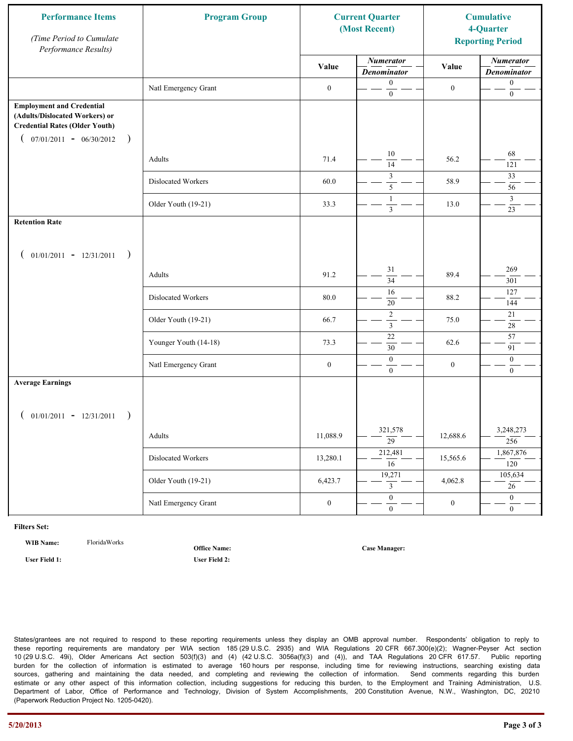| <b>Performance Items</b><br>(Time Period to Cumulate<br>Performance Results)                                                                              | <b>Program Group</b>  | <b>Current Quarter</b><br>(Most Recent) |                                        |                  |                                        | <b>Cumulative</b><br>4-Quarter<br><b>Reporting Period</b> |  |  |
|-----------------------------------------------------------------------------------------------------------------------------------------------------------|-----------------------|-----------------------------------------|----------------------------------------|------------------|----------------------------------------|-----------------------------------------------------------|--|--|
|                                                                                                                                                           |                       | Value                                   | <b>Numerator</b><br><b>Denominator</b> | Value            | <b>Numerator</b><br><b>Denominator</b> |                                                           |  |  |
|                                                                                                                                                           | Natl Emergency Grant  | $\boldsymbol{0}$                        | $\boldsymbol{0}$<br>$\mathbf{0}$       | $\boldsymbol{0}$ | $\boldsymbol{0}$<br>$\boldsymbol{0}$   |                                                           |  |  |
| <b>Employment and Credential</b><br>(Adults/Dislocated Workers) or<br><b>Credential Rates (Older Youth)</b><br>$07/01/2011 - 06/30/2012$<br>$\rightarrow$ |                       |                                         |                                        |                  |                                        |                                                           |  |  |
|                                                                                                                                                           | Adults                | 71.4                                    | $10\,$<br>14                           | 56.2             | 68<br>121                              |                                                           |  |  |
|                                                                                                                                                           | Dislocated Workers    | 60.0                                    | 3<br>5                                 | 58.9             | 33<br>56                               |                                                           |  |  |
|                                                                                                                                                           | Older Youth (19-21)   | 33.3                                    | 1<br>$\overline{\mathbf{3}}$           | 13.0             | $\mathfrak{Z}$<br>23                   |                                                           |  |  |
| <b>Retention Rate</b>                                                                                                                                     |                       |                                         |                                        |                  |                                        |                                                           |  |  |
| $01/01/2011 - 12/31/2011$<br>$\rightarrow$                                                                                                                |                       |                                         |                                        |                  |                                        |                                                           |  |  |
|                                                                                                                                                           | Adults                | 91.2                                    | 31<br>34                               | 89.4             | 269<br>301                             |                                                           |  |  |
|                                                                                                                                                           | Dislocated Workers    | 80.0                                    | 16<br>$20\,$                           | 88.2             | 127<br>144                             |                                                           |  |  |
|                                                                                                                                                           | Older Youth (19-21)   | 66.7                                    | $\sqrt{2}$<br>$\mathfrak{Z}$           | 75.0             | 21<br>$28\,$                           |                                                           |  |  |
|                                                                                                                                                           | Younger Youth (14-18) | 73.3                                    | $22\,$<br>30                           | 62.6             | 57<br>91                               |                                                           |  |  |
|                                                                                                                                                           | Natl Emergency Grant  | $\boldsymbol{0}$                        | $\boldsymbol{0}$<br>$\overline{0}$     | $\boldsymbol{0}$ | $\boldsymbol{0}$<br>$\mathbf{0}$       |                                                           |  |  |
| <b>Average Earnings</b>                                                                                                                                   |                       |                                         |                                        |                  |                                        |                                                           |  |  |
| $01/01/2011 - 12/31/2011$<br>$\rightarrow$                                                                                                                |                       |                                         |                                        |                  |                                        |                                                           |  |  |
|                                                                                                                                                           | Adults                | 11,088.9                                | 321,578<br>$\overline{29}$             | 12,688.6         | 3,248,273<br>256                       |                                                           |  |  |
|                                                                                                                                                           | Dislocated Workers    | 13,280.1                                | 212,481<br>$\overline{16}$             | 15,565.6         | 1,867,876<br>120                       |                                                           |  |  |
|                                                                                                                                                           | Older Youth (19-21)   | 6,423.7                                 | 19,271<br>3                            | 4,062.8          | 105,634<br>26                          |                                                           |  |  |
|                                                                                                                                                           | Natl Emergency Grant  | $\boldsymbol{0}$                        | $\overline{0}$<br>$\mathbf{0}$         | $\boldsymbol{0}$ | $\overline{0}$<br>$\overline{0}$       |                                                           |  |  |

**WIB Name:** FloridaWorks

**Office Name:**

**User Field 1: User Field 2:**

**Case Manager:**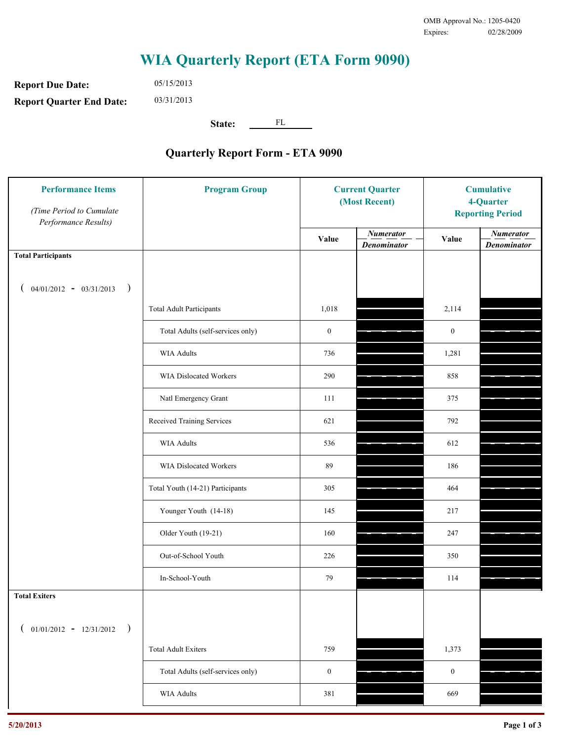**Report Due Date: Report Quarter End Date:** 05/15/2013 03/31/2013

**State:** FL

| <b>Performance Items</b><br>(Time Period to Cumulate<br>Performance Results) | <b>Program Group</b>              | <b>Current Quarter</b><br>(Most Recent) |                                        | <b>Cumulative</b><br>4-Quarter<br><b>Reporting Period</b> |                                        |
|------------------------------------------------------------------------------|-----------------------------------|-----------------------------------------|----------------------------------------|-----------------------------------------------------------|----------------------------------------|
|                                                                              |                                   | Value                                   | <b>Numerator</b><br><b>Denominator</b> | Value                                                     | <b>Numerator</b><br><b>Denominator</b> |
| <b>Total Participants</b>                                                    |                                   |                                         |                                        |                                                           |                                        |
| $04/01/2012 - 03/31/2013$ )                                                  |                                   |                                         |                                        |                                                           |                                        |
|                                                                              | <b>Total Adult Participants</b>   | 1,018                                   |                                        | 2,114                                                     |                                        |
|                                                                              | Total Adults (self-services only) | $\boldsymbol{0}$                        |                                        | $\boldsymbol{0}$                                          |                                        |
|                                                                              | <b>WIA Adults</b>                 | 736                                     |                                        | 1,281                                                     |                                        |
|                                                                              | WIA Dislocated Workers            | 290                                     |                                        | 858                                                       |                                        |
|                                                                              | Natl Emergency Grant              | 111                                     |                                        | 375                                                       |                                        |
|                                                                              | Received Training Services        | 621                                     |                                        | 792                                                       |                                        |
|                                                                              | <b>WIA Adults</b>                 | 536                                     |                                        | 612                                                       |                                        |
|                                                                              | WIA Dislocated Workers            | 89                                      |                                        | 186                                                       |                                        |
|                                                                              | Total Youth (14-21) Participants  | 305                                     |                                        | 464                                                       |                                        |
|                                                                              | Younger Youth (14-18)             | 145                                     |                                        | 217                                                       |                                        |
|                                                                              | Older Youth (19-21)               | 160                                     |                                        | 247                                                       |                                        |
|                                                                              | Out-of-School Youth               | 226                                     |                                        | 350                                                       |                                        |
|                                                                              | In-School-Youth                   | 79                                      |                                        | 114                                                       |                                        |
| <b>Total Exiters</b>                                                         |                                   |                                         |                                        |                                                           |                                        |
| $01/01/2012 - 12/31/2012$<br>$\rightarrow$                                   |                                   |                                         |                                        |                                                           |                                        |
|                                                                              | <b>Total Adult Exiters</b>        | 759                                     |                                        | 1,373                                                     |                                        |
|                                                                              | Total Adults (self-services only) | $\boldsymbol{0}$                        |                                        | $\boldsymbol{0}$                                          |                                        |
|                                                                              | <b>WIA Adults</b>                 | 381                                     |                                        | 669                                                       |                                        |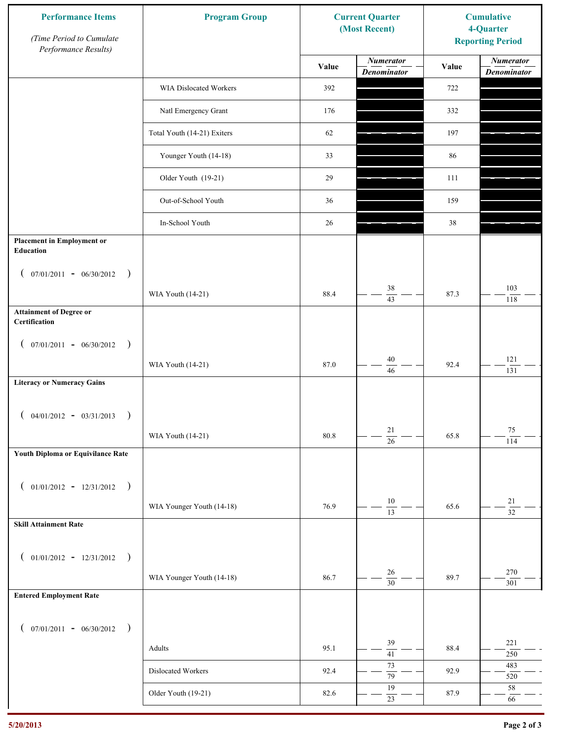| Performance Results)<br><b>Numerator</b><br>Value<br>Value<br><b>Denominator</b><br>WIA Dislocated Workers<br>392<br>722<br>Natl Emergency Grant<br>176<br>332<br>Total Youth (14-21) Exiters<br>62<br>197 | <b>Numerator</b><br><b>Denominator</b> |
|------------------------------------------------------------------------------------------------------------------------------------------------------------------------------------------------------------|----------------------------------------|
|                                                                                                                                                                                                            |                                        |
|                                                                                                                                                                                                            |                                        |
|                                                                                                                                                                                                            |                                        |
|                                                                                                                                                                                                            |                                        |
| Younger Youth (14-18)<br>33<br>86                                                                                                                                                                          |                                        |
| Older Youth (19-21)<br>29<br>111                                                                                                                                                                           |                                        |
| Out-of-School Youth<br>36<br>159                                                                                                                                                                           |                                        |
| In-School Youth<br>26<br>38                                                                                                                                                                                |                                        |
| <b>Placement in Employment or</b><br>Education                                                                                                                                                             |                                        |
| $07/01/2011 - 06/30/2012$<br>$\rightarrow$<br>$\mathcal{L}$                                                                                                                                                |                                        |
| $38\,$<br>88.4<br>87.3<br>WIA Youth (14-21)<br>$\overline{43}$                                                                                                                                             | 103<br>118                             |
| <b>Attainment of Degree or</b><br>Certification                                                                                                                                                            |                                        |
| $($ 07/01/2011 - 06/30/2012<br>$\rightarrow$                                                                                                                                                               |                                        |
| $40\,$<br>87.0<br>92.4<br>WIA Youth (14-21)<br>46                                                                                                                                                          | 121<br>131                             |
| <b>Literacy or Numeracy Gains</b>                                                                                                                                                                          |                                        |
| $04/01/2012 - 03/31/2013$<br>$\rightarrow$                                                                                                                                                                 |                                        |
| 21<br>WIA Youth (14-21)<br>80.8<br>65.8<br>$\overline{26}$                                                                                                                                                 | 75<br>114                              |
| Youth Diploma or Equivilance Rate                                                                                                                                                                          |                                        |
| $01/01/2012 - 12/31/2012$ )<br>$\left($                                                                                                                                                                    |                                        |
| $10\,$<br>WIA Younger Youth (14-18)<br>76.9<br>65.6                                                                                                                                                        | 21                                     |
| $\overline{13}$<br><b>Skill Attainment Rate</b>                                                                                                                                                            | $\overline{32}$                        |
|                                                                                                                                                                                                            |                                        |
| $01/01/2012 - 12/31/2012$ )<br>$\left($<br>26                                                                                                                                                              | 270                                    |
| WIA Younger Youth (14-18)<br>86.7<br>89.7<br>$\overline{30}$<br><b>Entered Employment Rate</b>                                                                                                             | 301                                    |
|                                                                                                                                                                                                            |                                        |
| $($ 07/01/2011 - 06/30/2012 )                                                                                                                                                                              |                                        |
| 39<br>95.1<br>88.4<br>Adults<br>$\overline{41}$                                                                                                                                                            | 221<br>$250\,$                         |
| 73<br>Dislocated Workers<br>92.4<br>92.9<br>$\overline{79}$                                                                                                                                                | 483<br>520                             |
| 19<br>Older Youth (19-21)<br>82.6<br>87.9<br>$23\,$                                                                                                                                                        | $58\,$<br>66                           |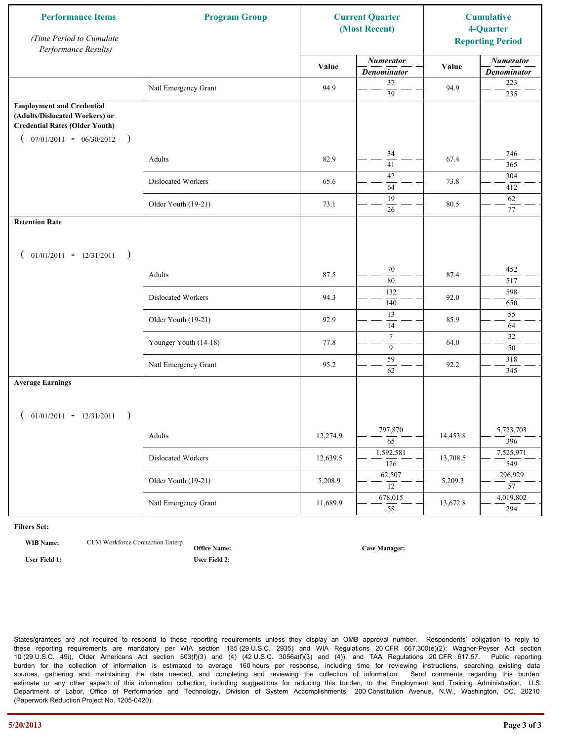| <b>Performance Items</b><br>(Time Period to Cumulate<br>Performance Results)                                                                              | <b>Program Group</b><br><b>Current Quarter</b><br>(Most Recent) |          |                                        |          |                                        |  | <b>Cumulative</b><br>4-Quarter<br><b>Reporting Period</b> |
|-----------------------------------------------------------------------------------------------------------------------------------------------------------|-----------------------------------------------------------------|----------|----------------------------------------|----------|----------------------------------------|--|-----------------------------------------------------------|
|                                                                                                                                                           |                                                                 | Value    | <b>Numerator</b><br><b>Denominator</b> | Value    | <b>Numerator</b><br><b>Denominator</b> |  |                                                           |
|                                                                                                                                                           | Natl Emergency Grant                                            | 94.9     | 37<br>$\overline{39}$                  | 94.9     | 223<br>235                             |  |                                                           |
| <b>Employment and Credential</b><br>(Adults/Dislocated Workers) or<br><b>Credential Rates (Older Youth)</b><br>$07/01/2011 - 06/30/2012$<br>$\rightarrow$ |                                                                 |          |                                        |          |                                        |  |                                                           |
|                                                                                                                                                           | Adults                                                          | 82.9     | 34<br>$\overline{41}$                  | 67.4     | 246<br>365                             |  |                                                           |
|                                                                                                                                                           | Dislocated Workers                                              | 65.6     | 42<br>64                               | 73.8     | 304<br>412                             |  |                                                           |
|                                                                                                                                                           | Older Youth (19-21)                                             | 73.1     | 19<br>26                               | 80.5     | 62<br>77                               |  |                                                           |
| <b>Retention Rate</b>                                                                                                                                     |                                                                 |          |                                        |          |                                        |  |                                                           |
| $01/01/2011 - 12/31/2011$<br>$\rightarrow$                                                                                                                |                                                                 |          |                                        |          |                                        |  |                                                           |
|                                                                                                                                                           | Adults                                                          | 87.5     | 70<br>80                               | 87.4     | 452<br>517                             |  |                                                           |
|                                                                                                                                                           | Dislocated Workers                                              | 94.3     | 132<br>140                             | 92.0     | 598<br>650                             |  |                                                           |
|                                                                                                                                                           | Older Youth (19-21)                                             | 92.9     | 13<br>14                               | 85.9     | 55<br>64                               |  |                                                           |
|                                                                                                                                                           | Younger Youth (14-18)                                           | 77.8     | $\tau$<br>9                            | 64.0     | 32<br>50                               |  |                                                           |
|                                                                                                                                                           | Natl Emergency Grant                                            | 95.2     | 59<br>62                               | 92.2     | 318<br>345                             |  |                                                           |
| <b>Average Earnings</b>                                                                                                                                   |                                                                 |          |                                        |          |                                        |  |                                                           |
| $01/01/2011 - 12/31/2011$<br>$\rightarrow$                                                                                                                | Adults                                                          | 12,274.9 | 797,870<br>$\overline{65}$             | 14,453.8 | 5,723,703<br>396                       |  |                                                           |
|                                                                                                                                                           | Dislocated Workers                                              | 12,639.5 | 1,592,581<br>$\overline{126}$          | 13,708.5 | 7,525,971<br>549                       |  |                                                           |
|                                                                                                                                                           | Older Youth (19-21)                                             | 5,208.9  | 62,507<br>12                           | 5,209.3  | 296,929<br>$\overline{57}$             |  |                                                           |
|                                                                                                                                                           | Natl Emergency Grant                                            | 11,689.9 | 678,015<br>$\overline{58}$             | 13,672.8 | 4,019,802<br>294                       |  |                                                           |

**WIB Name:** CLM Workforce Connection Enterp

**Office Name: User Field 1: User Field 2:**

**Case Manager:**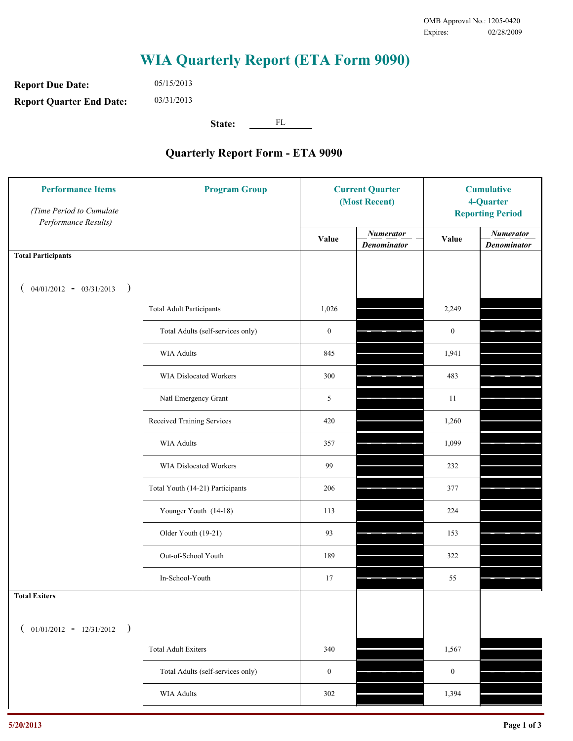**Report Due Date: Report Quarter End Date:** 05/15/2013 03/31/2013

**State:** FL

| <b>Performance Items</b><br>(Time Period to Cumulate<br>Performance Results) | <b>Program Group</b>              | <b>Current Quarter</b><br>(Most Recent) |                                        | <b>Cumulative</b><br>4-Quarter<br><b>Reporting Period</b> |                                        |
|------------------------------------------------------------------------------|-----------------------------------|-----------------------------------------|----------------------------------------|-----------------------------------------------------------|----------------------------------------|
|                                                                              |                                   | Value                                   | <b>Numerator</b><br><b>Denominator</b> | Value                                                     | <b>Numerator</b><br><b>Denominator</b> |
| <b>Total Participants</b>                                                    |                                   |                                         |                                        |                                                           |                                        |
| $04/01/2012 - 03/31/2013$ )                                                  |                                   |                                         |                                        |                                                           |                                        |
|                                                                              | <b>Total Adult Participants</b>   | 1,026                                   |                                        | 2,249                                                     |                                        |
|                                                                              | Total Adults (self-services only) | $\boldsymbol{0}$                        |                                        | $\boldsymbol{0}$                                          |                                        |
|                                                                              | WIA Adults                        | 845                                     |                                        | 1,941                                                     |                                        |
|                                                                              | WIA Dislocated Workers            | 300                                     |                                        | 483                                                       |                                        |
|                                                                              | Natl Emergency Grant              | 5                                       |                                        | 11                                                        |                                        |
|                                                                              | Received Training Services        | 420                                     |                                        | 1,260                                                     |                                        |
|                                                                              | <b>WIA Adults</b>                 | 357                                     |                                        | 1,099                                                     |                                        |
|                                                                              | WIA Dislocated Workers            | 99                                      |                                        | 232                                                       |                                        |
|                                                                              | Total Youth (14-21) Participants  | 206                                     |                                        | 377                                                       |                                        |
|                                                                              | Younger Youth (14-18)             | 113                                     |                                        | 224                                                       |                                        |
|                                                                              | Older Youth (19-21)               | 93                                      |                                        | 153                                                       |                                        |
|                                                                              | Out-of-School Youth               | 189                                     |                                        | 322                                                       |                                        |
|                                                                              | In-School-Youth                   | 17                                      |                                        | 55                                                        |                                        |
| <b>Total Exiters</b>                                                         |                                   |                                         |                                        |                                                           |                                        |
| $01/01/2012 - 12/31/2012$<br>$\rightarrow$                                   |                                   |                                         |                                        |                                                           |                                        |
|                                                                              | <b>Total Adult Exiters</b>        | 340                                     |                                        | 1,567                                                     |                                        |
|                                                                              | Total Adults (self-services only) | $\boldsymbol{0}$                        |                                        | $\boldsymbol{0}$                                          |                                        |
|                                                                              | <b>WIA Adults</b>                 | 302                                     |                                        | 1,394                                                     |                                        |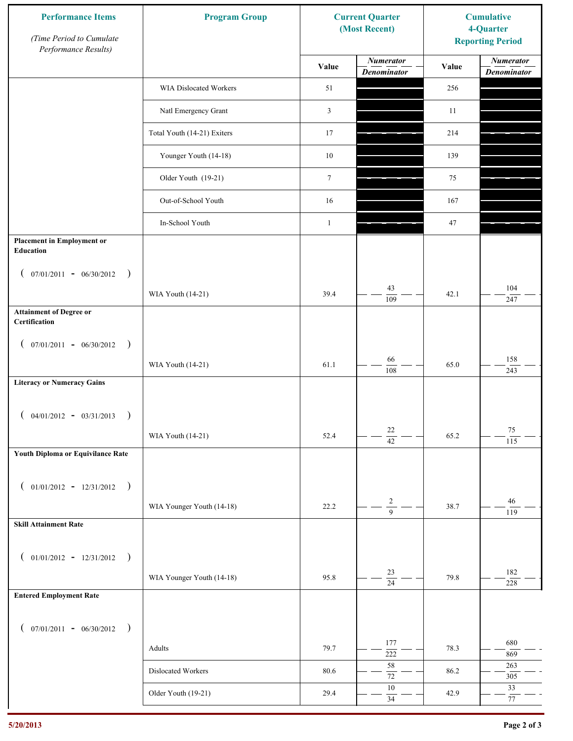| <b>Performance Items</b><br>(Time Period to Cumulate<br>Performance Results) | <b>Program Group</b>        | <b>Current Quarter</b><br>(Most Recent) |                                        | <b>Cumulative</b><br>4-Quarter<br><b>Reporting Period</b> |                                        |
|------------------------------------------------------------------------------|-----------------------------|-----------------------------------------|----------------------------------------|-----------------------------------------------------------|----------------------------------------|
|                                                                              |                             | Value                                   | <b>Numerator</b><br><b>Denominator</b> | Value                                                     | <b>Numerator</b><br><b>Denominator</b> |
|                                                                              | WIA Dislocated Workers      | 51                                      |                                        | 256                                                       |                                        |
|                                                                              | Natl Emergency Grant        | 3                                       |                                        | 11                                                        |                                        |
|                                                                              | Total Youth (14-21) Exiters | 17                                      |                                        | 214                                                       |                                        |
|                                                                              | Younger Youth (14-18)       | $10\,$                                  |                                        | 139                                                       |                                        |
|                                                                              | Older Youth (19-21)         | $\boldsymbol{7}$                        |                                        | 75                                                        |                                        |
|                                                                              | Out-of-School Youth         | 16                                      |                                        | 167                                                       |                                        |
|                                                                              | In-School Youth             | $\mathbf{1}$                            |                                        | 47                                                        |                                        |
| <b>Placement in Employment or</b><br>Education                               |                             |                                         |                                        |                                                           |                                        |
| $07/01/2011 - 06/30/2012$<br>$\rightarrow$<br>$\overline{ }$                 |                             |                                         |                                        |                                                           |                                        |
|                                                                              | WIA Youth (14-21)           | 39.4                                    | 43<br>109                              | 42.1                                                      | 104<br>247                             |
| <b>Attainment of Degree or</b><br>Certification                              |                             |                                         |                                        |                                                           |                                        |
| $($ 07/01/2011 - 06/30/2012<br>$\rightarrow$                                 |                             |                                         |                                        |                                                           |                                        |
|                                                                              | WIA Youth (14-21)           | 61.1                                    | 66<br>108                              | 65.0                                                      | 158<br>243                             |
| <b>Literacy or Numeracy Gains</b>                                            |                             |                                         |                                        |                                                           |                                        |
| $04/01/2012 - 03/31/2013$<br>$\rightarrow$                                   |                             |                                         |                                        |                                                           |                                        |
|                                                                              | WIA Youth (14-21)           | 52.4                                    | $22\,$<br>$\overline{42}$              | 65.2                                                      | $75\,$                                 |
| Youth Diploma or Equivilance Rate                                            |                             |                                         |                                        |                                                           | 115                                    |
|                                                                              |                             |                                         |                                        |                                                           |                                        |
| $01/01/2012 - 12/31/2012$ )<br>$\left($                                      |                             |                                         | $\sqrt{2}$                             |                                                           | 46                                     |
| <b>Skill Attainment Rate</b>                                                 | WIA Younger Youth (14-18)   | 22.2                                    | $\overline{9}$                         | 38.7                                                      | 119                                    |
|                                                                              |                             |                                         |                                        |                                                           |                                        |
| $01/01/2012 - 12/31/2012$ )<br>$\left($                                      |                             |                                         |                                        |                                                           |                                        |
|                                                                              | WIA Younger Youth (14-18)   | 95.8                                    | 23<br>$\overline{24}$                  | 79.8                                                      | 182<br>228                             |
| <b>Entered Employment Rate</b>                                               |                             |                                         |                                        |                                                           |                                        |
| $($ 07/01/2011 - 06/30/2012 )                                                |                             |                                         |                                        |                                                           |                                        |
|                                                                              | Adults                      | 79.7                                    | 177<br>$\overline{222}$                | 78.3                                                      | 680<br>869                             |
|                                                                              | Dislocated Workers          | 80.6                                    | $58\,$<br>$\overline{72}$              | 86.2                                                      | 263<br>305                             |
|                                                                              | Older Youth (19-21)         | 29.4                                    | $10\,$<br>$34\,$                       | 42.9                                                      | 33<br>$77\,$                           |
|                                                                              |                             |                                         |                                        |                                                           |                                        |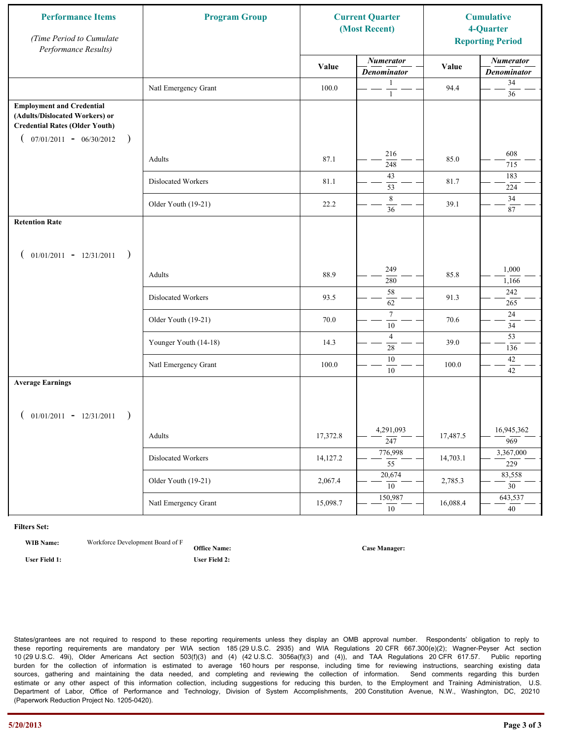| <b>Performance Items</b><br>(Time Period to Cumulate<br>Performance Results)                                                                              | <b>Program Group</b><br><b>Current Quarter</b><br>(Most Recent) |          |                                        |          |                                        |  | <b>Cumulative</b><br>4-Quarter<br><b>Reporting Period</b> |
|-----------------------------------------------------------------------------------------------------------------------------------------------------------|-----------------------------------------------------------------|----------|----------------------------------------|----------|----------------------------------------|--|-----------------------------------------------------------|
|                                                                                                                                                           |                                                                 | Value    | <b>Numerator</b><br><b>Denominator</b> | Value    | <b>Numerator</b><br><b>Denominator</b> |  |                                                           |
|                                                                                                                                                           | Natl Emergency Grant                                            | 100.0    | 1<br>$\mathbf{1}$                      | 94.4     | 34<br>36                               |  |                                                           |
| <b>Employment and Credential</b><br>(Adults/Dislocated Workers) or<br><b>Credential Rates (Older Youth)</b><br>$07/01/2011 - 06/30/2012$<br>$\rightarrow$ |                                                                 |          |                                        |          |                                        |  |                                                           |
|                                                                                                                                                           | Adults                                                          | 87.1     | 216<br>248                             | 85.0     | 608<br>715                             |  |                                                           |
|                                                                                                                                                           | Dislocated Workers                                              | 81.1     | 43<br>53                               | 81.7     | 183<br>224                             |  |                                                           |
|                                                                                                                                                           | Older Youth (19-21)                                             | 22.2     | 8<br>36                                | 39.1     | 34<br>87                               |  |                                                           |
| <b>Retention Rate</b>                                                                                                                                     |                                                                 |          |                                        |          |                                        |  |                                                           |
| $01/01/2011 - 12/31/2011$<br>$\rightarrow$                                                                                                                |                                                                 |          |                                        |          |                                        |  |                                                           |
|                                                                                                                                                           | Adults                                                          | 88.9     | 249<br>280                             | 85.8     | 1,000<br>1,166                         |  |                                                           |
|                                                                                                                                                           | Dislocated Workers                                              | 93.5     | 58<br>62                               | 91.3     | 242<br>265                             |  |                                                           |
|                                                                                                                                                           | Older Youth (19-21)                                             | 70.0     | $\tau$<br>10                           | 70.6     | $24\,$<br>34                           |  |                                                           |
|                                                                                                                                                           | Younger Youth (14-18)                                           | 14.3     | $\overline{4}$<br>28                   | 39.0     | $\overline{53}$<br>136                 |  |                                                           |
|                                                                                                                                                           | Natl Emergency Grant                                            | 100.0    | 10<br>$10\,$                           | 100.0    | 42<br>42                               |  |                                                           |
| <b>Average Earnings</b>                                                                                                                                   |                                                                 |          |                                        |          |                                        |  |                                                           |
| $01/01/2011 - 12/31/2011$<br>$\rightarrow$                                                                                                                |                                                                 |          | 4,291,093                              |          | 16,945,362                             |  |                                                           |
|                                                                                                                                                           | Adults                                                          | 17,372.8 | $\frac{1}{247}$                        | 17,487.5 | 969                                    |  |                                                           |
|                                                                                                                                                           | Dislocated Workers                                              | 14,127.2 | 776,998<br>$\overline{55}$             | 14,703.1 | 3,367,000<br>229                       |  |                                                           |
|                                                                                                                                                           | Older Youth (19-21)                                             | 2,067.4  | 20,674<br>10                           | 2,785.3  | 83,558<br>$\overline{30}$              |  |                                                           |
|                                                                                                                                                           | Natl Emergency Grant                                            | 15,098.7 | 150,987<br>10                          | 16,088.4 | 643,537<br>40 <sup>7</sup>             |  |                                                           |

**WIB Name:** Workforce Development Board of F

**Office Name: User Field 1: User Field 2:**

**Case Manager:**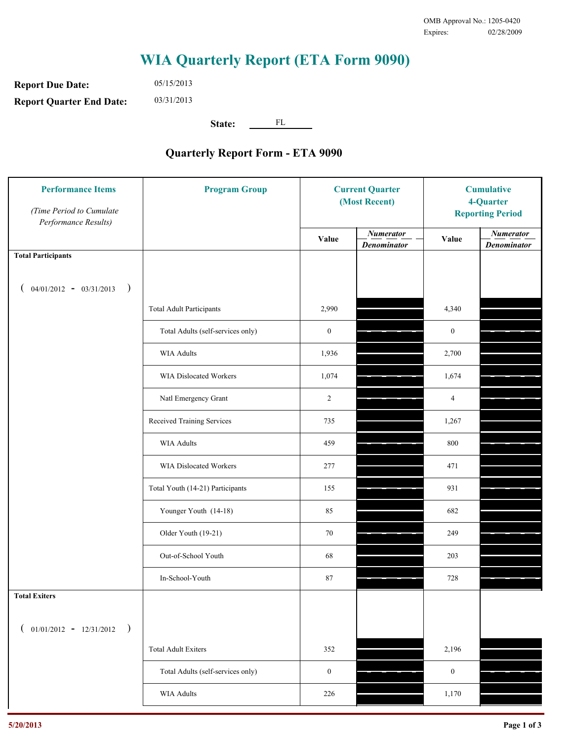**Report Due Date: Report Quarter End Date:** 05/15/2013 03/31/2013

**State:** FL

| <b>Performance Items</b><br>(Time Period to Cumulate<br>Performance Results) | <b>Program Group</b>              | <b>Current Quarter</b><br>(Most Recent) |                                        | <b>Cumulative</b><br>4-Quarter<br><b>Reporting Period</b> |                                        |
|------------------------------------------------------------------------------|-----------------------------------|-----------------------------------------|----------------------------------------|-----------------------------------------------------------|----------------------------------------|
|                                                                              |                                   | Value                                   | <b>Numerator</b><br><b>Denominator</b> | Value                                                     | <b>Numerator</b><br><b>Denominator</b> |
| <b>Total Participants</b>                                                    |                                   |                                         |                                        |                                                           |                                        |
| $04/01/2012 - 03/31/2013$ )                                                  |                                   |                                         |                                        |                                                           |                                        |
|                                                                              | <b>Total Adult Participants</b>   | 2,990                                   |                                        | 4,340                                                     |                                        |
|                                                                              | Total Adults (self-services only) | $\boldsymbol{0}$                        |                                        | $\boldsymbol{0}$                                          |                                        |
|                                                                              | <b>WIA Adults</b>                 | 1,936                                   |                                        | 2,700                                                     |                                        |
|                                                                              | <b>WIA Dislocated Workers</b>     | 1,074                                   |                                        | 1,674                                                     |                                        |
|                                                                              | Natl Emergency Grant              | $\overline{c}$                          |                                        | $\overline{4}$                                            |                                        |
|                                                                              | Received Training Services        | 735                                     |                                        | 1,267                                                     |                                        |
|                                                                              | <b>WIA Adults</b>                 | 459                                     |                                        | 800                                                       |                                        |
|                                                                              | WIA Dislocated Workers            | 277                                     |                                        | 471                                                       |                                        |
|                                                                              | Total Youth (14-21) Participants  | 155                                     |                                        | 931                                                       |                                        |
|                                                                              | Younger Youth (14-18)             | 85                                      |                                        | 682                                                       |                                        |
|                                                                              | Older Youth (19-21)               | 70                                      |                                        | 249                                                       |                                        |
|                                                                              | Out-of-School Youth               | 68                                      |                                        | 203                                                       |                                        |
|                                                                              | In-School-Youth                   | 87                                      |                                        | 728                                                       |                                        |
| <b>Total Exiters</b>                                                         |                                   |                                         |                                        |                                                           |                                        |
| $($ 01/01/2012 - 12/31/2012<br>$\rightarrow$                                 |                                   |                                         |                                        |                                                           |                                        |
|                                                                              | <b>Total Adult Exiters</b>        | 352                                     |                                        | 2,196                                                     |                                        |
|                                                                              | Total Adults (self-services only) | $\boldsymbol{0}$                        |                                        | $\boldsymbol{0}$                                          |                                        |
|                                                                              | <b>WIA Adults</b>                 | 226                                     |                                        | 1,170                                                     |                                        |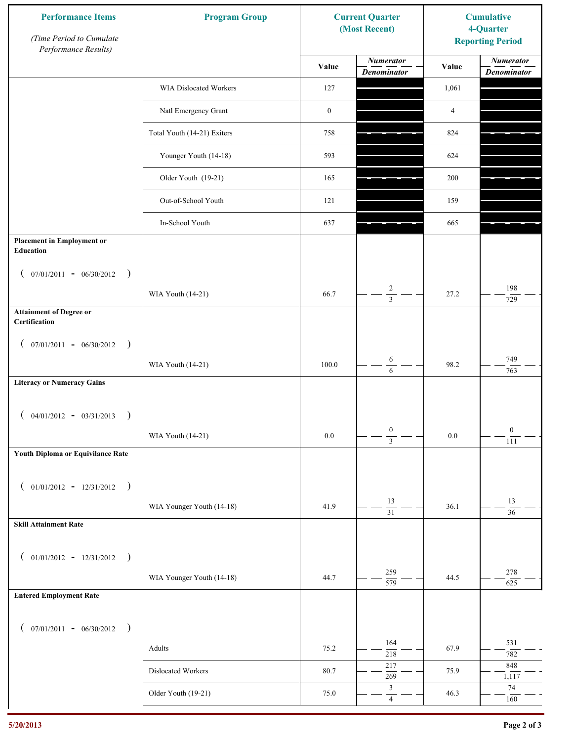| <b>Performance Items</b><br>(Time Period to Cumulate<br>Performance Results) | <b>Program Group</b>        | <b>Current Quarter</b><br>(Most Recent) |                                        | <b>Cumulative</b><br>4-Quarter<br><b>Reporting Period</b> |                                        |
|------------------------------------------------------------------------------|-----------------------------|-----------------------------------------|----------------------------------------|-----------------------------------------------------------|----------------------------------------|
|                                                                              |                             | Value                                   | <b>Numerator</b><br><b>Denominator</b> | Value                                                     | <b>Numerator</b><br><b>Denominator</b> |
|                                                                              | WIA Dislocated Workers      | 127                                     |                                        | 1,061                                                     |                                        |
|                                                                              | Natl Emergency Grant        | $\boldsymbol{0}$                        |                                        | $\overline{4}$                                            |                                        |
|                                                                              | Total Youth (14-21) Exiters | 758                                     |                                        | 824                                                       |                                        |
|                                                                              | Younger Youth (14-18)       | 593                                     |                                        | 624                                                       |                                        |
|                                                                              | Older Youth (19-21)         | 165                                     |                                        | 200                                                       |                                        |
|                                                                              | Out-of-School Youth         | 121                                     |                                        | 159                                                       |                                        |
|                                                                              | In-School Youth             | 637                                     |                                        | 665                                                       |                                        |
| <b>Placement in Employment or</b><br><b>Education</b>                        |                             |                                         |                                        |                                                           |                                        |
| $07/01/2011 - 06/30/2012$<br>$\rightarrow$<br>$\mathcal{L}$                  | WIA Youth (14-21)           | 66.7                                    | $\overline{c}$                         | 27.2                                                      | 198                                    |
| <b>Attainment of Degree or</b>                                               |                             |                                         | $\overline{3}$                         |                                                           | 729                                    |
| Certification                                                                |                             |                                         |                                        |                                                           |                                        |
| $($ 07/01/2011 - 06/30/2012<br>$\rightarrow$                                 |                             |                                         |                                        |                                                           |                                        |
|                                                                              | WIA Youth (14-21)           | 100.0                                   | 6<br>6                                 | 98.2                                                      | 749<br>763                             |
| <b>Literacy or Numeracy Gains</b>                                            |                             |                                         |                                        |                                                           |                                        |
| $04/01/2012 - 03/31/2013$<br>$\rightarrow$                                   |                             |                                         |                                        |                                                           |                                        |
|                                                                              | WIA Youth (14-21)           | $0.0\,$                                 | $\boldsymbol{0}$<br>$\overline{3}$     | $0.0\,$                                                   | $\boldsymbol{0}$<br>111                |
| Youth Diploma or Equivilance Rate                                            |                             |                                         |                                        |                                                           |                                        |
|                                                                              |                             |                                         |                                        |                                                           |                                        |
| $01/01/2012 - 12/31/2012$ )<br>$\left($                                      | WIA Younger Youth (14-18)   | 41.9                                    | $13\,$                                 | 36.1                                                      | 13                                     |
| <b>Skill Attainment Rate</b>                                                 |                             |                                         | $\overline{31}$                        |                                                           | $\overline{36}$                        |
|                                                                              |                             |                                         |                                        |                                                           |                                        |
| $01/01/2012 - 12/31/2012$ )<br>$\left($                                      |                             |                                         |                                        |                                                           |                                        |
|                                                                              | WIA Younger Youth (14-18)   | 44.7                                    | 259<br>$\overline{579}$                | 44.5                                                      | 278<br>625                             |
| <b>Entered Employment Rate</b>                                               |                             |                                         |                                        |                                                           |                                        |
| $($ 07/01/2011 - 06/30/2012 )                                                |                             |                                         |                                        |                                                           |                                        |
|                                                                              | Adults                      | 75.2                                    | 164<br>218                             | 67.9                                                      | 531<br>782                             |
|                                                                              | Dislocated Workers          | 80.7                                    | 217                                    | 75.9                                                      | 848                                    |
|                                                                              | Older Youth (19-21)         | 75.0                                    | 269<br>$\mathfrak{Z}$                  | 46.3                                                      | 1,117<br>74                            |
|                                                                              |                             |                                         | $\overline{4}$                         |                                                           | 160                                    |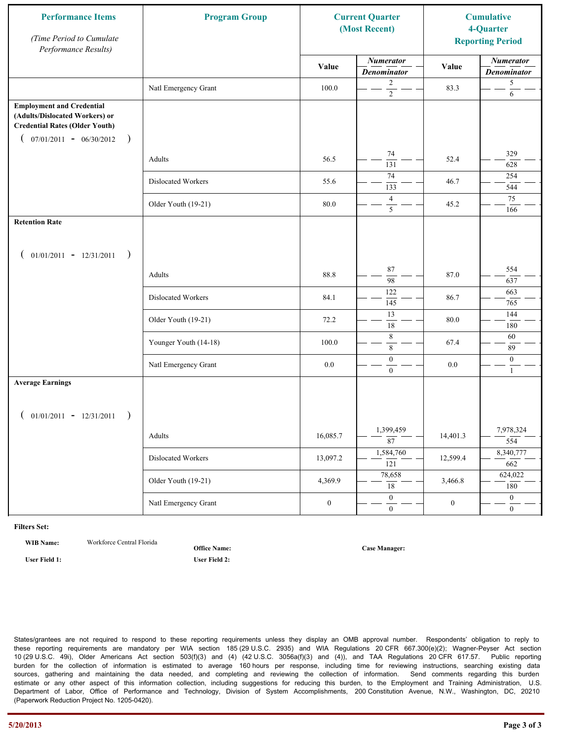| <b>Performance Items</b><br>(Time Period to Cumulate<br>Performance Results)                                                                              | <b>Program Group</b><br><b>Current Quarter</b><br>(Most Recent) |                  |                                        |                  |                                        |  | <b>Cumulative</b><br>4-Quarter<br><b>Reporting Period</b> |
|-----------------------------------------------------------------------------------------------------------------------------------------------------------|-----------------------------------------------------------------|------------------|----------------------------------------|------------------|----------------------------------------|--|-----------------------------------------------------------|
|                                                                                                                                                           |                                                                 | Value            | <b>Numerator</b><br><b>Denominator</b> | Value            | <b>Numerator</b><br><b>Denominator</b> |  |                                                           |
|                                                                                                                                                           | Natl Emergency Grant                                            | 100.0            | 2<br>$\overline{2}$                    | 83.3             | 5<br>6                                 |  |                                                           |
| <b>Employment and Credential</b><br>(Adults/Dislocated Workers) or<br><b>Credential Rates (Older Youth)</b><br>$07/01/2011 - 06/30/2012$<br>$\rightarrow$ |                                                                 |                  |                                        |                  |                                        |  |                                                           |
|                                                                                                                                                           | Adults                                                          | 56.5             | 74<br>131                              | 52.4             | 329<br>628                             |  |                                                           |
|                                                                                                                                                           | Dislocated Workers                                              | 55.6             | 74<br>133                              | 46.7             | 254<br>544                             |  |                                                           |
|                                                                                                                                                           | Older Youth (19-21)                                             | 80.0             | $\overline{4}$<br>5                    | 45.2             | 75<br>166                              |  |                                                           |
| <b>Retention Rate</b>                                                                                                                                     |                                                                 |                  |                                        |                  |                                        |  |                                                           |
| $01/01/2011 - 12/31/2011$<br>$\rightarrow$                                                                                                                |                                                                 |                  |                                        |                  |                                        |  |                                                           |
|                                                                                                                                                           | Adults                                                          | 88.8             | 87<br>98                               | 87.0             | 554<br>637                             |  |                                                           |
|                                                                                                                                                           | Dislocated Workers                                              | 84.1             | 122<br>145                             | 86.7             | 663<br>765                             |  |                                                           |
|                                                                                                                                                           | Older Youth (19-21)                                             | 72.2             | 13<br>$\overline{18}$                  | 80.0             | 144<br>180                             |  |                                                           |
|                                                                                                                                                           | Younger Youth (14-18)                                           | 100.0            | $\,$ 8 $\,$<br>8                       | 67.4             | 60<br>89                               |  |                                                           |
|                                                                                                                                                           | Natl Emergency Grant                                            | 0.0              | $\boldsymbol{0}$<br>$\mathbf{0}$       | 0.0              | $\boldsymbol{0}$<br>$\mathbf{1}$       |  |                                                           |
| <b>Average Earnings</b>                                                                                                                                   |                                                                 |                  |                                        |                  |                                        |  |                                                           |
| $01/01/2011 - 12/31/2011$<br>$\rightarrow$                                                                                                                |                                                                 |                  |                                        |                  |                                        |  |                                                           |
|                                                                                                                                                           | Adults                                                          | 16,085.7         | 1,399,459<br>$\overline{87}$           | 14,401.3         | 7,978,324<br>554                       |  |                                                           |
|                                                                                                                                                           | Dislocated Workers                                              | 13,097.2         | 1,584,760<br>$\overline{121}$          | 12,599.4         | 8,340,777<br>662                       |  |                                                           |
|                                                                                                                                                           | Older Youth (19-21)                                             | 4,369.9          | 78,658<br>18                           | 3,466.8          | 624,022<br>180                         |  |                                                           |
|                                                                                                                                                           | Natl Emergency Grant                                            | $\boldsymbol{0}$ | $\overline{0}$<br>$\mathbf{0}$         | $\boldsymbol{0}$ | $\overline{0}$<br>$\overline{0}$       |  |                                                           |

**WIB Name:** Workforce Central Florida

**Office Name:**

**Case Manager:**

**User Field 1: User Field 2:**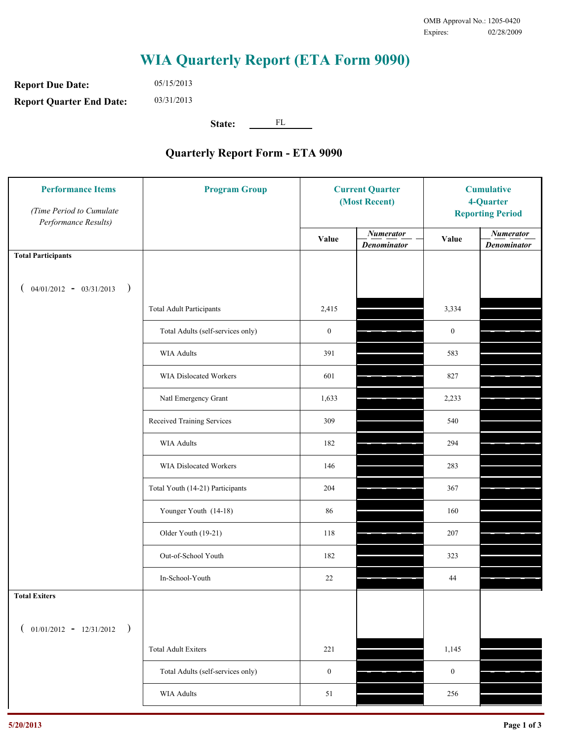**Report Due Date: Report Quarter End Date:** 05/15/2013 03/31/2013

**State:** FL

| <b>Performance Items</b><br>(Time Period to Cumulate<br>Performance Results) | <b>Program Group</b>              | <b>Current Quarter</b><br>(Most Recent) |                                        | <b>Cumulative</b><br>4-Quarter<br><b>Reporting Period</b> |                                        |
|------------------------------------------------------------------------------|-----------------------------------|-----------------------------------------|----------------------------------------|-----------------------------------------------------------|----------------------------------------|
|                                                                              |                                   | Value                                   | <b>Numerator</b><br><b>Denominator</b> | Value                                                     | <b>Numerator</b><br><b>Denominator</b> |
| <b>Total Participants</b>                                                    |                                   |                                         |                                        |                                                           |                                        |
| $04/01/2012 - 03/31/2013$ )                                                  |                                   |                                         |                                        |                                                           |                                        |
|                                                                              | <b>Total Adult Participants</b>   | 2,415                                   |                                        | 3,334                                                     |                                        |
|                                                                              | Total Adults (self-services only) | $\boldsymbol{0}$                        |                                        | $\boldsymbol{0}$                                          |                                        |
|                                                                              | WIA Adults                        | 391                                     |                                        | 583                                                       |                                        |
|                                                                              | WIA Dislocated Workers            | 601                                     |                                        | 827                                                       |                                        |
|                                                                              | Natl Emergency Grant              | 1,633                                   |                                        | 2,233                                                     |                                        |
|                                                                              | Received Training Services        | 309                                     |                                        | 540                                                       |                                        |
|                                                                              | <b>WIA Adults</b>                 | 182                                     |                                        | 294                                                       |                                        |
|                                                                              | WIA Dislocated Workers            | 146                                     |                                        | 283                                                       |                                        |
|                                                                              | Total Youth (14-21) Participants  | 204                                     |                                        | 367                                                       |                                        |
|                                                                              | Younger Youth (14-18)             | 86                                      |                                        | 160                                                       |                                        |
|                                                                              | Older Youth (19-21)               | 118                                     |                                        | 207                                                       |                                        |
|                                                                              | Out-of-School Youth               | 182                                     |                                        | 323                                                       |                                        |
|                                                                              | In-School-Youth                   | 22                                      |                                        | 44                                                        |                                        |
| <b>Total Exiters</b>                                                         |                                   |                                         |                                        |                                                           |                                        |
| $($ 01/01/2012 - 12/31/2012 )                                                |                                   |                                         |                                        |                                                           |                                        |
|                                                                              | <b>Total Adult Exiters</b>        | 221                                     |                                        | 1,145                                                     |                                        |
|                                                                              | Total Adults (self-services only) | $\boldsymbol{0}$                        |                                        | $\boldsymbol{0}$                                          |                                        |
|                                                                              | <b>WIA Adults</b>                 | $51\,$                                  |                                        | 256                                                       |                                        |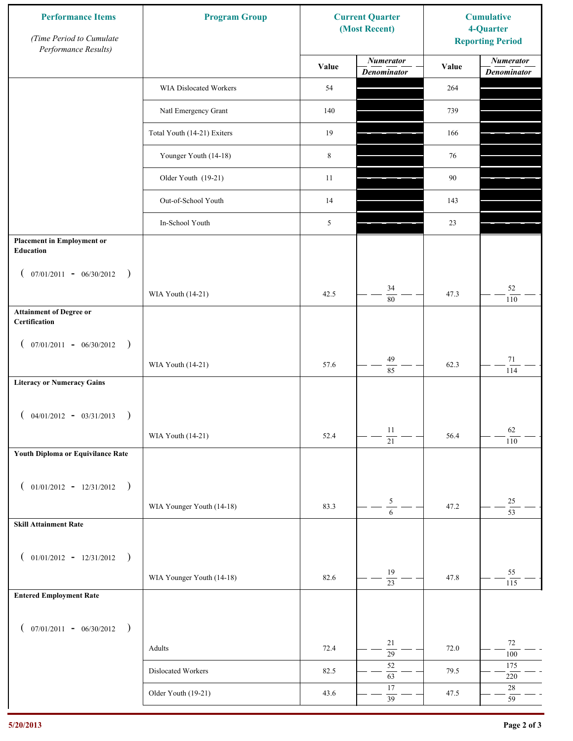| <b>Performance Items</b><br>(Time Period to Cumulate<br>Performance Results) | <b>Program Group</b>        |             | <b>Current Quarter</b><br>(Most Recent) | <b>Cumulative</b><br>4-Quarter<br><b>Reporting Period</b> |                                        |
|------------------------------------------------------------------------------|-----------------------------|-------------|-----------------------------------------|-----------------------------------------------------------|----------------------------------------|
|                                                                              |                             | Value       | <b>Numerator</b><br><b>Denominator</b>  | Value                                                     | <b>Numerator</b><br><b>Denominator</b> |
|                                                                              | WIA Dislocated Workers      | 54          |                                         | 264                                                       |                                        |
|                                                                              | Natl Emergency Grant        | 140         |                                         | 739                                                       |                                        |
|                                                                              | Total Youth (14-21) Exiters | 19          |                                         | 166                                                       |                                        |
|                                                                              | Younger Youth (14-18)       | $\,$ 8 $\,$ |                                         | 76                                                        |                                        |
|                                                                              | Older Youth (19-21)         | 11          |                                         | 90                                                        |                                        |
|                                                                              | Out-of-School Youth         | 14          |                                         | 143                                                       |                                        |
|                                                                              | In-School Youth             | 5           |                                         | 23                                                        |                                        |
| <b>Placement in Employment or</b><br>Education                               |                             |             |                                         |                                                           |                                        |
| $07/01/2011 - 06/30/2012$<br>$\rightarrow$<br>$\overline{ }$                 |                             |             |                                         |                                                           |                                        |
|                                                                              | WIA Youth (14-21)           | 42.5        | 34<br>$\overline{80}$                   | 47.3                                                      | $52\,$<br>110                          |
| <b>Attainment of Degree or</b><br>Certification                              |                             |             |                                         |                                                           |                                        |
| $($ 07/01/2011 - 06/30/2012<br>$\rightarrow$                                 |                             |             |                                         |                                                           |                                        |
|                                                                              | WIA Youth (14-21)           | 57.6        | 49<br>85                                | 62.3                                                      | $71\,$<br>114                          |
| <b>Literacy or Numeracy Gains</b>                                            |                             |             |                                         |                                                           |                                        |
| $04/01/2012 - 03/31/2013$<br>$\rightarrow$                                   |                             |             |                                         |                                                           |                                        |
|                                                                              | WIA Youth (14-21)           | 52.4        | $11\,$<br>$\overline{21}$               | 56.4                                                      | 62<br>110                              |
| Youth Diploma or Equivilance Rate                                            |                             |             |                                         |                                                           |                                        |
|                                                                              |                             |             |                                         |                                                           |                                        |
| $01/01/2012 - 12/31/2012$ )<br>$\left($                                      |                             |             |                                         |                                                           | $25\,$                                 |
| <b>Skill Attainment Rate</b>                                                 | WIA Younger Youth (14-18)   | 83.3        | $\frac{5}{6}$                           | 47.2                                                      | $\overline{53}$                        |
|                                                                              |                             |             |                                         |                                                           |                                        |
| $01/01/2012 - 12/31/2012$ )<br>$\left($                                      |                             |             |                                         |                                                           |                                        |
|                                                                              | WIA Younger Youth (14-18)   | 82.6        | 19<br>$\overline{23}$                   | 47.8                                                      | 55<br>115                              |
| <b>Entered Employment Rate</b>                                               |                             |             |                                         |                                                           |                                        |
| $($ 07/01/2011 - 06/30/2012 )                                                |                             |             |                                         |                                                           |                                        |
|                                                                              | Adults                      | 72.4        | 21<br>$\overline{29}$                   | 72.0                                                      | 72<br>$100\,$                          |
|                                                                              | Dislocated Workers          | 82.5        | 52<br>63                                | 79.5                                                      | 175<br>$220\,$                         |
|                                                                              | Older Youth (19-21)         | 43.6        | $17$<br>$\overline{39}$                 | 47.5                                                      | 28<br>59                               |
|                                                                              |                             |             |                                         |                                                           |                                        |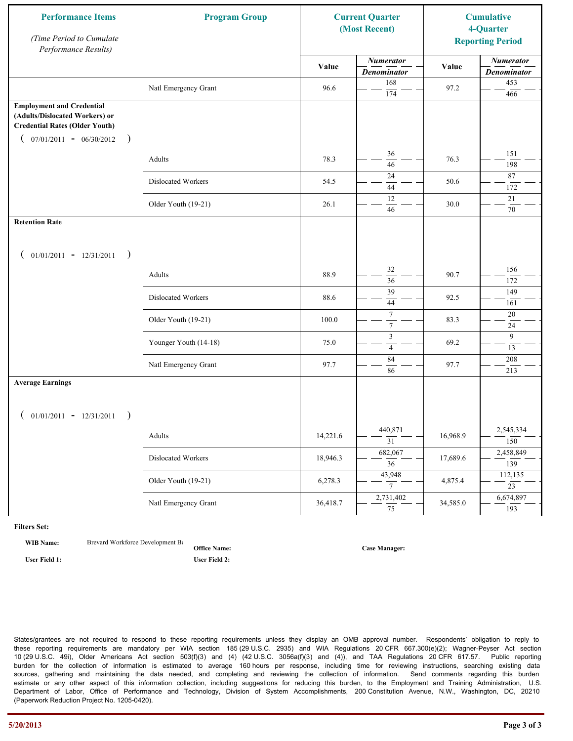| <b>Performance Items</b><br>(Time Period to Cumulate<br>Performance Results)                                                                              | <b>Program Group</b>  |          | <b>Current Quarter</b><br>(Most Recent) |          | <b>Cumulative</b><br>4-Quarter<br><b>Reporting Period</b> |
|-----------------------------------------------------------------------------------------------------------------------------------------------------------|-----------------------|----------|-----------------------------------------|----------|-----------------------------------------------------------|
|                                                                                                                                                           |                       | Value    | <b>Numerator</b><br><b>Denominator</b>  | Value    | <b>Numerator</b><br><b>Denominator</b>                    |
|                                                                                                                                                           | Natl Emergency Grant  | 96.6     | 168<br>174                              | 97.2     | 453<br>466                                                |
| <b>Employment and Credential</b><br>(Adults/Dislocated Workers) or<br><b>Credential Rates (Older Youth)</b><br>$07/01/2011 - 06/30/2012$<br>$\rightarrow$ |                       |          |                                         |          |                                                           |
|                                                                                                                                                           | Adults                | 78.3     | 36<br>46                                | 76.3     | 151<br>198                                                |
|                                                                                                                                                           | Dislocated Workers    | 54.5     | 24<br>44                                | 50.6     | 87<br>172                                                 |
|                                                                                                                                                           | Older Youth (19-21)   | 26.1     | 12<br>46                                | 30.0     | 21<br>70                                                  |
| <b>Retention Rate</b>                                                                                                                                     |                       |          |                                         |          |                                                           |
| $01/01/2011 - 12/31/2011$<br>$\rightarrow$                                                                                                                |                       |          |                                         |          |                                                           |
|                                                                                                                                                           | Adults                | 88.9     | 32<br>36                                | 90.7     | 156<br>172                                                |
|                                                                                                                                                           | Dislocated Workers    | 88.6     | 39<br>44                                | 92.5     | 149<br>161                                                |
|                                                                                                                                                           | Older Youth (19-21)   | 100.0    | $\boldsymbol{7}$<br>$\boldsymbol{7}$    | 83.3     | 20<br>24                                                  |
|                                                                                                                                                           | Younger Youth (14-18) | 75.0     | $\mathfrak{Z}$<br>$\overline{4}$        | 69.2     | 9<br>13                                                   |
|                                                                                                                                                           | Natl Emergency Grant  | 97.7     | 84<br>86                                | 97.7     | 208<br>213                                                |
| <b>Average Earnings</b>                                                                                                                                   |                       |          |                                         |          |                                                           |
| $01/01/2011 - 12/31/2011$<br>$\rightarrow$                                                                                                                |                       |          |                                         |          |                                                           |
|                                                                                                                                                           | Adults                | 14,221.6 | 440,871<br>31                           | 16,968.9 | 2,545,334<br>150                                          |
|                                                                                                                                                           | Dislocated Workers    | 18,946.3 | 682,067<br>$\overline{36}$              | 17,689.6 | 2,458,849<br>139                                          |
|                                                                                                                                                           | Older Youth (19-21)   | 6,278.3  | 43,948<br>$7\overline{ }$               | 4,875.4  | 112,135<br>$\overline{23}$                                |
|                                                                                                                                                           | Natl Emergency Grant  | 36,418.7 | 2,731,402<br>75                         | 34,585.0 | 6,674,897<br>193                                          |

**WIB Name:** Brevard Workforce Development Board Inc.

**Office Name:**

**User Field 1: User Field 2:**

**Case Manager:**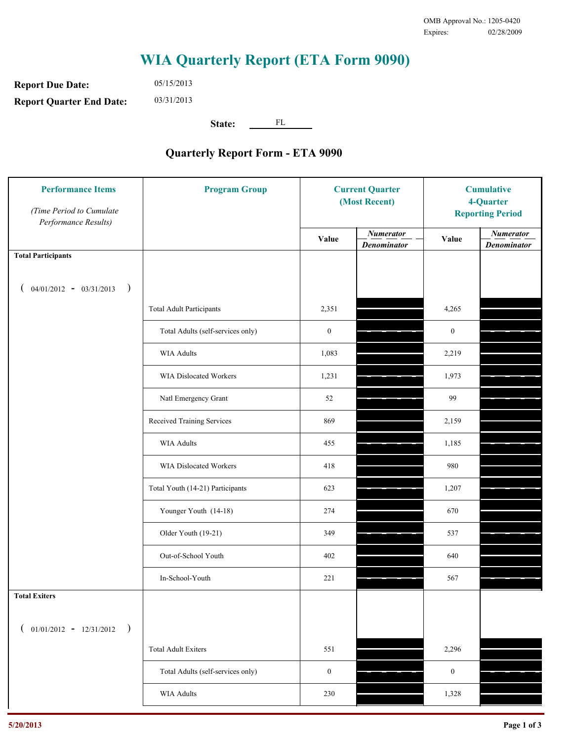**Report Due Date: Report Quarter End Date:** 05/15/2013 03/31/2013

**State:** FL

| <b>Performance Items</b><br>(Time Period to Cumulate<br>Performance Results) | <b>Program Group</b>              |                  | <b>Current Quarter</b><br>(Most Recent) |                  | <b>Cumulative</b><br>4-Quarter<br><b>Reporting Period</b> |  |
|------------------------------------------------------------------------------|-----------------------------------|------------------|-----------------------------------------|------------------|-----------------------------------------------------------|--|
|                                                                              |                                   | Value            | <b>Numerator</b><br><b>Denominator</b>  | Value            | <b>Numerator</b><br><b>Denominator</b>                    |  |
| <b>Total Participants</b>                                                    |                                   |                  |                                         |                  |                                                           |  |
| $04/01/2012 - 03/31/2013$ )                                                  |                                   |                  |                                         |                  |                                                           |  |
|                                                                              | <b>Total Adult Participants</b>   | 2,351            |                                         | 4,265            |                                                           |  |
|                                                                              | Total Adults (self-services only) | $\boldsymbol{0}$ |                                         | $\boldsymbol{0}$ |                                                           |  |
|                                                                              | WIA Adults                        | 1,083            |                                         | 2,219            |                                                           |  |
|                                                                              | WIA Dislocated Workers            | 1,231            |                                         | 1,973            |                                                           |  |
|                                                                              | Natl Emergency Grant              | 52               |                                         | 99               |                                                           |  |
|                                                                              | Received Training Services        | 869              |                                         | 2,159            |                                                           |  |
|                                                                              | WIA Adults                        | 455              |                                         | 1,185            |                                                           |  |
|                                                                              | WIA Dislocated Workers            | 418              |                                         | 980              |                                                           |  |
|                                                                              | Total Youth (14-21) Participants  | 623              |                                         | 1,207            |                                                           |  |
|                                                                              | Younger Youth (14-18)             | 274              |                                         | 670              |                                                           |  |
|                                                                              | Older Youth (19-21)               | 349              |                                         | 537              |                                                           |  |
|                                                                              | Out-of-School Youth               | 402              |                                         | 640              |                                                           |  |
|                                                                              | In-School-Youth                   | 221              |                                         | 567              |                                                           |  |
| <b>Total Exiters</b>                                                         |                                   |                  |                                         |                  |                                                           |  |
| $01/01/2012 - 12/31/2012$ )                                                  |                                   |                  |                                         |                  |                                                           |  |
|                                                                              | <b>Total Adult Exiters</b>        | 551              |                                         | 2,296            |                                                           |  |
|                                                                              | Total Adults (self-services only) | $\boldsymbol{0}$ |                                         | $\boldsymbol{0}$ |                                                           |  |
|                                                                              | <b>WIA Adults</b>                 | 230              |                                         | 1,328            |                                                           |  |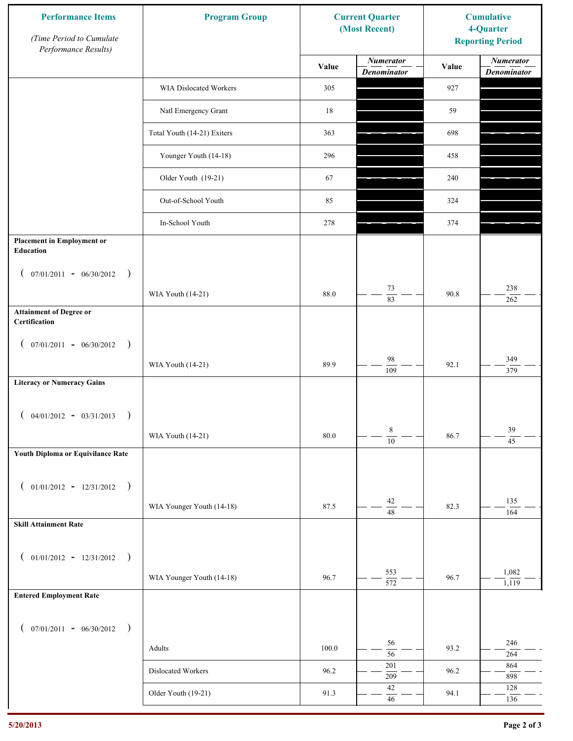| <b>Performance Items</b><br>(Time Period to Cumulate<br>Performance Results) | <b>Program Group</b>        | <b>Current Quarter</b><br>(Most Recent) |                                        | <b>Cumulative</b><br>4-Quarter<br><b>Reporting Period</b> |                                        |
|------------------------------------------------------------------------------|-----------------------------|-----------------------------------------|----------------------------------------|-----------------------------------------------------------|----------------------------------------|
|                                                                              |                             | Value                                   | <b>Numerator</b><br><b>Denominator</b> | Value                                                     | <b>Numerator</b><br><b>Denominator</b> |
|                                                                              | WIA Dislocated Workers      | 305                                     |                                        | 927                                                       |                                        |
|                                                                              | Natl Emergency Grant        | 18                                      |                                        | 59                                                        |                                        |
|                                                                              | Total Youth (14-21) Exiters | 363                                     |                                        | 698                                                       |                                        |
|                                                                              | Younger Youth (14-18)       | 296                                     |                                        | 458                                                       |                                        |
|                                                                              | Older Youth (19-21)         | 67                                      |                                        | 240                                                       |                                        |
|                                                                              | Out-of-School Youth         | 85                                      |                                        | 324                                                       |                                        |
|                                                                              | In-School Youth             | 278                                     |                                        | 374                                                       |                                        |
| <b>Placement in Employment or</b><br><b>Education</b>                        |                             |                                         |                                        |                                                           |                                        |
| $07/01/2011 - 06/30/2012$<br>$\rightarrow$<br>$\mathcal{L}$                  |                             |                                         |                                        |                                                           |                                        |
|                                                                              | WIA Youth (14-21)           | 88.0                                    | 73<br>83                               | 90.8                                                      | 238<br>262                             |
| <b>Attainment of Degree or</b><br>Certification                              |                             |                                         |                                        |                                                           |                                        |
| $($ 07/01/2011 - 06/30/2012<br>$\rightarrow$                                 |                             |                                         |                                        |                                                           |                                        |
|                                                                              | WIA Youth (14-21)           | 89.9                                    | $\bf{98}$<br>$\overline{109}$          | 92.1                                                      | 349<br>$\frac{1}{379}$                 |
| <b>Literacy or Numeracy Gains</b>                                            |                             |                                         |                                        |                                                           |                                        |
| $04/01/2012 - 03/31/2013$<br>$\rightarrow$                                   |                             |                                         |                                        |                                                           |                                        |
|                                                                              | WIA Youth (14-21)           | $80.0\,$                                | 8<br>$\overline{10}$                   | 86.7                                                      | 39<br>$\overline{45}$                  |
| Youth Diploma or Equivilance Rate                                            |                             |                                         |                                        |                                                           |                                        |
| $01/01/2012 - 12/31/2012$ )<br>$\left($                                      |                             |                                         |                                        |                                                           |                                        |
|                                                                              | WIA Younger Youth (14-18)   | 87.5                                    | $42\,$                                 | 82.3                                                      | 135                                    |
| <b>Skill Attainment Rate</b>                                                 |                             |                                         | $48\,$                                 |                                                           | 164                                    |
|                                                                              |                             |                                         |                                        |                                                           |                                        |
| $01/01/2012 - 12/31/2012$ )<br>$\left($                                      |                             |                                         | 553                                    |                                                           | 1,082                                  |
| <b>Entered Employment Rate</b>                                               | WIA Younger Youth (14-18)   | 96.7                                    | $\overline{572}$                       | 96.7                                                      | 1,119                                  |
|                                                                              |                             |                                         |                                        |                                                           |                                        |
| $($ 07/01/2011 - 06/30/2012 )                                                |                             |                                         |                                        |                                                           |                                        |
|                                                                              | Adults                      | 100.0                                   | 56<br>$\overline{56}$                  | 93.2                                                      | 246<br>264                             |
|                                                                              | Dislocated Workers          | 96.2                                    | 201<br>209                             | 96.2                                                      | 864<br>898                             |
|                                                                              | Older Youth (19-21)         | 91.3                                    | $42\,$<br>$46\,$                       | 94.1                                                      | 128<br>136                             |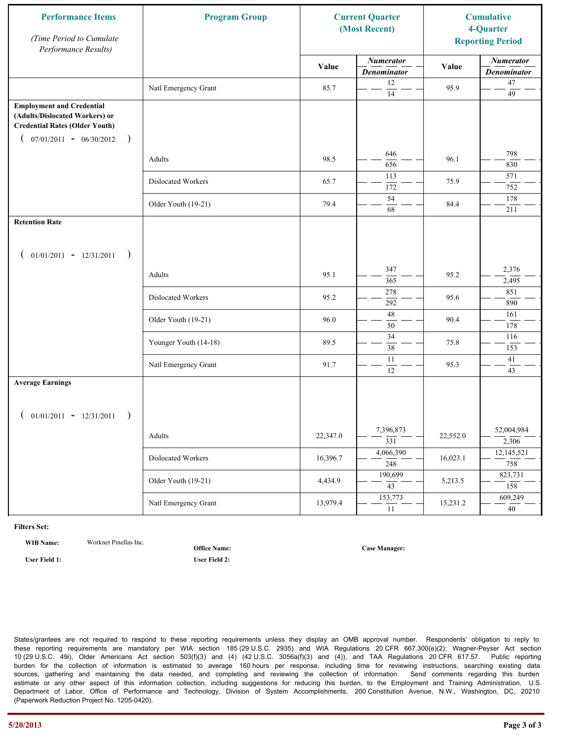| <b>Performance Items</b><br>(Time Period to Cumulate<br>Performance Results)                                                                              | <b>Program Group</b>  | <b>Current Quarter</b><br>(Most Recent) |                                        | <b>Cumulative</b><br>4-Quarter<br><b>Reporting Period</b> |                                        |  |
|-----------------------------------------------------------------------------------------------------------------------------------------------------------|-----------------------|-----------------------------------------|----------------------------------------|-----------------------------------------------------------|----------------------------------------|--|
|                                                                                                                                                           |                       | Value                                   | <b>Numerator</b><br><b>Denominator</b> | Value                                                     | <b>Numerator</b><br><b>Denominator</b> |  |
|                                                                                                                                                           | Natl Emergency Grant  | 85.7                                    | 12<br>14                               | 95.9                                                      | $47\,$<br>49                           |  |
| <b>Employment and Credential</b><br>(Adults/Dislocated Workers) or<br><b>Credential Rates (Older Youth)</b><br>$07/01/2011 - 06/30/2012$<br>$\rightarrow$ |                       |                                         |                                        |                                                           |                                        |  |
|                                                                                                                                                           | Adults                | 98.5                                    | 646<br>656                             | 96.1                                                      | 798<br>830                             |  |
|                                                                                                                                                           | Dislocated Workers    | 65.7                                    | 113<br>172                             | 75.9                                                      | 571<br>752                             |  |
|                                                                                                                                                           | Older Youth (19-21)   | 79.4                                    | 54<br>68                               | 84.4                                                      | 178<br>211                             |  |
| <b>Retention Rate</b>                                                                                                                                     |                       |                                         |                                        |                                                           |                                        |  |
| $01/01/2011 - 12/31/2011$ )<br>€                                                                                                                          |                       |                                         |                                        |                                                           |                                        |  |
|                                                                                                                                                           | Adults                | 95.1                                    | 347<br>365                             | 95.2                                                      | 2,376<br>2,495                         |  |
|                                                                                                                                                           | Dislocated Workers    | 95.2                                    | 278<br>292                             | 95.6                                                      | 851<br>890                             |  |
|                                                                                                                                                           | Older Youth (19-21)   | 96.0                                    | $\overline{48}$<br>50                  | 90.4                                                      | 161<br>178                             |  |
|                                                                                                                                                           | Younger Youth (14-18) | 89.5                                    | 34<br>38                               | 75.8                                                      | 116<br>153                             |  |
|                                                                                                                                                           | Natl Emergency Grant  | 91.7                                    | 11<br>12                               | 95.3                                                      | 41<br>$\overline{43}$                  |  |
| <b>Average Earnings</b>                                                                                                                                   |                       |                                         |                                        |                                                           |                                        |  |
| $01/01/2011 - 12/31/2011$                                                                                                                                 | Adults                | 22,347.0                                | 7,396,873<br>$\overline{331}$          | 22,552.0                                                  | 52,004,984<br>2,306                    |  |
|                                                                                                                                                           | Dislocated Workers    | 16,396.7                                | 4,066,390<br>$\frac{1}{248}$           | 16,023.1                                                  | 12,145,521<br>758                      |  |
|                                                                                                                                                           | Older Youth (19-21)   | 4,434.9                                 | 190,699<br>$\overline{43}$             | 5,213.5                                                   | 823,731<br>158                         |  |
|                                                                                                                                                           | Natl Emergency Grant  | 13,979.4                                | 153,773<br>11                          | 15,231.2                                                  | 609,249<br>40                          |  |

**WIB Name:** Worknet Pinellas Inc.

**Office Name:**

**User Field 1: User Field 2:**

**Case Manager:**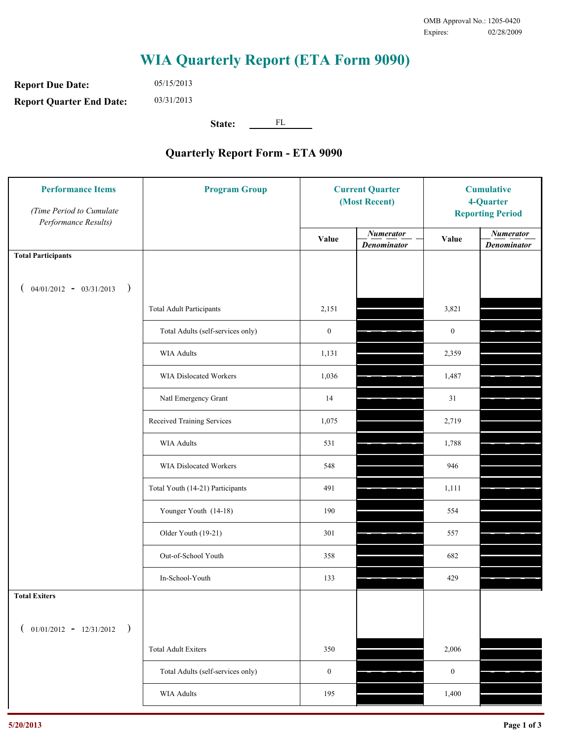**Report Due Date: Report Quarter End Date:** 05/15/2013 03/31/2013

**State:** FL

| <b>Performance Items</b><br>(Time Period to Cumulate<br>Performance Results) | <b>Program Group</b>              | <b>Current Quarter</b><br>(Most Recent) |                                        | <b>Cumulative</b><br>4-Quarter<br><b>Reporting Period</b> |                                        |
|------------------------------------------------------------------------------|-----------------------------------|-----------------------------------------|----------------------------------------|-----------------------------------------------------------|----------------------------------------|
|                                                                              |                                   | Value                                   | <b>Numerator</b><br><b>Denominator</b> | Value                                                     | <b>Numerator</b><br><b>Denominator</b> |
| <b>Total Participants</b>                                                    |                                   |                                         |                                        |                                                           |                                        |
| $04/01/2012 - 03/31/2013$ )                                                  |                                   |                                         |                                        |                                                           |                                        |
|                                                                              | <b>Total Adult Participants</b>   | 2,151                                   |                                        | 3,821                                                     |                                        |
|                                                                              | Total Adults (self-services only) | $\boldsymbol{0}$                        |                                        | $\boldsymbol{0}$                                          |                                        |
|                                                                              | <b>WIA Adults</b>                 | 1,131                                   |                                        | 2,359                                                     |                                        |
|                                                                              | <b>WIA Dislocated Workers</b>     | 1,036                                   |                                        | 1,487                                                     |                                        |
|                                                                              | Natl Emergency Grant              | 14                                      |                                        | 31                                                        |                                        |
|                                                                              | Received Training Services        | 1,075                                   |                                        | 2,719                                                     |                                        |
|                                                                              | <b>WIA Adults</b>                 | 531                                     |                                        | 1,788                                                     |                                        |
|                                                                              | WIA Dislocated Workers            | 548                                     |                                        | 946                                                       |                                        |
|                                                                              | Total Youth (14-21) Participants  | 491                                     |                                        | 1,111                                                     |                                        |
|                                                                              | Younger Youth (14-18)             | 190                                     |                                        | 554                                                       |                                        |
|                                                                              | Older Youth (19-21)               | 301                                     |                                        | 557                                                       |                                        |
|                                                                              | Out-of-School Youth               | 358                                     |                                        | 682                                                       |                                        |
|                                                                              | In-School-Youth                   | 133                                     |                                        | 429                                                       |                                        |
| <b>Total Exiters</b>                                                         |                                   |                                         |                                        |                                                           |                                        |
| $01/01/2012 - 12/31/2012$<br>$\rightarrow$                                   |                                   |                                         |                                        |                                                           |                                        |
|                                                                              | <b>Total Adult Exiters</b>        | 350                                     |                                        | 2,006                                                     |                                        |
|                                                                              | Total Adults (self-services only) | $\boldsymbol{0}$                        |                                        | $\boldsymbol{0}$                                          |                                        |
|                                                                              | WIA Adults                        | 195                                     |                                        | 1,400                                                     |                                        |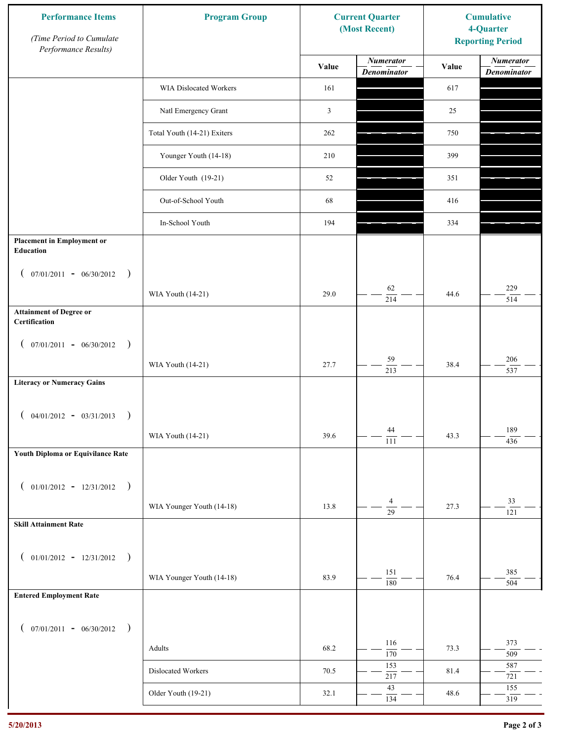| <b>Performance Items</b><br>(Time Period to Cumulate<br>Performance Results) | <b>Program Group</b>        |                | <b>Current Quarter</b><br>(Most Recent) | <b>Cumulative</b><br>4-Quarter<br><b>Reporting Period</b> |                                        |
|------------------------------------------------------------------------------|-----------------------------|----------------|-----------------------------------------|-----------------------------------------------------------|----------------------------------------|
|                                                                              |                             | Value          | <b>Numerator</b><br><b>Denominator</b>  | Value                                                     | <b>Numerator</b><br><b>Denominator</b> |
|                                                                              | WIA Dislocated Workers      | 161            |                                         | 617                                                       |                                        |
|                                                                              | Natl Emergency Grant        | $\mathfrak{Z}$ |                                         | 25                                                        |                                        |
|                                                                              | Total Youth (14-21) Exiters | 262            |                                         | 750                                                       |                                        |
|                                                                              | Younger Youth (14-18)       | 210            |                                         | 399                                                       |                                        |
|                                                                              | Older Youth (19-21)         | 52             |                                         | 351                                                       |                                        |
|                                                                              | Out-of-School Youth         | 68             |                                         | 416                                                       |                                        |
|                                                                              | In-School Youth             | 194            |                                         | 334                                                       |                                        |
| <b>Placement in Employment or</b><br>Education                               |                             |                |                                         |                                                           |                                        |
| $07/01/2011 - 06/30/2012$<br>$\rightarrow$<br>$\overline{ }$                 |                             |                | 62                                      |                                                           | 229                                    |
|                                                                              | WIA Youth (14-21)           | 29.0           | 214                                     | 44.6                                                      | 514                                    |
| <b>Attainment of Degree or</b><br>Certification                              |                             |                |                                         |                                                           |                                        |
| $($ 07/01/2011 - 06/30/2012<br>$\rightarrow$                                 |                             |                |                                         |                                                           |                                        |
|                                                                              | WIA Youth (14-21)           | 27.7           | 59<br>$\overline{213}$                  | 38.4                                                      | $206\,$<br>537                         |
| <b>Literacy or Numeracy Gains</b>                                            |                             |                |                                         |                                                           |                                        |
| $($ 04/01/2012 - 03/31/2013<br>$\rightarrow$                                 |                             |                |                                         |                                                           |                                        |
|                                                                              | WIA Youth (14-21)           | 39.6           | 44<br>$\overline{111}$                  | 43.3                                                      | 189<br>436                             |
| Youth Diploma or Equivilance Rate                                            |                             |                |                                         |                                                           |                                        |
| $01/01/2012 - 12/31/2012$ )<br>$\left($                                      |                             |                |                                         |                                                           |                                        |
|                                                                              | WIA Younger Youth (14-18)   | 13.8           | 4<br>$\overline{29}$                    | 27.3                                                      | 33<br>121                              |
| <b>Skill Attainment Rate</b>                                                 |                             |                |                                         |                                                           |                                        |
|                                                                              |                             |                |                                         |                                                           |                                        |
| $01/01/2012 - 12/31/2012$ )<br>$\left($                                      | WIA Younger Youth (14-18)   | 83.9           | 151                                     | 76.4                                                      | 385                                    |
| <b>Entered Employment Rate</b>                                               |                             |                | $\overline{180}$                        |                                                           | 504                                    |
|                                                                              |                             |                |                                         |                                                           |                                        |
| $($ 07/01/2011 - 06/30/2012 )                                                |                             |                |                                         |                                                           |                                        |
|                                                                              | Adults                      | 68.2           | 116<br>170                              | 73.3                                                      | 373<br>509                             |
|                                                                              | Dislocated Workers          | 70.5           | 153<br>217                              | 81.4                                                      | 587<br>721                             |
|                                                                              | Older Youth (19-21)         | 32.1           | 43<br>134                               | 48.6                                                      | 155<br>319                             |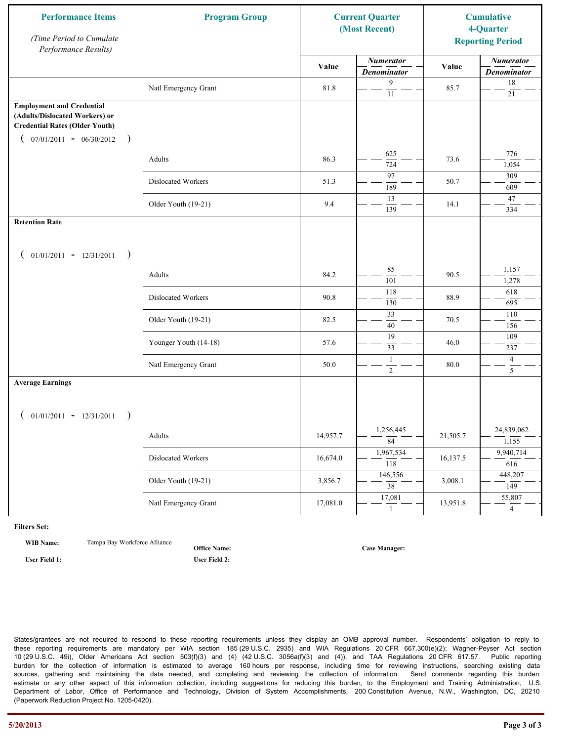| <b>Performance Items</b><br>(Time Period to Cumulate<br>Performance Results)                                                                              | <b>Program Group</b>  |          | <b>Current Quarter</b><br>(Most Recent) |          | <b>Cumulative</b><br>4-Quarter<br><b>Reporting Period</b> |
|-----------------------------------------------------------------------------------------------------------------------------------------------------------|-----------------------|----------|-----------------------------------------|----------|-----------------------------------------------------------|
|                                                                                                                                                           |                       | Value    | <b>Numerator</b><br><b>Denominator</b>  | Value    | <b>Numerator</b><br><b>Denominator</b>                    |
|                                                                                                                                                           | Natl Emergency Grant  | 81.8     | 9<br>$\overline{11}$                    | 85.7     | 18<br>$21\,$                                              |
| <b>Employment and Credential</b><br>(Adults/Dislocated Workers) or<br><b>Credential Rates (Older Youth)</b><br>$07/01/2011 - 06/30/2012$<br>$\rightarrow$ |                       |          |                                         |          |                                                           |
|                                                                                                                                                           | Adults                | 86.3     | 625<br>724                              | 73.6     | 776<br>1,054                                              |
|                                                                                                                                                           | Dislocated Workers    | 51.3     | 97<br>189                               | 50.7     | 309<br>609                                                |
|                                                                                                                                                           | Older Youth (19-21)   | 9.4      | 13<br>139                               | 14.1     | 47<br>334                                                 |
| <b>Retention Rate</b>                                                                                                                                     |                       |          |                                         |          |                                                           |
| $01/01/2011 - 12/31/2011$ )                                                                                                                               |                       |          |                                         |          |                                                           |
|                                                                                                                                                           | Adults                | 84.2     | 85<br>101                               | 90.5     | 1,157<br>1,278                                            |
|                                                                                                                                                           | Dislocated Workers    | 90.8     | 118<br>130                              | 88.9     | 618<br>695                                                |
|                                                                                                                                                           | Older Youth (19-21)   | 82.5     | 33<br>40                                | 70.5     | 110<br>156                                                |
|                                                                                                                                                           | Younger Youth (14-18) | 57.6     | 19<br>33                                | 46.0     | 109<br>237                                                |
|                                                                                                                                                           | Natl Emergency Grant  | 50.0     | $\mathbf{1}$<br>$\overline{2}$          | 80.0     | $\overline{4}$<br>$\overline{5}$                          |
| <b>Average Earnings</b>                                                                                                                                   |                       |          |                                         |          |                                                           |
| $01/01/2011 - 12/31/2011$                                                                                                                                 |                       |          |                                         |          |                                                           |
|                                                                                                                                                           | Adults                | 14,957.7 | 1,256,445<br>$\overline{84}$            | 21,505.7 | 24,839,062<br>1,155                                       |
|                                                                                                                                                           | Dislocated Workers    | 16,674.0 | 1,967,534<br>$\overline{118}$           | 16,137.5 | 9,940,714<br>616                                          |
|                                                                                                                                                           | Older Youth (19-21)   | 3,856.7  | 146,556<br>$\overline{38}$              | 3,008.1  | 448,207<br>149                                            |
|                                                                                                                                                           | Natl Emergency Grant  | 17,081.0 | 17,081<br>-1                            | 13,951.8 | 55,807<br>$\overline{4}$                                  |

**WIB Name:** Tampa Bay Workforce Alliance

**Office Name:**

**User Field 1: User Field 2:**

**Case Manager:**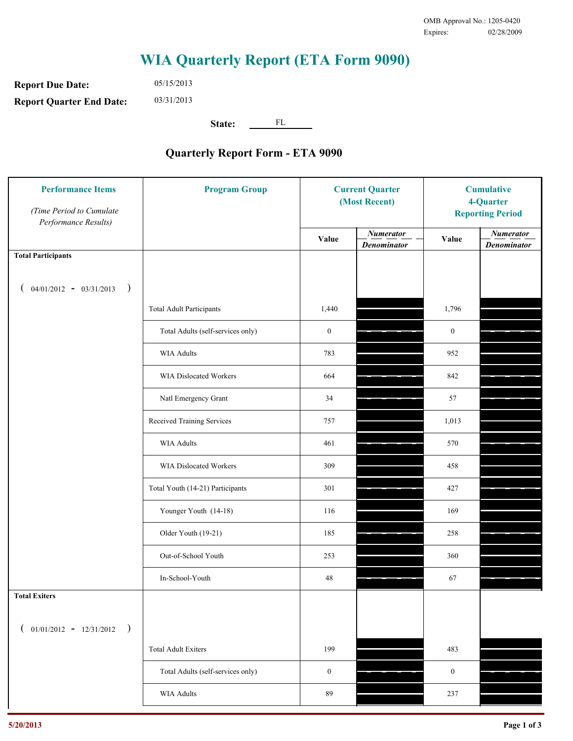**Report Due Date: Report Quarter End Date:** 05/15/2013 03/31/2013

**State:** FL

| <b>Performance Items</b><br>(Time Period to Cumulate<br>Performance Results) | <b>Program Group</b>              | <b>Current Quarter</b><br>(Most Recent) |                                        | <b>Cumulative</b><br>4-Quarter<br><b>Reporting Period</b> |                                        |
|------------------------------------------------------------------------------|-----------------------------------|-----------------------------------------|----------------------------------------|-----------------------------------------------------------|----------------------------------------|
|                                                                              |                                   | Value                                   | <b>Numerator</b><br><b>Denominator</b> | Value                                                     | <b>Numerator</b><br><b>Denominator</b> |
| <b>Total Participants</b>                                                    |                                   |                                         |                                        |                                                           |                                        |
| $04/01/2012 - 03/31/2013$ )                                                  |                                   |                                         |                                        |                                                           |                                        |
|                                                                              | <b>Total Adult Participants</b>   | 1,440                                   |                                        | 1,796                                                     |                                        |
|                                                                              | Total Adults (self-services only) | $\boldsymbol{0}$                        |                                        | $\boldsymbol{0}$                                          |                                        |
|                                                                              | WIA Adults                        | 783                                     |                                        | 952                                                       |                                        |
|                                                                              | WIA Dislocated Workers            | 664                                     |                                        | 842                                                       |                                        |
|                                                                              | Natl Emergency Grant              | 34                                      |                                        | 57                                                        |                                        |
|                                                                              | Received Training Services        | 757                                     |                                        | 1,013                                                     |                                        |
|                                                                              | <b>WIA Adults</b>                 | 461                                     |                                        | 570                                                       |                                        |
|                                                                              | WIA Dislocated Workers            | 309                                     |                                        | 458                                                       |                                        |
|                                                                              | Total Youth (14-21) Participants  | 301                                     |                                        | 427                                                       |                                        |
|                                                                              | Younger Youth (14-18)             | 116                                     |                                        | 169                                                       |                                        |
|                                                                              | Older Youth (19-21)               | 185                                     |                                        | 258                                                       |                                        |
|                                                                              | Out-of-School Youth               | 253                                     |                                        | 360                                                       |                                        |
|                                                                              | In-School-Youth                   | $48\,$                                  |                                        | 67                                                        |                                        |
| <b>Total Exiters</b>                                                         |                                   |                                         |                                        |                                                           |                                        |
| $01/01/2012 - 12/31/2012$<br>$\rightarrow$                                   |                                   |                                         |                                        |                                                           |                                        |
|                                                                              | <b>Total Adult Exiters</b>        | 199                                     |                                        | 483                                                       |                                        |
|                                                                              | Total Adults (self-services only) | $\boldsymbol{0}$                        |                                        | $\boldsymbol{0}$                                          |                                        |
|                                                                              | <b>WIA Adults</b>                 | 89                                      |                                        | 237                                                       |                                        |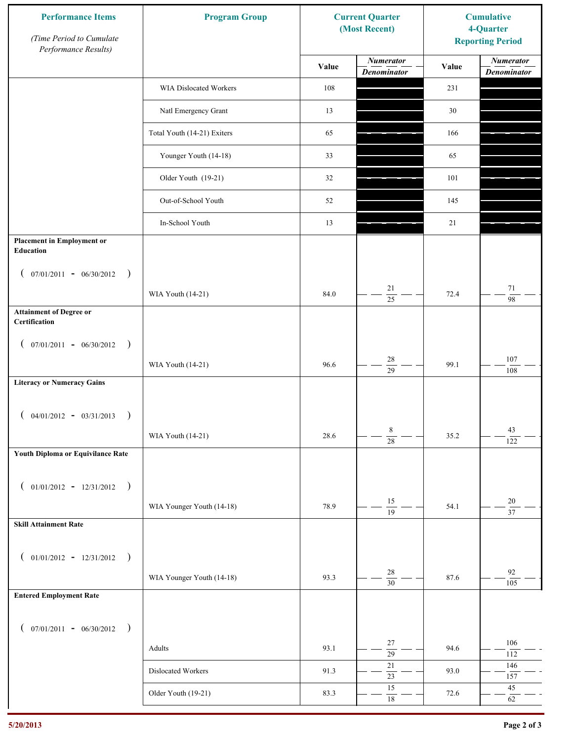| <b>Performance Items</b><br>(Time Period to Cumulate<br>Performance Results) | <b>Program Group</b>        | <b>Current Quarter</b><br>(Most Recent) |                                        | <b>Cumulative</b><br>4-Quarter<br><b>Reporting Period</b> |                                        |
|------------------------------------------------------------------------------|-----------------------------|-----------------------------------------|----------------------------------------|-----------------------------------------------------------|----------------------------------------|
|                                                                              |                             | Value                                   | <b>Numerator</b><br><b>Denominator</b> | Value                                                     | <b>Numerator</b><br><b>Denominator</b> |
|                                                                              | WIA Dislocated Workers      | 108                                     |                                        | 231                                                       |                                        |
|                                                                              | Natl Emergency Grant        | 13                                      |                                        | 30                                                        |                                        |
|                                                                              | Total Youth (14-21) Exiters | 65                                      |                                        | 166                                                       |                                        |
|                                                                              | Younger Youth (14-18)       | 33                                      |                                        | 65                                                        |                                        |
|                                                                              | Older Youth (19-21)         | 32                                      |                                        | 101                                                       |                                        |
|                                                                              | Out-of-School Youth         | 52                                      |                                        | 145                                                       |                                        |
|                                                                              | In-School Youth             | 13                                      |                                        | 21                                                        |                                        |
| <b>Placement in Employment or</b><br>Education                               |                             |                                         |                                        |                                                           |                                        |
| $07/01/2011 - 06/30/2012$<br>$\rightarrow$<br>$\mathcal{L}$                  |                             |                                         |                                        |                                                           |                                        |
|                                                                              | WIA Youth (14-21)           | 84.0                                    | 21<br>25                               | 72.4                                                      | $71\,$<br>98                           |
| <b>Attainment of Degree or</b><br>Certification                              |                             |                                         |                                        |                                                           |                                        |
| $($ 07/01/2011 - 06/30/2012<br>$\rightarrow$                                 |                             |                                         |                                        |                                                           |                                        |
|                                                                              | WIA Youth (14-21)           | 96.6                                    | $28\,$<br>$\overline{29}$              | 99.1                                                      | 107<br>108                             |
| <b>Literacy or Numeracy Gains</b>                                            |                             |                                         |                                        |                                                           |                                        |
| $($ 04/01/2012 - 03/31/2013<br>$\rightarrow$                                 |                             |                                         |                                        |                                                           |                                        |
|                                                                              | WIA Youth (14-21)           | 28.6                                    | 8<br>$\overline{28}$                   | 35.2                                                      | 43<br>122                              |
| Youth Diploma or Equivilance Rate                                            |                             |                                         |                                        |                                                           |                                        |
| $01/01/2012 - 12/31/2012$ )<br>$\left($                                      |                             |                                         |                                        |                                                           |                                        |
|                                                                              | WIA Younger Youth (14-18)   | 78.9                                    | 15                                     | 54.1                                                      | $20\,$                                 |
| <b>Skill Attainment Rate</b>                                                 |                             |                                         | $\overline{19}$                        |                                                           | $\overline{37}$                        |
|                                                                              |                             |                                         |                                        |                                                           |                                        |
| $01/01/2012 - 12/31/2012$ )<br>$\overline{ }$                                | WIA Younger Youth (14-18)   | 93.3                                    | $28\,$                                 | 87.6                                                      | 92                                     |
| <b>Entered Employment Rate</b>                                               |                             |                                         | $\overline{30}$                        |                                                           | 105                                    |
|                                                                              |                             |                                         |                                        |                                                           |                                        |
| $($ 07/01/2011 - 06/30/2012 )                                                |                             |                                         | 27                                     |                                                           | 106                                    |
|                                                                              | Adults                      | 93.1                                    | $\overline{29}$                        | 94.6                                                      | 112                                    |
|                                                                              | Dislocated Workers          | 91.3                                    | $21\,$<br>$\overline{23}$              | 93.0                                                      | 146<br>157                             |
|                                                                              | Older Youth (19-21)         | 83.3                                    | 15<br>$\overline{18}$                  | 72.6                                                      | $45\,$<br>62                           |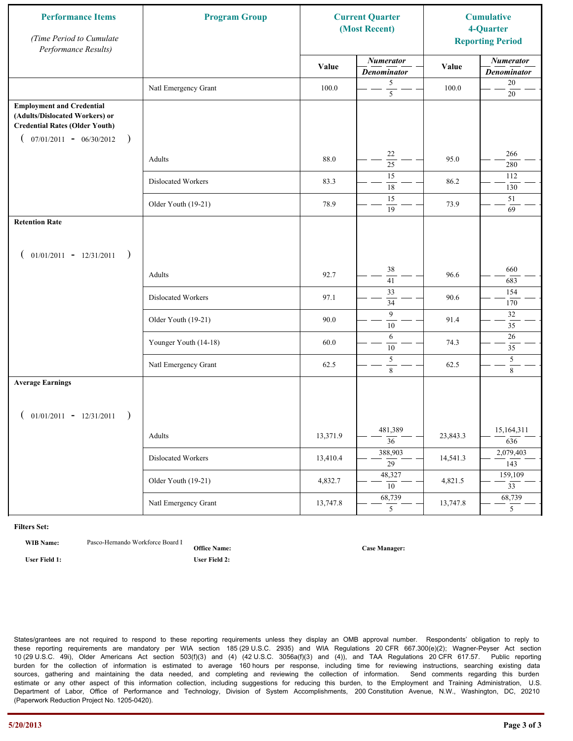| <b>Performance Items</b><br>(Time Period to Cumulate<br>Performance Results)                                                                              | <b>Program Group</b>  |          | <b>Current Quarter</b><br>(Most Recent) |          | <b>Cumulative</b><br>4-Quarter<br><b>Reporting Period</b> |
|-----------------------------------------------------------------------------------------------------------------------------------------------------------|-----------------------|----------|-----------------------------------------|----------|-----------------------------------------------------------|
|                                                                                                                                                           |                       | Value    | <b>Numerator</b><br><b>Denominator</b>  | Value    | <b>Numerator</b><br><b>Denominator</b>                    |
|                                                                                                                                                           | Natl Emergency Grant  | 100.0    | 5<br>$\overline{5}$                     | 100.0    | $20\,$<br>$20\,$                                          |
| <b>Employment and Credential</b><br>(Adults/Dislocated Workers) or<br><b>Credential Rates (Older Youth)</b><br>$07/01/2011 - 06/30/2012$<br>$\rightarrow$ |                       |          |                                         |          |                                                           |
|                                                                                                                                                           | Adults                | 88.0     | 22<br>$\overline{25}$                   | 95.0     | 266<br>280                                                |
|                                                                                                                                                           | Dislocated Workers    | 83.3     | 15<br>18                                | 86.2     | 112<br>130                                                |
|                                                                                                                                                           | Older Youth (19-21)   | 78.9     | 15<br>19                                | 73.9     | 51<br>69                                                  |
| <b>Retention Rate</b>                                                                                                                                     |                       |          |                                         |          |                                                           |
| $01/01/2011 - 12/31/2011$<br>$\rightarrow$                                                                                                                |                       |          |                                         |          |                                                           |
|                                                                                                                                                           | Adults                | 92.7     | 38<br>41                                | 96.6     | 660<br>683                                                |
|                                                                                                                                                           | Dislocated Workers    | 97.1     | $\overline{33}$<br>34                   | 90.6     | 154<br>170                                                |
|                                                                                                                                                           | Older Youth (19-21)   | 90.0     | 9<br>10                                 | 91.4     | $32\,$<br>$\overline{35}$                                 |
|                                                                                                                                                           | Younger Youth (14-18) | 60.0     | 6<br>10                                 | 74.3     | 26<br>35                                                  |
|                                                                                                                                                           | Natl Emergency Grant  | 62.5     | $\sqrt{5}$<br>8                         | 62.5     | 5<br>$\,8\,$                                              |
| <b>Average Earnings</b>                                                                                                                                   |                       |          |                                         |          |                                                           |
| $01/01/2011 - 12/31/2011$<br>$\rightarrow$                                                                                                                |                       |          |                                         |          |                                                           |
|                                                                                                                                                           | Adults                | 13,371.9 | 481,389<br>$\overline{36}$              | 23,843.3 | 15,164,311<br>636                                         |
|                                                                                                                                                           | Dislocated Workers    | 13,410.4 | 388,903<br>$\overline{29}$              | 14,541.3 | 2,079,403<br>143                                          |
|                                                                                                                                                           | Older Youth (19-21)   | 4,832.7  | 48,327<br>10                            | 4,821.5  | 159,109<br>$\overline{33}$                                |
|                                                                                                                                                           | Natl Emergency Grant  | 13,747.8 | 68,739<br>5 <sup>5</sup>                | 13,747.8 | 68,739<br>5 <sup>5</sup>                                  |

**WIB Name:** Pasco-Hernando Workforce Board I

**Office Name: User Field 1: User Field 2:**

**Case Manager:**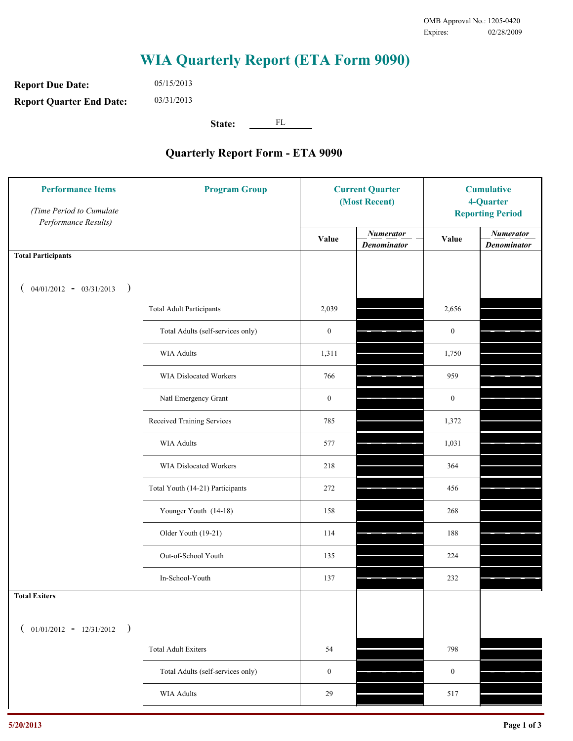**Report Due Date: Report Quarter End Date:** 05/15/2013 03/31/2013

**State:** FL

| <b>Performance Items</b><br>(Time Period to Cumulate<br>Performance Results) | <b>Program Group</b>              | <b>Current Quarter</b><br>(Most Recent) |                                        | <b>Cumulative</b><br>4-Quarter<br><b>Reporting Period</b> |                                        |
|------------------------------------------------------------------------------|-----------------------------------|-----------------------------------------|----------------------------------------|-----------------------------------------------------------|----------------------------------------|
|                                                                              |                                   | Value                                   | <b>Numerator</b><br><b>Denominator</b> | Value                                                     | <b>Numerator</b><br><b>Denominator</b> |
| <b>Total Participants</b>                                                    |                                   |                                         |                                        |                                                           |                                        |
| $04/01/2012 - 03/31/2013$ )                                                  |                                   |                                         |                                        |                                                           |                                        |
|                                                                              | <b>Total Adult Participants</b>   | 2,039                                   |                                        | 2,656                                                     |                                        |
|                                                                              | Total Adults (self-services only) | $\boldsymbol{0}$                        |                                        | $\boldsymbol{0}$                                          |                                        |
|                                                                              | <b>WIA Adults</b>                 | 1,311                                   |                                        | 1,750                                                     |                                        |
|                                                                              | <b>WIA Dislocated Workers</b>     | 766                                     |                                        | 959                                                       |                                        |
|                                                                              | Natl Emergency Grant              | $\boldsymbol{0}$                        |                                        | $\boldsymbol{0}$                                          |                                        |
|                                                                              | Received Training Services        | 785                                     |                                        | 1,372                                                     |                                        |
|                                                                              | <b>WIA Adults</b>                 | 577                                     |                                        | 1,031                                                     |                                        |
|                                                                              | WIA Dislocated Workers            | 218                                     |                                        | 364                                                       |                                        |
|                                                                              | Total Youth (14-21) Participants  | 272                                     |                                        | 456                                                       |                                        |
|                                                                              | Younger Youth (14-18)             | 158                                     |                                        | 268                                                       |                                        |
|                                                                              | Older Youth (19-21)               | 114                                     |                                        | 188                                                       |                                        |
|                                                                              | Out-of-School Youth               | 135                                     |                                        | 224                                                       |                                        |
|                                                                              | In-School-Youth                   | 137                                     |                                        | 232                                                       |                                        |
| <b>Total Exiters</b>                                                         |                                   |                                         |                                        |                                                           |                                        |
| $($ 01/01/2012 - 12/31/2012 )                                                |                                   |                                         |                                        |                                                           |                                        |
|                                                                              | <b>Total Adult Exiters</b>        | 54                                      |                                        | 798                                                       |                                        |
|                                                                              | Total Adults (self-services only) | $\boldsymbol{0}$                        |                                        | $\boldsymbol{0}$                                          |                                        |
|                                                                              | WIA Adults                        | $29\,$                                  |                                        | 517                                                       |                                        |
|                                                                              |                                   |                                         |                                        |                                                           |                                        |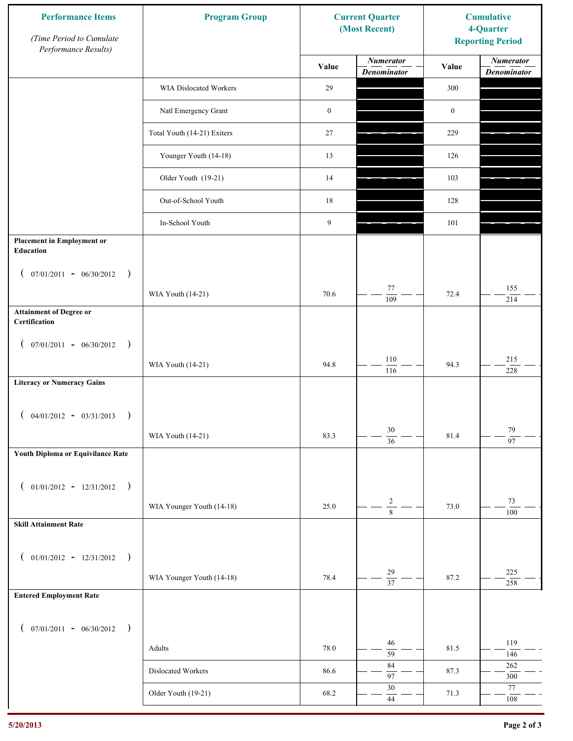| Performance Results)<br><b>Numerator</b><br><b>Numerator</b><br>Value<br>Value<br><b>Denominator</b><br><b>Denominator</b><br>29<br>WIA Dislocated Workers<br>300<br>Natl Emergency Grant<br>$\boldsymbol{0}$<br>$\boldsymbol{0}$<br>Total Youth (14-21) Exiters<br>27<br>229<br>Younger Youth (14-18)<br>13<br>126<br>Older Youth (19-21)<br>14<br>103<br>Out-of-School Youth<br>18<br>128<br>9<br>In-School Youth<br>101<br><b>Placement in Employment or</b><br>Education<br>$07/01/2011 - 06/30/2012$<br>$\rightarrow$<br>$\overline{ }$<br>77<br>155<br>70.6<br>72.4<br>WIA Youth (14-21)<br>109<br>214 | <b>Reporting Period</b> |
|--------------------------------------------------------------------------------------------------------------------------------------------------------------------------------------------------------------------------------------------------------------------------------------------------------------------------------------------------------------------------------------------------------------------------------------------------------------------------------------------------------------------------------------------------------------------------------------------------------------|-------------------------|
|                                                                                                                                                                                                                                                                                                                                                                                                                                                                                                                                                                                                              |                         |
|                                                                                                                                                                                                                                                                                                                                                                                                                                                                                                                                                                                                              |                         |
|                                                                                                                                                                                                                                                                                                                                                                                                                                                                                                                                                                                                              |                         |
|                                                                                                                                                                                                                                                                                                                                                                                                                                                                                                                                                                                                              |                         |
|                                                                                                                                                                                                                                                                                                                                                                                                                                                                                                                                                                                                              |                         |
|                                                                                                                                                                                                                                                                                                                                                                                                                                                                                                                                                                                                              |                         |
|                                                                                                                                                                                                                                                                                                                                                                                                                                                                                                                                                                                                              |                         |
|                                                                                                                                                                                                                                                                                                                                                                                                                                                                                                                                                                                                              |                         |
|                                                                                                                                                                                                                                                                                                                                                                                                                                                                                                                                                                                                              |                         |
|                                                                                                                                                                                                                                                                                                                                                                                                                                                                                                                                                                                                              |                         |
|                                                                                                                                                                                                                                                                                                                                                                                                                                                                                                                                                                                                              |                         |
| <b>Attainment of Degree or</b><br>Certification                                                                                                                                                                                                                                                                                                                                                                                                                                                                                                                                                              |                         |
| $($ 07/01/2011 - 06/30/2012<br>$\rightarrow$                                                                                                                                                                                                                                                                                                                                                                                                                                                                                                                                                                 |                         |
| $110\,$<br>215<br>94.8<br>94.3<br>WIA Youth (14-21)<br>116<br>228                                                                                                                                                                                                                                                                                                                                                                                                                                                                                                                                            |                         |
| <b>Literacy or Numeracy Gains</b>                                                                                                                                                                                                                                                                                                                                                                                                                                                                                                                                                                            |                         |
| $($ 04/01/2012 - 03/31/2013<br>$\rightarrow$                                                                                                                                                                                                                                                                                                                                                                                                                                                                                                                                                                 |                         |
| $30\,$<br>79<br>WIA Youth (14-21)<br>81.4<br>83.3<br>$\overline{97}$<br>$\overline{36}$                                                                                                                                                                                                                                                                                                                                                                                                                                                                                                                      |                         |
| Youth Diploma or Equivilance Rate                                                                                                                                                                                                                                                                                                                                                                                                                                                                                                                                                                            |                         |
| $01/01/2012 - 12/31/2012$ )<br>$\left($                                                                                                                                                                                                                                                                                                                                                                                                                                                                                                                                                                      |                         |
| $\sqrt{2}$<br>73<br>WIA Younger Youth (14-18)<br>73.0<br>25.0                                                                                                                                                                                                                                                                                                                                                                                                                                                                                                                                                |                         |
| $\overline{8}$<br>100<br><b>Skill Attainment Rate</b>                                                                                                                                                                                                                                                                                                                                                                                                                                                                                                                                                        |                         |
|                                                                                                                                                                                                                                                                                                                                                                                                                                                                                                                                                                                                              |                         |
| $01/01/2012 - 12/31/2012$ )<br>$\overline{ }$<br>29<br>225                                                                                                                                                                                                                                                                                                                                                                                                                                                                                                                                                   |                         |
| WIA Younger Youth (14-18)<br>78.4<br>87.2<br>$\overline{37}$<br>258<br><b>Entered Employment Rate</b>                                                                                                                                                                                                                                                                                                                                                                                                                                                                                                        |                         |
|                                                                                                                                                                                                                                                                                                                                                                                                                                                                                                                                                                                                              |                         |
| $($ 07/01/2011 - 06/30/2012 )                                                                                                                                                                                                                                                                                                                                                                                                                                                                                                                                                                                |                         |
| 119<br>46<br>81.5<br>Adults<br>78.0<br>$\overline{59}$<br>146                                                                                                                                                                                                                                                                                                                                                                                                                                                                                                                                                |                         |
| 84<br>$262\,$<br>Dislocated Workers<br>86.6<br>87.3<br>97<br>$300\,$                                                                                                                                                                                                                                                                                                                                                                                                                                                                                                                                         |                         |
| $30\,$<br>77<br>Older Youth (19-21)<br>68.2<br>71.3<br>$44$<br>$108\,$                                                                                                                                                                                                                                                                                                                                                                                                                                                                                                                                       |                         |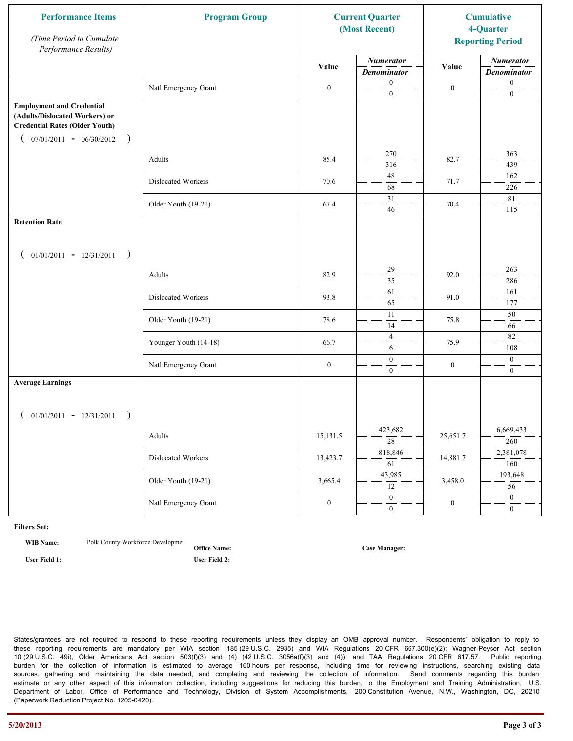| <b>Performance Items</b><br>(Time Period to Cumulate<br>Performance Results)                                                                              | <b>Program Group</b>  | <b>Current Quarter</b><br>(Most Recent) |                                        | <b>Cumulative</b><br>4-Quarter<br><b>Reporting Period</b> |                                        |
|-----------------------------------------------------------------------------------------------------------------------------------------------------------|-----------------------|-----------------------------------------|----------------------------------------|-----------------------------------------------------------|----------------------------------------|
|                                                                                                                                                           |                       | Value                                   | <b>Numerator</b><br><b>Denominator</b> | Value                                                     | <b>Numerator</b><br><b>Denominator</b> |
|                                                                                                                                                           | Natl Emergency Grant  | $\boldsymbol{0}$                        | $\mathbf{0}$<br>$\mathbf{0}$           | $\boldsymbol{0}$                                          | $\boldsymbol{0}$<br>$\boldsymbol{0}$   |
| <b>Employment and Credential</b><br>(Adults/Dislocated Workers) or<br><b>Credential Rates (Older Youth)</b><br>$07/01/2011 - 06/30/2012$<br>$\rightarrow$ |                       |                                         |                                        |                                                           |                                        |
|                                                                                                                                                           | Adults                | 85.4                                    | 270<br>316                             | 82.7                                                      | 363<br>439                             |
|                                                                                                                                                           | Dislocated Workers    | 70.6                                    | 48<br>68                               | 71.7                                                      | 162<br>226                             |
|                                                                                                                                                           | Older Youth (19-21)   | 67.4                                    | 31<br>46                               | 70.4                                                      | 81<br>115                              |
| <b>Retention Rate</b>                                                                                                                                     |                       |                                         |                                        |                                                           |                                        |
| $01/01/2011 - 12/31/2011$<br>$\rightarrow$                                                                                                                |                       |                                         |                                        |                                                           |                                        |
|                                                                                                                                                           | Adults                | 82.9                                    | 29<br>35                               | 92.0                                                      | 263<br>286                             |
|                                                                                                                                                           | Dislocated Workers    | 93.8                                    | 61<br>65                               | 91.0                                                      | 161<br>177                             |
|                                                                                                                                                           | Older Youth (19-21)   | 78.6                                    | 11<br>14                               | 75.8                                                      | 50<br>66                               |
|                                                                                                                                                           | Younger Youth (14-18) | 66.7                                    | $\overline{4}$<br>6                    | 75.9                                                      | 82<br>108                              |
|                                                                                                                                                           | Natl Emergency Grant  | $\boldsymbol{0}$                        | $\boldsymbol{0}$<br>$\mathbf{0}$       | $\boldsymbol{0}$                                          | $\boldsymbol{0}$<br>$\overline{0}$     |
| <b>Average Earnings</b>                                                                                                                                   |                       |                                         |                                        |                                                           |                                        |
| $01/01/2011 - 12/31/2011$<br>$\rightarrow$                                                                                                                |                       |                                         |                                        |                                                           |                                        |
|                                                                                                                                                           | Adults                | 15,131.5                                | 423,682<br>$\overline{28}$             | 25,651.7                                                  | 6,669,433<br>260                       |
|                                                                                                                                                           | Dislocated Workers    | 13,423.7                                | 818,846<br>61                          | 14,881.7                                                  | 2,381,078<br>160                       |
|                                                                                                                                                           | Older Youth (19-21)   | 3,665.4                                 | 43,985<br>12                           | 3,458.0                                                   | 193,648<br>56                          |
|                                                                                                                                                           | Natl Emergency Grant  | $\boldsymbol{0}$                        | $\overline{0}$<br>$\mathbf{0}$         | $\boldsymbol{0}$                                          | $\overline{0}$<br>$\overline{0}$       |

**WIB Name:** Polk County Workforce Developme

**Office Name: User Field 1: User Field 2:**

**Case Manager:**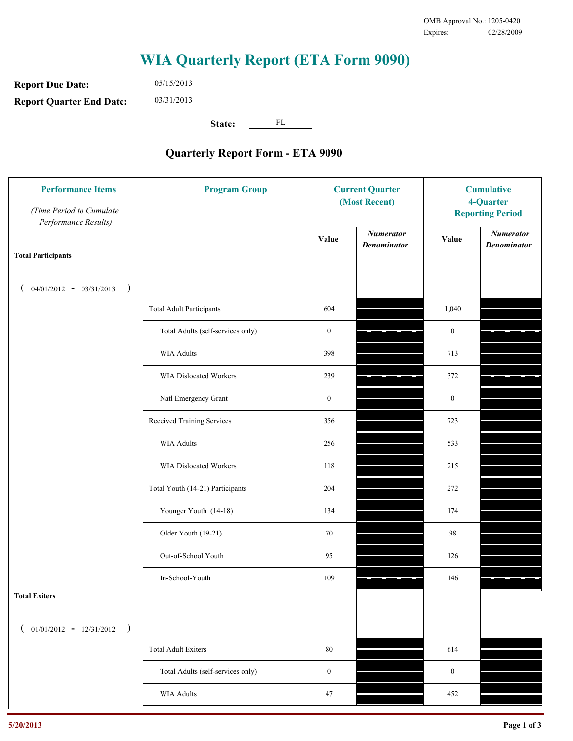**Report Due Date: Report Quarter End Date:** 05/15/2013 03/31/2013

**State:** FL

| <b>Performance Items</b><br>(Time Period to Cumulate<br>Performance Results) | <b>Program Group</b>              | <b>Current Quarter</b><br>(Most Recent) |                                        | <b>Cumulative</b><br>4-Quarter<br><b>Reporting Period</b> |                                        |
|------------------------------------------------------------------------------|-----------------------------------|-----------------------------------------|----------------------------------------|-----------------------------------------------------------|----------------------------------------|
|                                                                              |                                   | Value                                   | <b>Numerator</b><br><b>Denominator</b> | Value                                                     | <b>Numerator</b><br><b>Denominator</b> |
| <b>Total Participants</b>                                                    |                                   |                                         |                                        |                                                           |                                        |
| $04/01/2012 - 03/31/2013$ )                                                  |                                   |                                         |                                        |                                                           |                                        |
|                                                                              | <b>Total Adult Participants</b>   | 604                                     |                                        | 1,040                                                     |                                        |
|                                                                              | Total Adults (self-services only) | $\boldsymbol{0}$                        |                                        | $\boldsymbol{0}$                                          |                                        |
|                                                                              | <b>WIA Adults</b>                 | 398                                     |                                        | 713                                                       |                                        |
|                                                                              | WIA Dislocated Workers            | 239                                     |                                        | 372                                                       |                                        |
|                                                                              | Natl Emergency Grant              | $\boldsymbol{0}$                        |                                        | $\boldsymbol{0}$                                          |                                        |
|                                                                              | Received Training Services        | 356                                     |                                        | 723                                                       |                                        |
|                                                                              | <b>WIA Adults</b>                 | 256                                     |                                        | 533                                                       |                                        |
|                                                                              | WIA Dislocated Workers            | 118                                     |                                        | 215                                                       |                                        |
|                                                                              | Total Youth (14-21) Participants  | 204                                     |                                        | 272                                                       |                                        |
|                                                                              | Younger Youth (14-18)             | 134                                     |                                        | 174                                                       |                                        |
|                                                                              | Older Youth (19-21)               | 70                                      |                                        | 98                                                        |                                        |
|                                                                              | Out-of-School Youth               | 95                                      |                                        | 126                                                       |                                        |
|                                                                              | In-School-Youth                   | 109                                     |                                        | 146                                                       |                                        |
| <b>Total Exiters</b>                                                         |                                   |                                         |                                        |                                                           |                                        |
| $01/01/2012 - 12/31/2012$<br>$\rightarrow$                                   |                                   |                                         |                                        |                                                           |                                        |
|                                                                              | <b>Total Adult Exiters</b>        | 80                                      |                                        | 614                                                       |                                        |
|                                                                              | Total Adults (self-services only) | $\boldsymbol{0}$                        |                                        | $\boldsymbol{0}$                                          |                                        |
|                                                                              | WIA Adults                        | 47                                      |                                        | 452                                                       |                                        |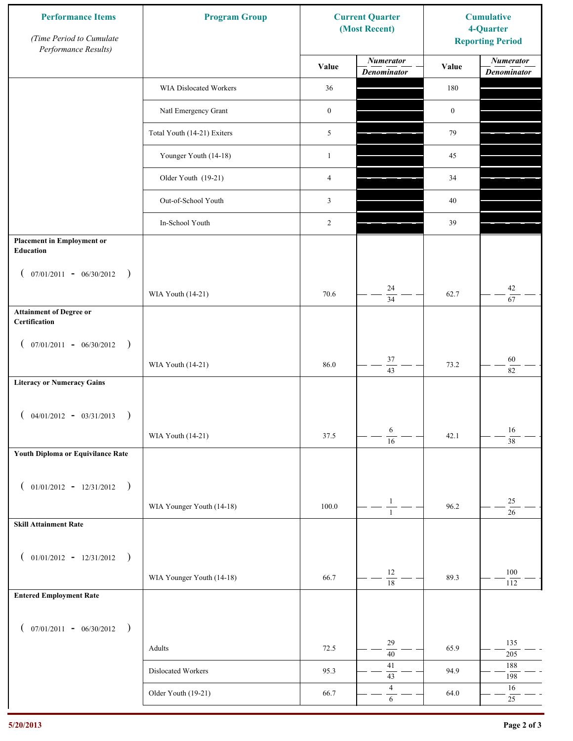| <b>Performance Items</b><br>(Time Period to Cumulate<br>Performance Results) | <b>Program Group</b>        | <b>Current Quarter</b><br>(Most Recent) |                                        | <b>Cumulative</b><br>4-Quarter<br><b>Reporting Period</b> |                                        |
|------------------------------------------------------------------------------|-----------------------------|-----------------------------------------|----------------------------------------|-----------------------------------------------------------|----------------------------------------|
|                                                                              |                             | Value                                   | <b>Numerator</b><br><b>Denominator</b> | Value                                                     | <b>Numerator</b><br><b>Denominator</b> |
|                                                                              | WIA Dislocated Workers      | 36                                      |                                        | 180                                                       |                                        |
|                                                                              | Natl Emergency Grant        | $\boldsymbol{0}$                        |                                        | $\boldsymbol{0}$                                          |                                        |
|                                                                              | Total Youth (14-21) Exiters | 5                                       |                                        | 79                                                        |                                        |
|                                                                              | Younger Youth (14-18)       | $\mathbf{1}$                            |                                        | 45                                                        |                                        |
|                                                                              | Older Youth (19-21)         | $\overline{4}$                          |                                        | 34                                                        |                                        |
|                                                                              | Out-of-School Youth         | 3                                       |                                        | $40\,$                                                    |                                        |
|                                                                              | In-School Youth             | 2                                       |                                        | 39                                                        |                                        |
| <b>Placement in Employment or</b><br><b>Education</b>                        |                             |                                         |                                        |                                                           |                                        |
| $07/01/2011 - 06/30/2012$<br>$\rightarrow$<br>$\left($                       |                             |                                         |                                        |                                                           |                                        |
|                                                                              | WIA Youth (14-21)           | 70.6                                    | 24<br>$\overline{34}$                  | 62.7                                                      | 42<br>67                               |
| <b>Attainment of Degree or</b><br>Certification                              |                             |                                         |                                        |                                                           |                                        |
| $($ 07/01/2011 - 06/30/2012<br>$\rightarrow$                                 |                             |                                         |                                        |                                                           |                                        |
|                                                                              | WIA Youth (14-21)           | 86.0                                    | $37\,$<br>$\overline{43}$              | 73.2                                                      | $60\,$<br>$\overline{82}$              |
| <b>Literacy or Numeracy Gains</b>                                            |                             |                                         |                                        |                                                           |                                        |
| $04/01/2012 - 03/31/2013$<br>$\rightarrow$                                   |                             |                                         |                                        |                                                           |                                        |
|                                                                              | WIA Youth (14-21)           | 37.5                                    | 6<br>$\overline{16}$                   | 42.1                                                      | 16<br>$\overline{38}$                  |
| Youth Diploma or Equivilance Rate                                            |                             |                                         |                                        |                                                           |                                        |
| $01/01/2012 - 12/31/2012$ )<br>$\left($                                      |                             |                                         |                                        |                                                           |                                        |
|                                                                              | WIA Younger Youth (14-18)   | 100.0                                   | $\mathbf{1}$                           | 96.2                                                      | $25\,$                                 |
| <b>Skill Attainment Rate</b>                                                 |                             |                                         | $\mathbf{1}$                           |                                                           | $\overline{26}$                        |
|                                                                              |                             |                                         |                                        |                                                           |                                        |
| $01/01/2012 - 12/31/2012$ )<br>$\overline{ }$                                |                             |                                         | $12\,$                                 |                                                           | 100                                    |
| <b>Entered Employment Rate</b>                                               | WIA Younger Youth (14-18)   | 66.7                                    | $\overline{18}$                        | 89.3                                                      | 112                                    |
|                                                                              |                             |                                         |                                        |                                                           |                                        |
| $($ 07/01/2011 - 06/30/2012 )                                                |                             |                                         |                                        |                                                           |                                        |
|                                                                              | Adults                      | 72.5                                    | 29<br>$\overline{40}$                  | 65.9                                                      | 135<br>$205\,$                         |
|                                                                              | Dislocated Workers          | 95.3                                    | $41\,$<br>43                           | 94.9                                                      | 188<br>198                             |
|                                                                              | Older Youth (19-21)         | 66.7                                    | $\overline{4}$<br>$\sqrt{6}$           | 64.0                                                      | 16<br>$25\,$                           |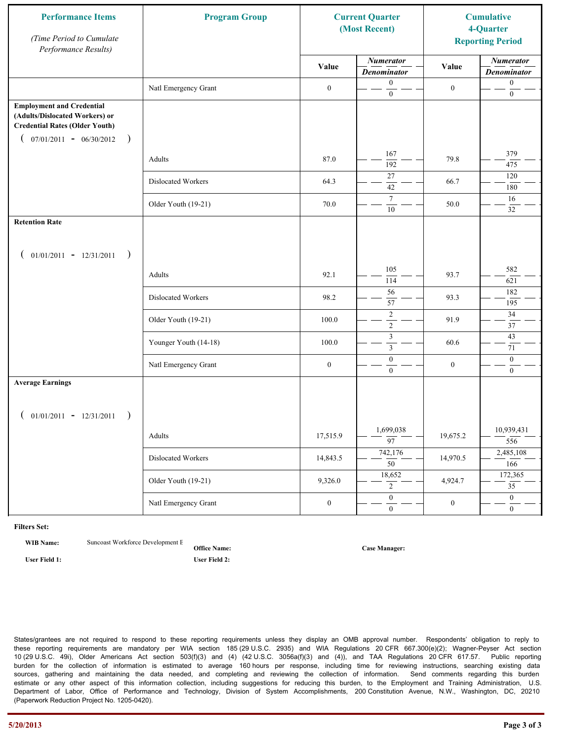| <b>Performance Items</b><br>(Time Period to Cumulate<br>Performance Results)                                                                              | <b>Program Group</b>  | <b>Current Quarter</b><br>(Most Recent) |                                        | <b>Cumulative</b><br>4-Quarter<br><b>Reporting Period</b> |                                        |
|-----------------------------------------------------------------------------------------------------------------------------------------------------------|-----------------------|-----------------------------------------|----------------------------------------|-----------------------------------------------------------|----------------------------------------|
|                                                                                                                                                           |                       | Value                                   | <b>Numerator</b><br><b>Denominator</b> | Value                                                     | <b>Numerator</b><br><b>Denominator</b> |
|                                                                                                                                                           | Natl Emergency Grant  | $\boldsymbol{0}$                        | $\mathbf{0}$<br>$\boldsymbol{0}$       | $\boldsymbol{0}$                                          | $\boldsymbol{0}$<br>$\boldsymbol{0}$   |
| <b>Employment and Credential</b><br>(Adults/Dislocated Workers) or<br><b>Credential Rates (Older Youth)</b><br>$07/01/2011 - 06/30/2012$<br>$\rightarrow$ |                       |                                         |                                        |                                                           |                                        |
|                                                                                                                                                           | Adults                | 87.0                                    | 167<br>192                             | 79.8                                                      | 379<br>475                             |
|                                                                                                                                                           | Dislocated Workers    | 64.3                                    | 27<br>42                               | 66.7                                                      | 120<br>180                             |
|                                                                                                                                                           | Older Youth (19-21)   | 70.0                                    | $\tau$<br>10                           | 50.0                                                      | 16<br>32                               |
| <b>Retention Rate</b>                                                                                                                                     |                       |                                         |                                        |                                                           |                                        |
| $01/01/2011 - 12/31/2011$<br>$\rightarrow$                                                                                                                |                       |                                         |                                        |                                                           |                                        |
|                                                                                                                                                           | Adults                | 92.1                                    | 105<br>114                             | 93.7                                                      | 582<br>621                             |
|                                                                                                                                                           | Dislocated Workers    | 98.2                                    | 56<br>57                               | 93.3                                                      | 182<br>195                             |
|                                                                                                                                                           | Older Youth (19-21)   | 100.0                                   | $\sqrt{2}$<br>$\overline{2}$           | 91.9                                                      | 34<br>37                               |
|                                                                                                                                                           | Younger Youth (14-18) | 100.0                                   | $\mathfrak z$<br>$\mathfrak{Z}$        | 60.6                                                      | 43<br>71                               |
|                                                                                                                                                           | Natl Emergency Grant  | $\boldsymbol{0}$                        | $\boldsymbol{0}$<br>$\mathbf{0}$       | $\boldsymbol{0}$                                          | $\boldsymbol{0}$<br>$\overline{0}$     |
| <b>Average Earnings</b>                                                                                                                                   |                       |                                         |                                        |                                                           |                                        |
| $01/01/2011 - 12/31/2011$<br>$\rightarrow$                                                                                                                |                       |                                         |                                        |                                                           |                                        |
|                                                                                                                                                           | Adults                | 17,515.9                                | 1,699,038<br>$\overline{97}$           | 19,675.2                                                  | 10,939,431<br>556                      |
|                                                                                                                                                           | Dislocated Workers    | 14,843.5                                | 742,176<br>$\overline{50}$             | 14,970.5                                                  | 2,485,108<br>166                       |
|                                                                                                                                                           | Older Youth (19-21)   | 9,326.0                                 | 18,652<br>$\overline{2}$               | 4,924.7                                                   | 172,365<br>$\overline{35}$             |
|                                                                                                                                                           | Natl Emergency Grant  | $\boldsymbol{0}$                        | $\overline{0}$<br>$\mathbf{0}$         | $\boldsymbol{0}$                                          | $\overline{0}$<br>$\overline{0}$       |

**WIB Name:** Suncoast Workforce Development E

**Office Name: User Field 1: User Field 2:**

**Case Manager:**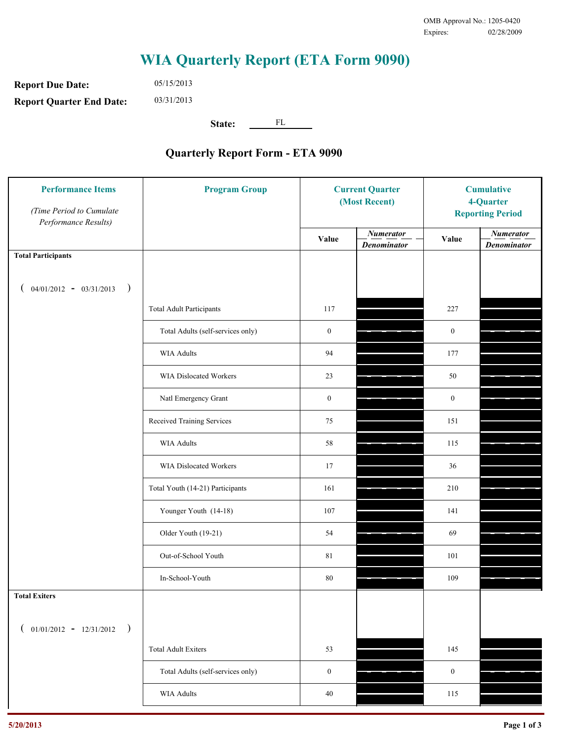**Report Due Date: Report Quarter End Date:** 05/15/2013 03/31/2013

**State:** FL

| <b>Performance Items</b><br>(Time Period to Cumulate<br>Performance Results) | <b>Program Group</b>              | <b>Current Quarter</b><br>(Most Recent) |                                        | <b>Cumulative</b><br>4-Quarter<br><b>Reporting Period</b> |                                        |
|------------------------------------------------------------------------------|-----------------------------------|-----------------------------------------|----------------------------------------|-----------------------------------------------------------|----------------------------------------|
|                                                                              |                                   | Value                                   | <b>Numerator</b><br><b>Denominator</b> | Value                                                     | <b>Numerator</b><br><b>Denominator</b> |
| <b>Total Participants</b>                                                    |                                   |                                         |                                        |                                                           |                                        |
| $04/01/2012 - 03/31/2013$ )                                                  |                                   |                                         |                                        |                                                           |                                        |
|                                                                              | <b>Total Adult Participants</b>   | 117                                     |                                        | 227                                                       |                                        |
|                                                                              | Total Adults (self-services only) | $\boldsymbol{0}$                        |                                        | $\boldsymbol{0}$                                          |                                        |
|                                                                              | WIA Adults                        | 94                                      |                                        | 177                                                       |                                        |
|                                                                              | <b>WIA Dislocated Workers</b>     | 23                                      |                                        | 50                                                        |                                        |
|                                                                              | Natl Emergency Grant              | $\boldsymbol{0}$                        |                                        | $\boldsymbol{0}$                                          |                                        |
|                                                                              | Received Training Services        | 75                                      |                                        | 151                                                       |                                        |
|                                                                              | <b>WIA Adults</b>                 | 58                                      |                                        | 115                                                       |                                        |
|                                                                              | WIA Dislocated Workers            | 17                                      |                                        | 36                                                        |                                        |
|                                                                              | Total Youth (14-21) Participants  | 161                                     |                                        | 210                                                       |                                        |
|                                                                              | Younger Youth (14-18)             | 107                                     |                                        | 141                                                       |                                        |
|                                                                              | Older Youth (19-21)               | 54                                      |                                        | 69                                                        |                                        |
|                                                                              | Out-of-School Youth               | $8\sqrt{1}$                             |                                        | 101                                                       |                                        |
|                                                                              | In-School-Youth                   | $80\,$                                  |                                        | 109                                                       |                                        |
| <b>Total Exiters</b>                                                         |                                   |                                         |                                        |                                                           |                                        |
| $01/01/2012 - 12/31/2012$ )<br>$\left($                                      |                                   |                                         |                                        |                                                           |                                        |
|                                                                              | <b>Total Adult Exiters</b>        | 53                                      |                                        | 145                                                       |                                        |
|                                                                              | Total Adults (self-services only) | $\boldsymbol{0}$                        |                                        | $\boldsymbol{0}$                                          |                                        |
|                                                                              | WIA Adults                        | $40\,$                                  |                                        | 115                                                       |                                        |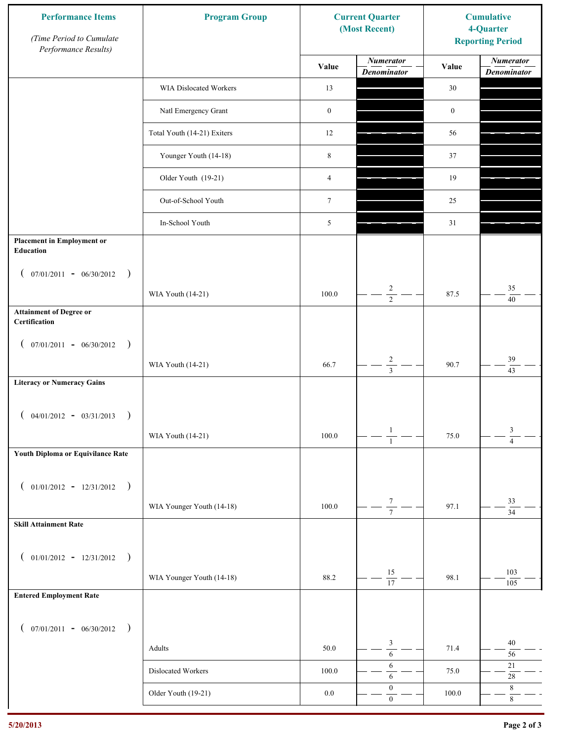| <b>Performance Items</b><br>(Time Period to Cumulate<br>Performance Results) | <b>Program Group</b>        | <b>Current Quarter</b><br>(Most Recent) |                                           | <b>Cumulative</b><br>4-Quarter<br><b>Reporting Period</b> |                                        |
|------------------------------------------------------------------------------|-----------------------------|-----------------------------------------|-------------------------------------------|-----------------------------------------------------------|----------------------------------------|
|                                                                              |                             | Value                                   | <b>Numerator</b><br><b>Denominator</b>    | Value                                                     | <b>Numerator</b><br><b>Denominator</b> |
|                                                                              | WIA Dislocated Workers      | 13                                      |                                           | 30                                                        |                                        |
|                                                                              | Natl Emergency Grant        | $\boldsymbol{0}$                        |                                           | $\boldsymbol{0}$                                          |                                        |
|                                                                              | Total Youth (14-21) Exiters | 12                                      |                                           | 56                                                        |                                        |
|                                                                              | Younger Youth (14-18)       | $\,$ 8 $\,$                             |                                           | 37                                                        |                                        |
|                                                                              | Older Youth (19-21)         | $\overline{4}$                          |                                           | 19                                                        |                                        |
|                                                                              | Out-of-School Youth         | $\boldsymbol{7}$                        |                                           | 25                                                        |                                        |
|                                                                              | In-School Youth             | 5                                       |                                           | 31                                                        |                                        |
| <b>Placement in Employment or</b><br>Education                               |                             |                                         |                                           |                                                           |                                        |
| $07/01/2011 - 06/30/2012$<br>$\rightarrow$<br>$\overline{ }$                 |                             | 100.0                                   | $\overline{c}$                            | 87.5                                                      | 35                                     |
| <b>Attainment of Degree or</b>                                               | WIA Youth (14-21)           |                                         | $\overline{2}$                            |                                                           | 40                                     |
| Certification                                                                |                             |                                         |                                           |                                                           |                                        |
| $($ 07/01/2011 - 06/30/2012<br>$\rightarrow$                                 |                             |                                         |                                           |                                                           |                                        |
|                                                                              | WIA Youth (14-21)           | 66.7                                    | $\overline{\mathbf{c}}$<br>$\overline{3}$ | 90.7                                                      | 39<br>43                               |
| <b>Literacy or Numeracy Gains</b>                                            |                             |                                         |                                           |                                                           |                                        |
| $($ 04/01/2012 - 03/31/2013<br>$\rightarrow$                                 |                             |                                         |                                           |                                                           |                                        |
|                                                                              | WIA Youth (14-21)           | $100.0\,$                               | $\mathbf{1}$<br>$\overline{1}$            | 75.0                                                      | 3<br>$\overline{4}$                    |
| Youth Diploma or Equivilance Rate                                            |                             |                                         |                                           |                                                           |                                        |
| $01/01/2012 - 12/31/2012$ )<br>$\overline{ }$                                |                             |                                         |                                           |                                                           |                                        |
|                                                                              | WIA Younger Youth (14-18)   | 100.0                                   | $\frac{7}{7}$                             | 97.1                                                      | 33                                     |
| <b>Skill Attainment Rate</b>                                                 |                             |                                         |                                           |                                                           | $\overline{34}$                        |
|                                                                              |                             |                                         |                                           |                                                           |                                        |
| $01/01/2012 - 12/31/2012$ )<br>$\overline{ }$                                |                             |                                         | 15                                        |                                                           | 103                                    |
| <b>Entered Employment Rate</b>                                               | WIA Younger Youth (14-18)   | 88.2                                    | $\overline{17}$                           | 98.1                                                      | 105                                    |
|                                                                              |                             |                                         |                                           |                                                           |                                        |
| $($ 07/01/2011 - 06/30/2012 )                                                |                             |                                         |                                           |                                                           |                                        |
|                                                                              | Adults                      | 50.0                                    | 3<br>$\sqrt{6}$                           | 71.4                                                      | $40\,$<br>56                           |
|                                                                              | Dislocated Workers          | $100.0\,$                               | 6<br>6                                    | 75.0                                                      | $21\,$<br>$28\,$                       |
|                                                                              | Older Youth (19-21)         | $0.0\,$                                 | $\boldsymbol{0}$<br>$\mathbf{0}$          | 100.0                                                     | $\,8\,$<br>$\,8\,$                     |
|                                                                              |                             |                                         |                                           |                                                           |                                        |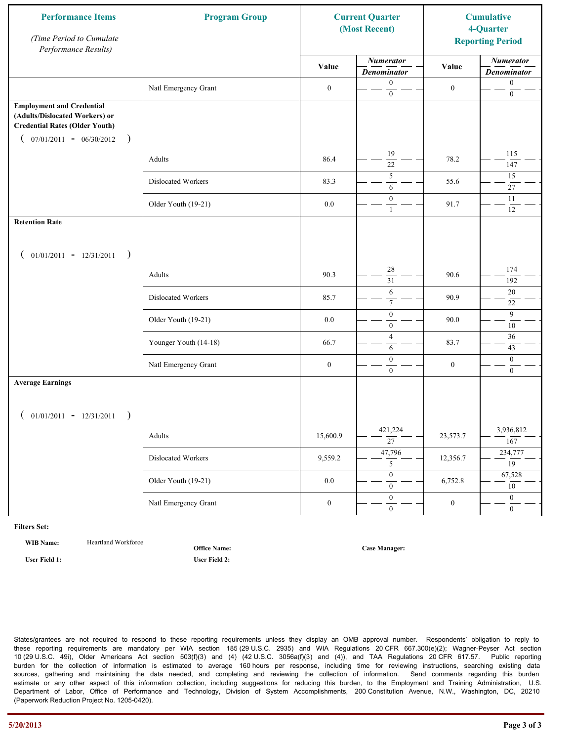| <b>Performance Items</b><br>(Time Period to Cumulate<br>Performance Results)                                                                              | <b>Program Group</b>  | <b>Current Quarter</b><br>(Most Recent) |                                        | <b>Cumulative</b><br>4-Quarter<br><b>Reporting Period</b> |                                        |
|-----------------------------------------------------------------------------------------------------------------------------------------------------------|-----------------------|-----------------------------------------|----------------------------------------|-----------------------------------------------------------|----------------------------------------|
|                                                                                                                                                           |                       | Value                                   | <b>Numerator</b><br><b>Denominator</b> | Value                                                     | <b>Numerator</b><br><b>Denominator</b> |
|                                                                                                                                                           | Natl Emergency Grant  | $\boldsymbol{0}$                        | $\mathbf{0}$<br>$\mathbf{0}$           | $\boldsymbol{0}$                                          | $\boldsymbol{0}$<br>$\boldsymbol{0}$   |
| <b>Employment and Credential</b><br>(Adults/Dislocated Workers) or<br><b>Credential Rates (Older Youth)</b><br>$07/01/2011 - 06/30/2012$<br>$\rightarrow$ |                       |                                         |                                        |                                                           |                                        |
|                                                                                                                                                           | Adults                | 86.4                                    | 19<br>$\overline{22}$                  | 78.2                                                      | 115<br>147                             |
|                                                                                                                                                           | Dislocated Workers    | 83.3                                    | 5<br>6                                 | 55.6                                                      | 15<br>27                               |
|                                                                                                                                                           | Older Youth (19-21)   | $0.0\,$                                 | $\mathbf{0}$<br>$\mathbf{1}$           | 91.7                                                      | 11<br>12                               |
| <b>Retention Rate</b>                                                                                                                                     |                       |                                         |                                        |                                                           |                                        |
| $01/01/2011 - 12/31/2011$<br>$\rightarrow$                                                                                                                |                       |                                         |                                        |                                                           |                                        |
|                                                                                                                                                           | Adults                | 90.3                                    | 28<br>$\overline{31}$                  | 90.6                                                      | 174<br>192                             |
|                                                                                                                                                           | Dislocated Workers    | 85.7                                    | 6<br>$\tau$                            | 90.9                                                      | $20\,$<br>22                           |
|                                                                                                                                                           | Older Youth (19-21)   | 0.0                                     | $\boldsymbol{0}$<br>$\mathbf{0}$       | 90.0                                                      | 9<br>10                                |
|                                                                                                                                                           | Younger Youth (14-18) | 66.7                                    | $\overline{4}$<br>6                    | 83.7                                                      | $36\,$<br>43                           |
|                                                                                                                                                           | Natl Emergency Grant  | $\boldsymbol{0}$                        | $\boldsymbol{0}$<br>$\mathbf{0}$       | $\boldsymbol{0}$                                          | $\mathbf{0}$<br>$\overline{0}$         |
| <b>Average Earnings</b>                                                                                                                                   |                       |                                         |                                        |                                                           |                                        |
| $01/01/2011 - 12/31/2011$<br>$\rightarrow$                                                                                                                |                       |                                         |                                        |                                                           |                                        |
|                                                                                                                                                           | Adults                | 15,600.9                                | 421,224<br>$\overline{27}$             | 23,573.7                                                  | 3,936,812<br>167                       |
|                                                                                                                                                           | Dislocated Workers    | 9,559.2                                 | 47,796<br>5                            | 12,356.7                                                  | 234,777<br>19                          |
|                                                                                                                                                           | Older Youth (19-21)   | $0.0\,$                                 | $\overline{0}$<br>$\mathbf{0}$         | 6,752.8                                                   | 67,528<br>10                           |
|                                                                                                                                                           | Natl Emergency Grant  | $\boldsymbol{0}$                        | $\overline{0}$<br>$\overline{0}$       | $\boldsymbol{0}$                                          | $\overline{0}$<br>$\overline{0}$       |

WIB Name: **Heartland Workforce** 

**Office Name:**

**User Field 1: User Field 2:**

**Case Manager:**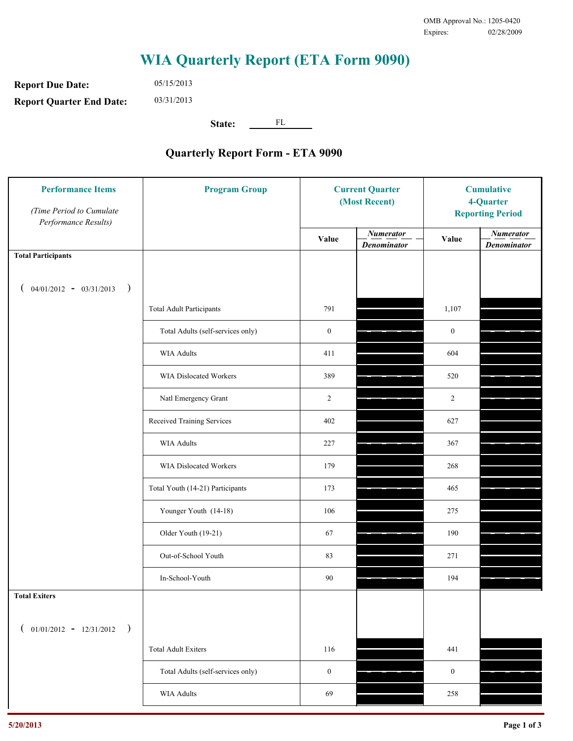**Report Due Date: Report Quarter End Date:** 05/15/2013 03/31/2013

**State:** FL

| <b>Performance Items</b><br>(Time Period to Cumulate<br>Performance Results) | <b>Program Group</b>              | <b>Current Quarter</b><br>(Most Recent) |                                        | <b>Cumulative</b><br>4-Quarter<br><b>Reporting Period</b> |                                        |
|------------------------------------------------------------------------------|-----------------------------------|-----------------------------------------|----------------------------------------|-----------------------------------------------------------|----------------------------------------|
|                                                                              |                                   | Value                                   | <b>Numerator</b><br><b>Denominator</b> | Value                                                     | <b>Numerator</b><br><b>Denominator</b> |
| <b>Total Participants</b>                                                    |                                   |                                         |                                        |                                                           |                                        |
| $04/01/2012 - 03/31/2013$ )                                                  |                                   |                                         |                                        |                                                           |                                        |
|                                                                              | <b>Total Adult Participants</b>   | 791                                     |                                        | 1,107                                                     |                                        |
|                                                                              | Total Adults (self-services only) | $\boldsymbol{0}$                        |                                        | $\boldsymbol{0}$                                          |                                        |
|                                                                              | <b>WIA Adults</b>                 | 411                                     |                                        | 604                                                       |                                        |
|                                                                              | <b>WIA Dislocated Workers</b>     | 389                                     |                                        | 520                                                       |                                        |
|                                                                              | Natl Emergency Grant              | $\overline{c}$                          |                                        | $\overline{2}$                                            |                                        |
|                                                                              | Received Training Services        | 402                                     |                                        | 627                                                       |                                        |
|                                                                              | <b>WIA Adults</b>                 | 227                                     |                                        | 367                                                       |                                        |
|                                                                              | WIA Dislocated Workers            | 179                                     |                                        | 268                                                       |                                        |
|                                                                              | Total Youth (14-21) Participants  | 173                                     |                                        | 465                                                       |                                        |
|                                                                              | Younger Youth (14-18)             | 106                                     |                                        | 275                                                       |                                        |
|                                                                              | Older Youth (19-21)               | 67                                      |                                        | 190                                                       |                                        |
|                                                                              | Out-of-School Youth               | 83                                      |                                        | 271                                                       |                                        |
|                                                                              | In-School-Youth                   | 90                                      |                                        | 194                                                       |                                        |
| <b>Total Exiters</b>                                                         |                                   |                                         |                                        |                                                           |                                        |
| $01/01/2012 - 12/31/2012$<br>$\rightarrow$                                   |                                   |                                         |                                        |                                                           |                                        |
|                                                                              | <b>Total Adult Exiters</b>        | 116                                     |                                        | 441                                                       |                                        |
|                                                                              | Total Adults (self-services only) | $\boldsymbol{0}$                        |                                        | $\boldsymbol{0}$                                          |                                        |
|                                                                              | WIA Adults                        | 69                                      |                                        | 258                                                       |                                        |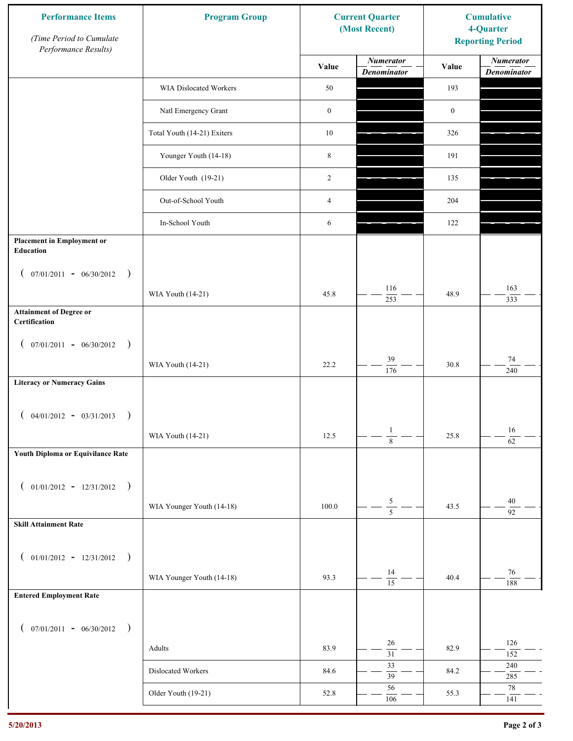| <b>Performance Items</b><br>(Time Period to Cumulate<br>Performance Results) | <b>Program Group</b>        | <b>Current Quarter</b><br>(Most Recent) |                                        | <b>Cumulative</b><br>4-Quarter<br><b>Reporting Period</b> |                                        |
|------------------------------------------------------------------------------|-----------------------------|-----------------------------------------|----------------------------------------|-----------------------------------------------------------|----------------------------------------|
|                                                                              |                             | Value                                   | <b>Numerator</b><br><b>Denominator</b> | Value                                                     | <b>Numerator</b><br><b>Denominator</b> |
|                                                                              | WIA Dislocated Workers      | 50                                      |                                        | 193                                                       |                                        |
|                                                                              | Natl Emergency Grant        | $\boldsymbol{0}$                        |                                        | $\boldsymbol{0}$                                          |                                        |
|                                                                              | Total Youth (14-21) Exiters | $10\,$                                  |                                        | 326                                                       |                                        |
|                                                                              | Younger Youth (14-18)       | $\,$ 8 $\,$                             |                                        | 191                                                       |                                        |
|                                                                              | Older Youth (19-21)         | 2                                       |                                        | 135                                                       |                                        |
|                                                                              | Out-of-School Youth         | $\overline{4}$                          |                                        | 204                                                       |                                        |
|                                                                              | In-School Youth             | 6                                       |                                        | 122                                                       |                                        |
| <b>Placement in Employment or</b><br>Education                               |                             |                                         |                                        |                                                           |                                        |
| $07/01/2011 - 06/30/2012$<br>$\rightarrow$<br>$\overline{ }$                 | WIA Youth (14-21)           | 45.8                                    | 116                                    | 48.9                                                      | 163                                    |
| <b>Attainment of Degree or</b>                                               |                             |                                         | 253                                    |                                                           | 333                                    |
| Certification                                                                |                             |                                         |                                        |                                                           |                                        |
| $($ 07/01/2011 - 06/30/2012<br>$\rightarrow$                                 |                             |                                         | 39                                     |                                                           | $74\,$                                 |
| <b>Literacy or Numeracy Gains</b>                                            | WIA Youth (14-21)           | 22.2                                    | $\overline{176}$                       | 30.8                                                      | 240                                    |
|                                                                              |                             |                                         |                                        |                                                           |                                        |
| $04/01/2012 - 03/31/2013$<br>$\rightarrow$                                   |                             |                                         |                                        |                                                           |                                        |
|                                                                              | WIA Youth (14-21)           | 12.5                                    | $\mathbf{1}$<br>$\overline{8}$         | 25.8                                                      | 16<br>$\overline{62}$                  |
| Youth Diploma or Equivilance Rate                                            |                             |                                         |                                        |                                                           |                                        |
| $01/01/2012 - 12/31/2012$ )<br>$\left($                                      |                             |                                         |                                        |                                                           |                                        |
|                                                                              | WIA Younger Youth (14-18)   | 100.0                                   | $\frac{5}{5}$                          | 43.5                                                      | 40<br>92                               |
| <b>Skill Attainment Rate</b>                                                 |                             |                                         |                                        |                                                           |                                        |
| $01/01/2012 - 12/31/2012$ )<br>$\overline{ }$                                |                             |                                         |                                        |                                                           |                                        |
|                                                                              | WIA Younger Youth (14-18)   | 93.3                                    | 14<br>$\overline{15}$                  | 40.4                                                      | 76                                     |
| <b>Entered Employment Rate</b>                                               |                             |                                         |                                        |                                                           | 188                                    |
|                                                                              |                             |                                         |                                        |                                                           |                                        |
| $($ 07/01/2011 - 06/30/2012 )                                                | Adults                      | 83.9                                    | 26                                     | 82.9                                                      | 126                                    |
|                                                                              |                             |                                         | $\overline{31}$<br>33                  |                                                           | 152<br>$240\,$                         |
|                                                                              | Dislocated Workers          | 84.6                                    | $\overline{39}$<br>56                  | 84.2                                                      | 285<br>78                              |
|                                                                              | Older Youth (19-21)         | 52.8                                    | 106                                    | 55.3                                                      | 141                                    |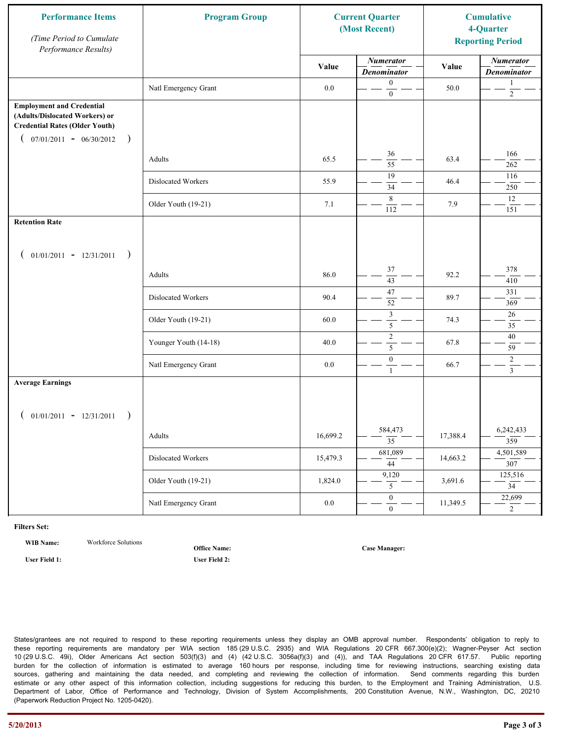| <b>Performance Items</b><br>(Time Period to Cumulate<br>Performance Results)                                                                              | <b>Program Group</b>  | <b>Current Quarter</b><br>(Most Recent) |                                        |          |                                        | <b>Cumulative</b><br>4-Quarter<br><b>Reporting Period</b> |
|-----------------------------------------------------------------------------------------------------------------------------------------------------------|-----------------------|-----------------------------------------|----------------------------------------|----------|----------------------------------------|-----------------------------------------------------------|
|                                                                                                                                                           |                       | Value                                   | <b>Numerator</b><br><b>Denominator</b> | Value    | <b>Numerator</b><br><b>Denominator</b> |                                                           |
|                                                                                                                                                           | Natl Emergency Grant  | $0.0\,$                                 | $\mathbf{0}$<br>$\mathbf{0}$           | 50.0     | 1<br>$\overline{c}$                    |                                                           |
| <b>Employment and Credential</b><br>(Adults/Dislocated Workers) or<br><b>Credential Rates (Older Youth)</b><br>$07/01/2011 - 06/30/2012$<br>$\rightarrow$ |                       |                                         |                                        |          |                                        |                                                           |
|                                                                                                                                                           | Adults                | 65.5                                    | 36<br>55                               | 63.4     | 166<br>262                             |                                                           |
|                                                                                                                                                           | Dislocated Workers    | 55.9                                    | 19<br>34                               | 46.4     | 116<br>250                             |                                                           |
|                                                                                                                                                           | Older Youth (19-21)   | 7.1                                     | 8<br>112                               | 7.9      | 12<br>151                              |                                                           |
| <b>Retention Rate</b>                                                                                                                                     |                       |                                         |                                        |          |                                        |                                                           |
| $01/01/2011 - 12/31/2011$<br>$\overline{\phantom{a}}$                                                                                                     |                       |                                         |                                        |          |                                        |                                                           |
|                                                                                                                                                           | Adults                | 86.0                                    | 37<br>43                               | 92.2     | 378<br>410                             |                                                           |
|                                                                                                                                                           | Dislocated Workers    | 90.4                                    | 47<br>52                               | 89.7     | 331<br>369                             |                                                           |
|                                                                                                                                                           | Older Youth (19-21)   | 60.0                                    | $\mathfrak z$<br>5                     | 74.3     | 26<br>35                               |                                                           |
|                                                                                                                                                           | Younger Youth (14-18) | 40.0                                    | $\sqrt{2}$<br>5                        | 67.8     | 40<br>59                               |                                                           |
|                                                                                                                                                           | Natl Emergency Grant  | 0.0                                     | $\boldsymbol{0}$<br>$\mathbf{1}$       | 66.7     | $\overline{c}$<br>$\overline{3}$       |                                                           |
| <b>Average Earnings</b>                                                                                                                                   |                       |                                         |                                        |          |                                        |                                                           |
| $01/01/2011 - 12/31/2011$<br>$\rightarrow$                                                                                                                |                       |                                         |                                        |          |                                        |                                                           |
|                                                                                                                                                           | Adults                | 16,699.2                                | 584,473<br>$\overline{35}$             | 17,388.4 | 6,242,433<br>359                       |                                                           |
|                                                                                                                                                           | Dislocated Workers    | 15,479.3                                | 681,089<br>44                          | 14,663.2 | 4,501,589<br>307                       |                                                           |
|                                                                                                                                                           | Older Youth (19-21)   | 1,824.0                                 | 9,120<br>5                             | 3,691.6  | 125,516<br>$\overline{34}$             |                                                           |
|                                                                                                                                                           | Natl Emergency Grant  | $0.0\,$                                 | $\overline{0}$<br>$\mathbf{0}$         | 11,349.5 | 22,699<br>$\overline{2}$               |                                                           |

**WIB Name:** Workforce Solutions

**Office Name:**

**User Field 1: User Field 2:**

**Case Manager:**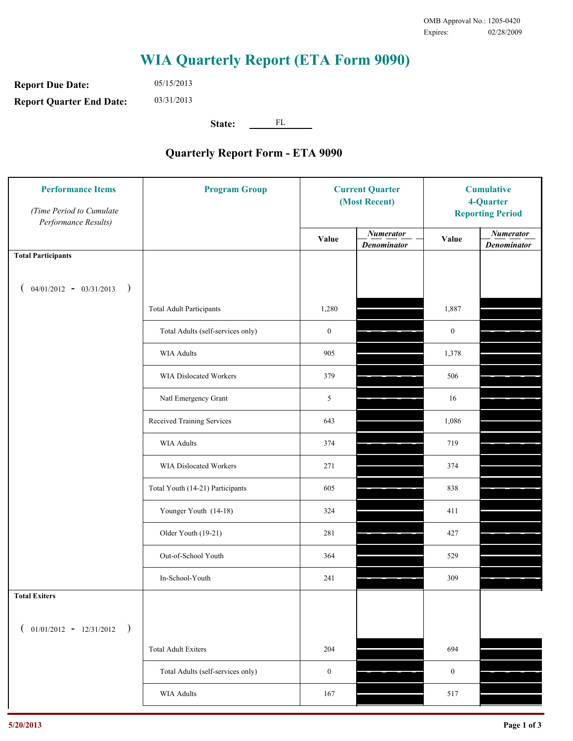**Report Due Date: Report Quarter End Date:** 05/15/2013 03/31/2013

**State:** FL

| <b>Performance Items</b><br>(Time Period to Cumulate<br>Performance Results) | <b>Program Group</b>              | <b>Current Quarter</b><br>(Most Recent) |                                        | <b>Cumulative</b><br>4-Quarter<br><b>Reporting Period</b> |                                        |
|------------------------------------------------------------------------------|-----------------------------------|-----------------------------------------|----------------------------------------|-----------------------------------------------------------|----------------------------------------|
|                                                                              |                                   | Value                                   | <b>Numerator</b><br><b>Denominator</b> | Value                                                     | <b>Numerator</b><br><b>Denominator</b> |
| <b>Total Participants</b>                                                    |                                   |                                         |                                        |                                                           |                                        |
| $04/01/2012 - 03/31/2013$ )                                                  |                                   |                                         |                                        |                                                           |                                        |
|                                                                              | <b>Total Adult Participants</b>   | 1,280                                   |                                        | 1,887                                                     |                                        |
|                                                                              | Total Adults (self-services only) | $\boldsymbol{0}$                        |                                        | $\boldsymbol{0}$                                          |                                        |
|                                                                              | <b>WIA Adults</b>                 | 905                                     |                                        | 1,378                                                     |                                        |
|                                                                              | WIA Dislocated Workers            | 379                                     |                                        | 506                                                       |                                        |
|                                                                              | Natl Emergency Grant              | 5                                       |                                        | 16                                                        |                                        |
|                                                                              | Received Training Services        | 643                                     |                                        | 1,086                                                     |                                        |
|                                                                              | <b>WIA Adults</b>                 | 374                                     |                                        | 719                                                       |                                        |
|                                                                              | WIA Dislocated Workers            | 271                                     |                                        | 374                                                       |                                        |
|                                                                              | Total Youth (14-21) Participants  | 605                                     |                                        | 838                                                       |                                        |
|                                                                              | Younger Youth (14-18)             | 324                                     |                                        | 411                                                       |                                        |
|                                                                              | Older Youth (19-21)               | 281                                     |                                        | 427                                                       |                                        |
|                                                                              | Out-of-School Youth               | 364                                     |                                        | 529                                                       |                                        |
|                                                                              | In-School-Youth                   | 241                                     |                                        | 309                                                       |                                        |
| <b>Total Exiters</b>                                                         |                                   |                                         |                                        |                                                           |                                        |
| $01/01/2012 - 12/31/2012$<br>$\rightarrow$                                   |                                   |                                         |                                        |                                                           |                                        |
|                                                                              | <b>Total Adult Exiters</b>        | 204                                     |                                        | 694                                                       |                                        |
|                                                                              | Total Adults (self-services only) | $\boldsymbol{0}$                        |                                        | $\boldsymbol{0}$                                          |                                        |
|                                                                              | WIA Adults                        | 167                                     |                                        | 517                                                       |                                        |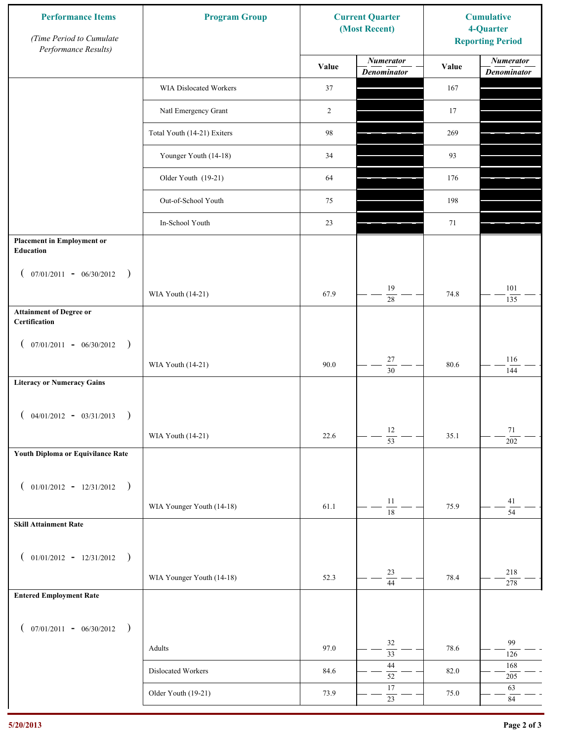| <b>Performance Items</b><br>(Time Period to Cumulate<br>Performance Results) | <b>Program Group</b>        |       | <b>Current Quarter</b><br>(Most Recent) | <b>Cumulative</b><br>4-Quarter<br><b>Reporting Period</b> |                                        |
|------------------------------------------------------------------------------|-----------------------------|-------|-----------------------------------------|-----------------------------------------------------------|----------------------------------------|
|                                                                              |                             | Value | <b>Numerator</b><br><b>Denominator</b>  | Value                                                     | <b>Numerator</b><br><b>Denominator</b> |
|                                                                              | WIA Dislocated Workers      | 37    |                                         | 167                                                       |                                        |
|                                                                              | Natl Emergency Grant        | 2     |                                         | 17                                                        |                                        |
|                                                                              | Total Youth (14-21) Exiters | 98    |                                         | 269                                                       |                                        |
|                                                                              | Younger Youth (14-18)       | 34    |                                         | 93                                                        |                                        |
|                                                                              | Older Youth (19-21)         | 64    |                                         | 176                                                       |                                        |
|                                                                              | Out-of-School Youth         | 75    |                                         | 198                                                       |                                        |
|                                                                              | In-School Youth             | 23    |                                         | 71                                                        |                                        |
| <b>Placement in Employment or</b><br><b>Education</b>                        |                             |       |                                         |                                                           |                                        |
| $07/01/2011 - 06/30/2012$<br>$\rightarrow$<br>$\overline{ }$                 |                             |       |                                         |                                                           |                                        |
|                                                                              | WIA Youth (14-21)           | 67.9  | 19<br>28                                | 74.8                                                      | 101<br>135                             |
| <b>Attainment of Degree or</b><br>Certification                              |                             |       |                                         |                                                           |                                        |
| $($ 07/01/2011 - 06/30/2012<br>$\rightarrow$                                 |                             |       |                                         |                                                           |                                        |
|                                                                              | WIA Youth (14-21)           | 90.0  | $27\,$<br>$\overline{30}$               | 80.6                                                      | 116<br>144                             |
| <b>Literacy or Numeracy Gains</b>                                            |                             |       |                                         |                                                           |                                        |
| $04/01/2012 - 03/31/2013$<br>$\rightarrow$                                   |                             |       |                                         |                                                           |                                        |
|                                                                              | WIA Youth (14-21)           | 22.6  | 12<br>$\overline{53}$                   | 35.1                                                      | 71<br>202                              |
| Youth Diploma or Equivilance Rate                                            |                             |       |                                         |                                                           |                                        |
| $01/01/2012 - 12/31/2012$ )                                                  |                             |       |                                         |                                                           |                                        |
| $\left($                                                                     | WIA Younger Youth (14-18)   | 61.1  | $11\,$                                  | 75.9                                                      | 41                                     |
| <b>Skill Attainment Rate</b>                                                 |                             |       | $\overline{18}$                         |                                                           | $\overline{54}$                        |
|                                                                              |                             |       |                                         |                                                           |                                        |
| $01/01/2012 - 12/31/2012$ )<br>$\left($                                      |                             |       | $23\,$                                  |                                                           | 218                                    |
|                                                                              | WIA Younger Youth (14-18)   | 52.3  | $\overline{44}$                         | 78.4                                                      | 278                                    |
| <b>Entered Employment Rate</b>                                               |                             |       |                                         |                                                           |                                        |
| $($ 07/01/2011 - 06/30/2012 )                                                |                             |       |                                         |                                                           |                                        |
|                                                                              | Adults                      | 97.0  | 32<br>$\overline{33}$                   | 78.6                                                      | 99<br>126                              |
|                                                                              | Dislocated Workers          | 84.6  | $44\,$<br>52                            | 82.0                                                      | 168<br>$205\,$                         |
|                                                                              | Older Youth (19-21)         | 73.9  | $17\,$<br>$\overline{23}$               | 75.0                                                      | 63<br>$\rm 84$                         |
|                                                                              |                             |       |                                         |                                                           |                                        |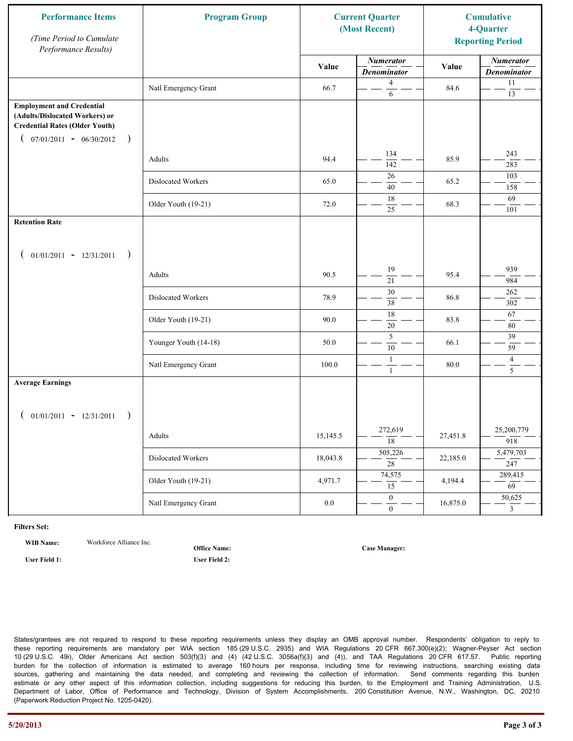| <b>Performance Items</b><br>(Time Period to Cumulate<br>Performance Results)                                                                              | <b>Program Group</b>  |          | <b>Current Quarter</b><br>(Most Recent) |          | <b>Cumulative</b><br>4-Quarter<br><b>Reporting Period</b> |
|-----------------------------------------------------------------------------------------------------------------------------------------------------------|-----------------------|----------|-----------------------------------------|----------|-----------------------------------------------------------|
|                                                                                                                                                           |                       | Value    | <b>Numerator</b><br><b>Denominator</b>  | Value    | <b>Numerator</b><br><b>Denominator</b>                    |
|                                                                                                                                                           | Natl Emergency Grant  | 66.7     | 4<br>6                                  | 84.6     | 11<br>13                                                  |
| <b>Employment and Credential</b><br>(Adults/Dislocated Workers) or<br><b>Credential Rates (Older Youth)</b><br>$07/01/2011 - 06/30/2012$<br>$\rightarrow$ |                       |          |                                         |          |                                                           |
|                                                                                                                                                           | Adults                | 94.4     | 134<br>142                              | 85.9     | 243<br>283                                                |
|                                                                                                                                                           | Dislocated Workers    | 65.0     | 26<br>40                                | 65.2     | 103<br>158                                                |
|                                                                                                                                                           | Older Youth (19-21)   | 72.0     | 18<br>25                                | 68.3     | 69<br>101                                                 |
| <b>Retention Rate</b>                                                                                                                                     |                       |          |                                         |          |                                                           |
| $01/01/2011 - 12/31/2011$<br>$\rightarrow$                                                                                                                |                       |          |                                         |          |                                                           |
|                                                                                                                                                           | Adults                | 90.5     | 19<br>21                                | 95.4     | 939<br>984                                                |
|                                                                                                                                                           | Dislocated Workers    | 78.9     | 30<br>38                                | 86.8     | 262<br>302                                                |
|                                                                                                                                                           | Older Youth (19-21)   | 90.0     | $\overline{18}$<br>$20\,$               | 83.8     | 67<br>$80\,$                                              |
|                                                                                                                                                           | Younger Youth (14-18) | 50.0     | 5<br>$\overline{10}$                    | 66.1     | 39<br>59                                                  |
|                                                                                                                                                           | Natl Emergency Grant  | 100.0    | 1<br>$\mathbf{1}$                       | 80.0     | $\overline{4}$<br>5                                       |
| <b>Average Earnings</b>                                                                                                                                   |                       |          |                                         |          |                                                           |
| $01/01/2011 - 12/31/2011$<br>$\rightarrow$                                                                                                                |                       |          |                                         |          |                                                           |
|                                                                                                                                                           | Adults                | 15,145.5 | 272,619<br>$\overline{18}$              | 27,451.8 | 25,200,779<br>918                                         |
|                                                                                                                                                           | Dislocated Workers    | 18,043.8 | 505,226<br>$\overline{28}$              | 22,185.0 | 5,479,703<br>247                                          |
|                                                                                                                                                           | Older Youth (19-21)   | 4,971.7  | 74,575<br>15                            | 4,194.4  | 289,415<br>$\overline{69}$                                |
|                                                                                                                                                           | Natl Emergency Grant  | $0.0\,$  | $\overline{0}$<br>$\mathbf{0}$          | 16,875.0 | 50,625<br>$\mathbf{3}$                                    |

**WIB Name:** Workforce Alliance Inc.

**Office Name:**

**User Field 1: User Field 2:**

**Case Manager:**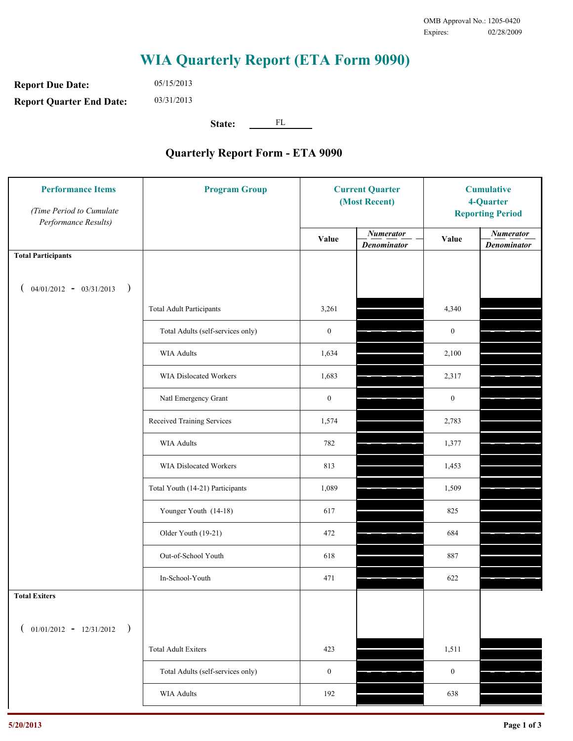**Report Due Date: Report Quarter End Date:** 05/15/2013 03/31/2013

**State:** FL

| <b>Performance Items</b><br>(Time Period to Cumulate<br>Performance Results) | <b>Program Group</b>              |                  | <b>Current Quarter</b><br>(Most Recent) |                  | <b>Cumulative</b><br>4-Quarter<br><b>Reporting Period</b> |  |
|------------------------------------------------------------------------------|-----------------------------------|------------------|-----------------------------------------|------------------|-----------------------------------------------------------|--|
|                                                                              |                                   | Value            | <b>Numerator</b><br><b>Denominator</b>  | Value            | <b>Numerator</b><br><b>Denominator</b>                    |  |
| <b>Total Participants</b>                                                    |                                   |                  |                                         |                  |                                                           |  |
| $04/01/2012 - 03/31/2013$ )                                                  |                                   |                  |                                         |                  |                                                           |  |
|                                                                              | <b>Total Adult Participants</b>   | 3,261            |                                         | 4,340            |                                                           |  |
|                                                                              | Total Adults (self-services only) | $\boldsymbol{0}$ |                                         | $\boldsymbol{0}$ |                                                           |  |
|                                                                              | WIA Adults                        | 1,634            |                                         | 2,100            |                                                           |  |
|                                                                              | WIA Dislocated Workers            | 1,683            |                                         | 2,317            |                                                           |  |
|                                                                              | Natl Emergency Grant              | $\boldsymbol{0}$ |                                         | $\boldsymbol{0}$ |                                                           |  |
|                                                                              | Received Training Services        | 1,574            |                                         | 2,783            |                                                           |  |
|                                                                              | <b>WIA Adults</b>                 | 782              |                                         | 1,377            |                                                           |  |
|                                                                              | WIA Dislocated Workers            | 813              |                                         | 1,453            |                                                           |  |
|                                                                              | Total Youth (14-21) Participants  | 1,089            |                                         | 1,509            |                                                           |  |
|                                                                              | Younger Youth (14-18)             | 617              |                                         | 825              |                                                           |  |
|                                                                              | Older Youth (19-21)               | 472              |                                         | 684              |                                                           |  |
|                                                                              | Out-of-School Youth               | 618              |                                         | 887              |                                                           |  |
|                                                                              | In-School-Youth                   | 471              |                                         | 622              |                                                           |  |
| <b>Total Exiters</b>                                                         |                                   |                  |                                         |                  |                                                           |  |
| $01/01/2012 - 12/31/2012$<br>$\rightarrow$                                   |                                   |                  |                                         |                  |                                                           |  |
|                                                                              | <b>Total Adult Exiters</b>        | 423              |                                         | 1,511            |                                                           |  |
|                                                                              | Total Adults (self-services only) | $\boldsymbol{0}$ |                                         | $\boldsymbol{0}$ |                                                           |  |
|                                                                              | WIA Adults                        | 192              |                                         | 638              |                                                           |  |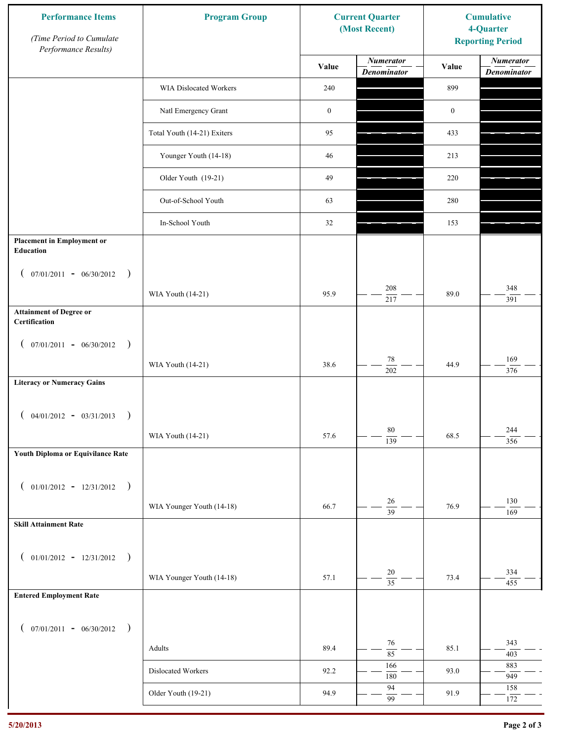| <b>Performance Items</b><br>(Time Period to Cumulate<br>Performance Results) | <b>Program Group</b>        |                  | <b>Current Quarter</b><br>(Most Recent) | <b>Cumulative</b><br>4-Quarter<br><b>Reporting Period</b> |                                        |
|------------------------------------------------------------------------------|-----------------------------|------------------|-----------------------------------------|-----------------------------------------------------------|----------------------------------------|
|                                                                              |                             | Value            | <b>Numerator</b><br><b>Denominator</b>  | Value                                                     | <b>Numerator</b><br><b>Denominator</b> |
|                                                                              | WIA Dislocated Workers      | 240              |                                         | 899                                                       |                                        |
|                                                                              | Natl Emergency Grant        | $\boldsymbol{0}$ |                                         | $\boldsymbol{0}$                                          |                                        |
|                                                                              | Total Youth (14-21) Exiters | 95               |                                         | 433                                                       |                                        |
|                                                                              | Younger Youth (14-18)       | 46               |                                         | 213                                                       |                                        |
|                                                                              | Older Youth (19-21)         | 49               |                                         | 220                                                       |                                        |
|                                                                              | Out-of-School Youth         | 63               |                                         | 280                                                       |                                        |
|                                                                              | In-School Youth             | 32               |                                         | 153                                                       |                                        |
| <b>Placement in Employment or</b><br><b>Education</b>                        |                             |                  |                                         |                                                           |                                        |
| $07/01/2011 - 06/30/2012$<br>$\rightarrow$<br>$\overline{ }$                 |                             |                  |                                         |                                                           |                                        |
|                                                                              | WIA Youth (14-21)           | 95.9             | 208<br>217                              | 89.0                                                      | 348<br>391                             |
| <b>Attainment of Degree or</b><br>Certification                              |                             |                  |                                         |                                                           |                                        |
| $($ 07/01/2011 - 06/30/2012<br>$\rightarrow$                                 |                             |                  |                                         |                                                           |                                        |
|                                                                              | WIA Youth (14-21)           | 38.6             | $78\,$<br>$\overline{202}$              | 44.9                                                      | 169<br>376                             |
| <b>Literacy or Numeracy Gains</b>                                            |                             |                  |                                         |                                                           |                                        |
| $04/01/2012 - 03/31/2013$<br>$\rightarrow$                                   |                             |                  |                                         |                                                           |                                        |
|                                                                              | WIA Youth (14-21)           | 57.6             | $80\,$<br>$\overline{139}$              | 68.5                                                      | 244<br>356                             |
| Youth Diploma or Equivilance Rate                                            |                             |                  |                                         |                                                           |                                        |
|                                                                              |                             |                  |                                         |                                                           |                                        |
| $01/01/2012 - 12/31/2012$ )<br>$\left($                                      | WIA Younger Youth (14-18)   | 66.7             | $26\,$                                  | 76.9                                                      | 130                                    |
| <b>Skill Attainment Rate</b>                                                 |                             |                  | $\overline{39}$                         |                                                           | 169                                    |
|                                                                              |                             |                  |                                         |                                                           |                                        |
| $01/01/2012 - 12/31/2012$ )<br>$\left($                                      |                             |                  |                                         |                                                           |                                        |
|                                                                              | WIA Younger Youth (14-18)   | 57.1             | 20<br>$\overline{35}$                   | 73.4                                                      | 334<br>455                             |
| <b>Entered Employment Rate</b>                                               |                             |                  |                                         |                                                           |                                        |
| $($ 07/01/2011 - 06/30/2012 )                                                |                             |                  |                                         |                                                           |                                        |
|                                                                              | Adults                      | 89.4             | 76<br>$\overline{85}$                   | 85.1                                                      | 343<br>403                             |
|                                                                              | Dislocated Workers          | 92.2             | 166<br>180                              | 93.0                                                      | 883<br>949                             |
|                                                                              | Older Youth (19-21)         | 94.9             | 94                                      | 91.9                                                      | 158                                    |
|                                                                              |                             |                  | 99                                      |                                                           | 172                                    |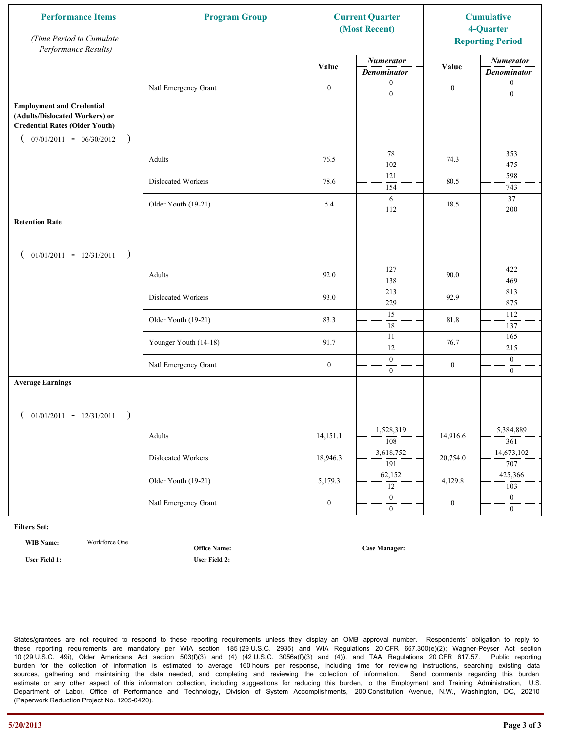| <b>Performance Items</b><br>(Time Period to Cumulate<br>Performance Results)                                                                              | <b>Program Group</b>  |                  | <b>Current Quarter</b><br>(Most Recent) |                  | <b>Cumulative</b><br>4-Quarter<br><b>Reporting Period</b> |
|-----------------------------------------------------------------------------------------------------------------------------------------------------------|-----------------------|------------------|-----------------------------------------|------------------|-----------------------------------------------------------|
|                                                                                                                                                           |                       | Value            | <b>Numerator</b><br><b>Denominator</b>  | Value            | <b>Numerator</b><br><b>Denominator</b>                    |
|                                                                                                                                                           | Natl Emergency Grant  | $\boldsymbol{0}$ | $\mathbf{0}$<br>$\mathbf{0}$            | $\boldsymbol{0}$ | $\boldsymbol{0}$<br>$\boldsymbol{0}$                      |
| <b>Employment and Credential</b><br>(Adults/Dislocated Workers) or<br><b>Credential Rates (Older Youth)</b><br>$07/01/2011 - 06/30/2012$<br>$\rightarrow$ |                       |                  |                                         |                  |                                                           |
|                                                                                                                                                           | Adults                | 76.5             | 78<br>$\overline{102}$                  | 74.3             | 353<br>475                                                |
|                                                                                                                                                           | Dislocated Workers    | 78.6             | 121<br>154                              | 80.5             | 598<br>743                                                |
|                                                                                                                                                           | Older Youth (19-21)   | 5.4              | 6<br>112                                | 18.5             | 37<br>200                                                 |
| <b>Retention Rate</b>                                                                                                                                     |                       |                  |                                         |                  |                                                           |
| $01/01/2011 - 12/31/2011$<br>$\rightarrow$                                                                                                                |                       |                  |                                         |                  |                                                           |
|                                                                                                                                                           | Adults                | 92.0             | 127<br>138                              | 90.0             | 422<br>469                                                |
|                                                                                                                                                           | Dislocated Workers    | 93.0             | 213<br>229                              | 92.9             | 813<br>875                                                |
|                                                                                                                                                           | Older Youth (19-21)   | 83.3             | $\overline{15}$<br>$\overline{18}$      | 81.8             | 112<br>137                                                |
|                                                                                                                                                           | Younger Youth (14-18) | 91.7             | 11<br>12                                | 76.7             | 165<br>215                                                |
|                                                                                                                                                           | Natl Emergency Grant  | $\boldsymbol{0}$ | $\boldsymbol{0}$<br>$\overline{0}$      | $\boldsymbol{0}$ | $\boldsymbol{0}$<br>$\overline{0}$                        |
| <b>Average Earnings</b>                                                                                                                                   |                       |                  |                                         |                  |                                                           |
| $01/01/2011 - 12/31/2011$<br>$\rightarrow$                                                                                                                |                       |                  |                                         |                  |                                                           |
|                                                                                                                                                           | Adults                | 14,151.1         | 1,528,319<br>$\overline{108}$           | 14,916.6         | 5,384,889<br>361                                          |
|                                                                                                                                                           | Dislocated Workers    | 18,946.3         | 3,618,752<br>$\overline{191}$           | 20,754.0         | 14,673,102<br>707                                         |
|                                                                                                                                                           | Older Youth (19-21)   | 5,179.3          | 62,152<br>12                            | 4,129.8          | 425,366<br>103                                            |
|                                                                                                                                                           | Natl Emergency Grant  | $\boldsymbol{0}$ | $\overline{0}$<br>$\mathbf{0}$          | $\boldsymbol{0}$ | $\overline{0}$<br>$\overline{0}$                          |

**WIB Name:** Workforce One

**Office Name:**

**User Field 1: User Field 2:**

**Case Manager:**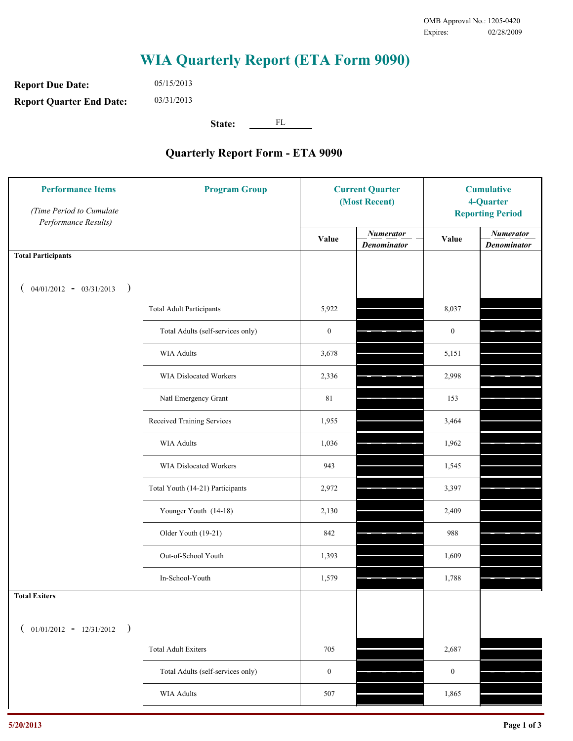**Report Due Date: Report Quarter End Date:** 05/15/2013 03/31/2013

**State:** FL

| <b>Performance Items</b><br>(Time Period to Cumulate<br>Performance Results) | <b>Program Group</b>              |                  | <b>Current Quarter</b><br>(Most Recent) |                  | <b>Cumulative</b><br>4-Quarter<br><b>Reporting Period</b> |  |
|------------------------------------------------------------------------------|-----------------------------------|------------------|-----------------------------------------|------------------|-----------------------------------------------------------|--|
|                                                                              |                                   | Value            | <b>Numerator</b><br><b>Denominator</b>  | Value            | <b>Numerator</b><br><b>Denominator</b>                    |  |
| <b>Total Participants</b>                                                    |                                   |                  |                                         |                  |                                                           |  |
| $04/01/2012 - 03/31/2013$ )                                                  |                                   |                  |                                         |                  |                                                           |  |
|                                                                              | <b>Total Adult Participants</b>   | 5,922            |                                         | 8,037            |                                                           |  |
|                                                                              | Total Adults (self-services only) | $\boldsymbol{0}$ |                                         | $\boldsymbol{0}$ |                                                           |  |
|                                                                              | WIA Adults                        | 3,678            |                                         | 5,151            |                                                           |  |
|                                                                              | WIA Dislocated Workers            | 2,336            |                                         | 2,998            |                                                           |  |
|                                                                              | Natl Emergency Grant              | $8\sqrt{1}$      |                                         | 153              |                                                           |  |
|                                                                              | Received Training Services        | 1,955            |                                         | 3,464            |                                                           |  |
|                                                                              | <b>WIA Adults</b>                 | 1,036            |                                         | 1,962            |                                                           |  |
|                                                                              | WIA Dislocated Workers            | 943              |                                         | 1,545            |                                                           |  |
|                                                                              | Total Youth (14-21) Participants  | 2,972            |                                         | 3,397            |                                                           |  |
|                                                                              | Younger Youth (14-18)             | 2,130            |                                         | 2,409            |                                                           |  |
|                                                                              | Older Youth (19-21)               | 842              |                                         | 988              |                                                           |  |
|                                                                              | Out-of-School Youth               | 1,393            |                                         | 1,609            |                                                           |  |
|                                                                              | In-School-Youth                   | 1,579            |                                         | 1,788            |                                                           |  |
| <b>Total Exiters</b>                                                         |                                   |                  |                                         |                  |                                                           |  |
| $01/01/2012 - 12/31/2012$<br>$\rightarrow$                                   |                                   |                  |                                         |                  |                                                           |  |
|                                                                              | <b>Total Adult Exiters</b>        | 705              |                                         | 2,687            |                                                           |  |
|                                                                              | Total Adults (self-services only) | $\boldsymbol{0}$ |                                         | $\boldsymbol{0}$ |                                                           |  |
|                                                                              | WIA Adults                        | 507              |                                         | 1,865            |                                                           |  |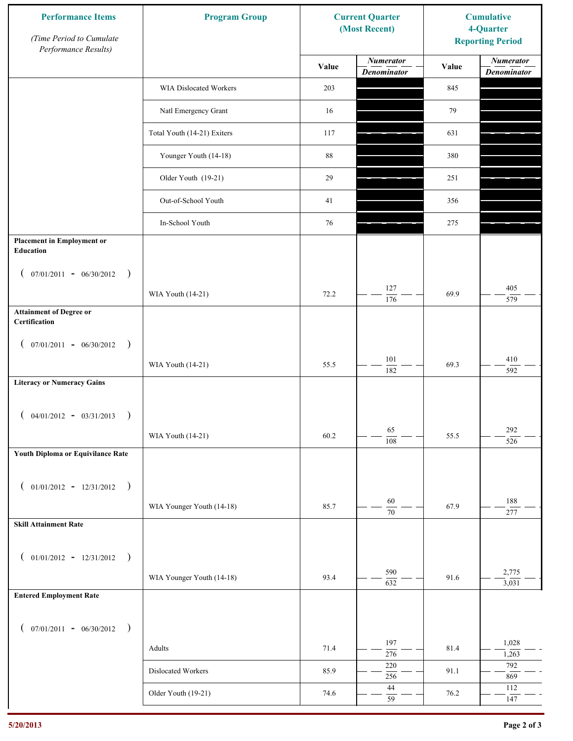| <b>Performance Items</b><br>(Time Period to Cumulate<br>Performance Results) | <b>Program Group</b>        |       | <b>Current Quarter</b><br>(Most Recent) | <b>Cumulative</b><br>4-Quarter<br><b>Reporting Period</b> |                                        |
|------------------------------------------------------------------------------|-----------------------------|-------|-----------------------------------------|-----------------------------------------------------------|----------------------------------------|
|                                                                              |                             | Value | <b>Numerator</b><br><b>Denominator</b>  | Value                                                     | <b>Numerator</b><br><b>Denominator</b> |
|                                                                              | WIA Dislocated Workers      | 203   |                                         | 845                                                       |                                        |
|                                                                              | Natl Emergency Grant        | 16    |                                         | 79                                                        |                                        |
|                                                                              | Total Youth (14-21) Exiters | 117   |                                         | 631                                                       |                                        |
|                                                                              | Younger Youth (14-18)       | 88    |                                         | 380                                                       |                                        |
|                                                                              | Older Youth (19-21)         | 29    |                                         | 251                                                       |                                        |
|                                                                              | Out-of-School Youth         | 41    |                                         | 356                                                       |                                        |
|                                                                              | In-School Youth             | 76    |                                         | 275                                                       |                                        |
| <b>Placement in Employment or</b><br><b>Education</b>                        |                             |       |                                         |                                                           |                                        |
| $07/01/2011 - 06/30/2012$<br>$\rightarrow$<br>$\overline{ }$                 |                             |       | 127                                     |                                                           | 405                                    |
| <b>Attainment of Degree or</b>                                               | WIA Youth (14-21)           | 72.2  | 176                                     | 69.9                                                      | 579                                    |
| Certification                                                                |                             |       |                                         |                                                           |                                        |
| $($ 07/01/2011 - 06/30/2012<br>$\rightarrow$                                 |                             |       |                                         |                                                           |                                        |
|                                                                              | WIA Youth (14-21)           | 55.5  | $101\,$<br>182                          | 69.3                                                      | $410\,$<br>592                         |
| <b>Literacy or Numeracy Gains</b>                                            |                             |       |                                         |                                                           |                                        |
| $04/01/2012 - 03/31/2013$<br>$\rightarrow$                                   |                             |       |                                         |                                                           |                                        |
|                                                                              | WIA Youth (14-21)           | 60.2  | 65<br>$\overline{108}$                  | 55.5                                                      | 292<br>526                             |
| Youth Diploma or Equivilance Rate                                            |                             |       |                                         |                                                           |                                        |
| $01/01/2012 - 12/31/2012$ )                                                  |                             |       |                                         |                                                           |                                        |
| $\left($                                                                     | WIA Younger Youth (14-18)   | 85.7  | $60\,$                                  | 67.9                                                      | 188                                    |
| <b>Skill Attainment Rate</b>                                                 |                             |       | 70                                      |                                                           | 277                                    |
|                                                                              |                             |       |                                         |                                                           |                                        |
| $01/01/2012 - 12/31/2012$ )<br>$\left($                                      |                             |       | 590                                     |                                                           | 2,775                                  |
| <b>Entered Employment Rate</b>                                               | WIA Younger Youth (14-18)   | 93.4  | 632                                     | 91.6                                                      | 3,031                                  |
|                                                                              |                             |       |                                         |                                                           |                                        |
| $($ 07/01/2011 - 06/30/2012 )                                                |                             |       |                                         |                                                           |                                        |
|                                                                              | Adults                      | 71.4  | 197<br>276                              | 81.4                                                      | 1,028<br>1,263                         |
|                                                                              | Dislocated Workers          | 85.9  | 220<br>256                              | 91.1                                                      | 792<br>869                             |
|                                                                              | Older Youth (19-21)         | 74.6  | $44\,$<br>59                            | 76.2                                                      | 112<br>147                             |
|                                                                              |                             |       |                                         |                                                           |                                        |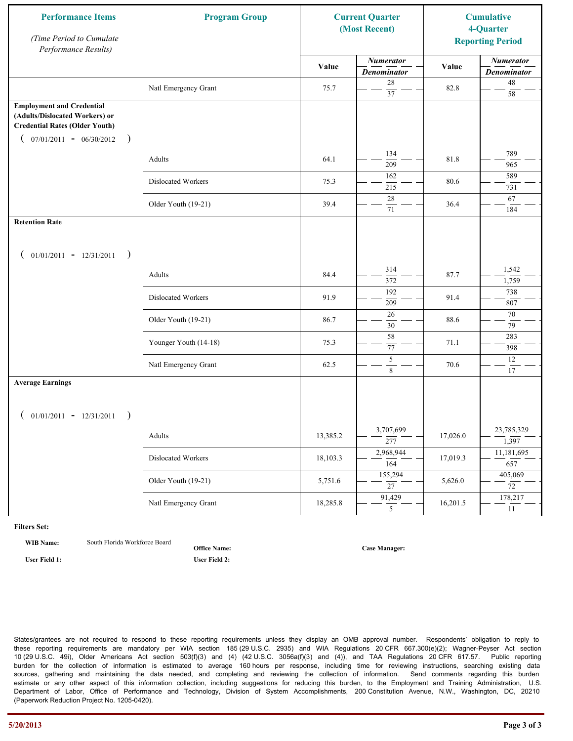| <b>Performance Items</b><br>(Time Period to Cumulate<br>Performance Results)                                                                              | <b>Program Group</b>  |          | <b>Current Quarter</b><br>(Most Recent) |          | <b>Cumulative</b><br>4-Quarter<br><b>Reporting Period</b> |
|-----------------------------------------------------------------------------------------------------------------------------------------------------------|-----------------------|----------|-----------------------------------------|----------|-----------------------------------------------------------|
|                                                                                                                                                           |                       | Value    | <b>Numerator</b><br><b>Denominator</b>  | Value    | <b>Numerator</b><br><b>Denominator</b>                    |
|                                                                                                                                                           | Natl Emergency Grant  | 75.7     | $28\,$<br>$\overline{37}$               | 82.8     | $48\,$<br>58                                              |
| <b>Employment and Credential</b><br>(Adults/Dislocated Workers) or<br><b>Credential Rates (Older Youth)</b><br>$07/01/2011 - 06/30/2012$<br>$\rightarrow$ |                       |          |                                         |          |                                                           |
|                                                                                                                                                           | Adults                | 64.1     | 134<br>209                              | 81.8     | 789<br>965                                                |
|                                                                                                                                                           | Dislocated Workers    | 75.3     | 162<br>215                              | 80.6     | 589<br>731                                                |
|                                                                                                                                                           | Older Youth (19-21)   | 39.4     | 28<br>71                                | 36.4     | 67<br>184                                                 |
| <b>Retention Rate</b>                                                                                                                                     |                       |          |                                         |          |                                                           |
| $01/01/2011 - 12/31/2011$<br>$\overline{\phantom{a}}$                                                                                                     |                       |          |                                         |          |                                                           |
|                                                                                                                                                           | Adults                | 84.4     | 314<br>372                              | 87.7     | 1,542<br>1,759                                            |
|                                                                                                                                                           | Dislocated Workers    | 91.9     | 192<br>209                              | 91.4     | 738<br>807                                                |
|                                                                                                                                                           | Older Youth (19-21)   | 86.7     | 26<br>$\overline{30}$                   | 88.6     | 70<br>79                                                  |
|                                                                                                                                                           | Younger Youth (14-18) | 75.3     | $\overline{58}$<br>$77\,$               | 71.1     | 283<br>398                                                |
|                                                                                                                                                           | Natl Emergency Grant  | 62.5     | $\sqrt{5}$<br>8                         | 70.6     | 12<br>17                                                  |
| <b>Average Earnings</b>                                                                                                                                   |                       |          |                                         |          |                                                           |
| $01/01/2011 - 12/31/2011$<br>$\rightarrow$                                                                                                                | Adults                | 13,385.2 | 3,707,699<br>$\overline{277}$           | 17,026.0 | 23,785,329<br>$\overline{1,397}$                          |
|                                                                                                                                                           | Dislocated Workers    | 18,103.3 | 2,968,944<br>$\overline{164}$           | 17,019.3 | 11,181,695<br>657                                         |
|                                                                                                                                                           | Older Youth (19-21)   | 5,751.6  | 155,294<br>$\overline{27}$              | 5,626.0  | 405,069<br>72                                             |
|                                                                                                                                                           | Natl Emergency Grant  | 18,285.8 | 91,429<br>5 <sup>5</sup>                | 16,201.5 | 178,217<br>11                                             |

**WIB Name:** South Florida Workforce Board

**Office Name:**

**User Field 1: User Field 2:**

**Case Manager:**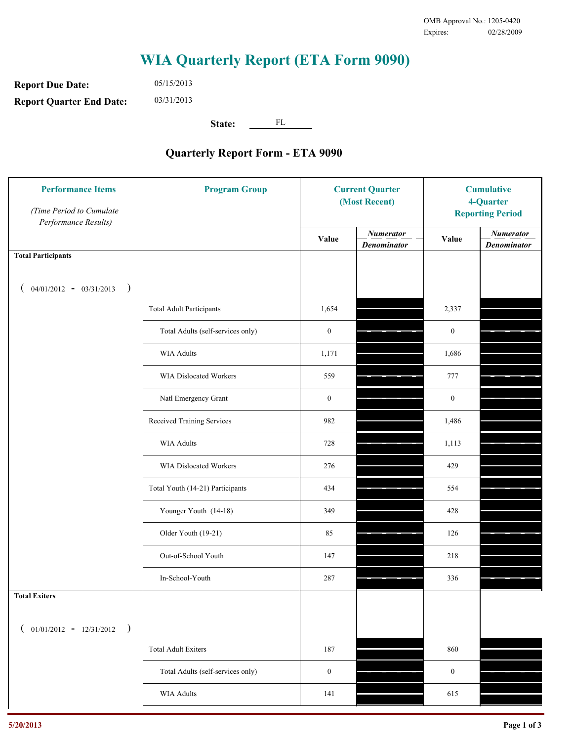**Report Due Date: Report Quarter End Date:** 05/15/2013 03/31/2013

**State:** FL

| (Time Period to Cumulate<br>Performance Results) |                                   | <b>Current Quarter</b><br>(Most Recent) |                                        | <b>Cumulative</b><br>4-Quarter<br><b>Reporting Period</b> |                                        |
|--------------------------------------------------|-----------------------------------|-----------------------------------------|----------------------------------------|-----------------------------------------------------------|----------------------------------------|
|                                                  |                                   | Value                                   | <b>Numerator</b><br><b>Denominator</b> | Value                                                     | <b>Numerator</b><br><b>Denominator</b> |
| <b>Total Participants</b>                        |                                   |                                         |                                        |                                                           |                                        |
| $04/01/2012 - 03/31/2013$ )                      |                                   |                                         |                                        |                                                           |                                        |
|                                                  | <b>Total Adult Participants</b>   | 1,654                                   |                                        | 2,337                                                     |                                        |
|                                                  | Total Adults (self-services only) | $\boldsymbol{0}$                        |                                        | $\mathbf{0}$                                              |                                        |
|                                                  | WIA Adults                        | 1,171                                   |                                        | 1,686                                                     |                                        |
|                                                  | WIA Dislocated Workers            | 559                                     |                                        | 777                                                       |                                        |
|                                                  | Natl Emergency Grant              | $\boldsymbol{0}$                        |                                        | $\mathbf{0}$                                              |                                        |
|                                                  | Received Training Services        | 982                                     |                                        | 1,486                                                     |                                        |
|                                                  | <b>WIA Adults</b>                 | 728                                     |                                        | 1,113                                                     |                                        |
|                                                  | WIA Dislocated Workers            | 276                                     |                                        | 429                                                       |                                        |
|                                                  | Total Youth (14-21) Participants  | 434                                     |                                        | 554                                                       |                                        |
|                                                  | Younger Youth (14-18)             | 349                                     |                                        | 428                                                       |                                        |
|                                                  | Older Youth (19-21)               | 85                                      |                                        | 126                                                       |                                        |
|                                                  | Out-of-School Youth               | 147                                     |                                        | 218                                                       |                                        |
|                                                  | In-School-Youth                   | 287                                     |                                        | 336                                                       |                                        |
| <b>Total Exiters</b>                             |                                   |                                         |                                        |                                                           |                                        |
| $01/01/2012 - 12/31/2012$<br>$\rightarrow$       |                                   |                                         |                                        |                                                           |                                        |
|                                                  | <b>Total Adult Exiters</b>        | 187                                     |                                        | 860                                                       |                                        |
|                                                  | Total Adults (self-services only) | $\boldsymbol{0}$                        |                                        | $\boldsymbol{0}$                                          |                                        |
|                                                  | WIA Adults                        | 141                                     |                                        | 615                                                       |                                        |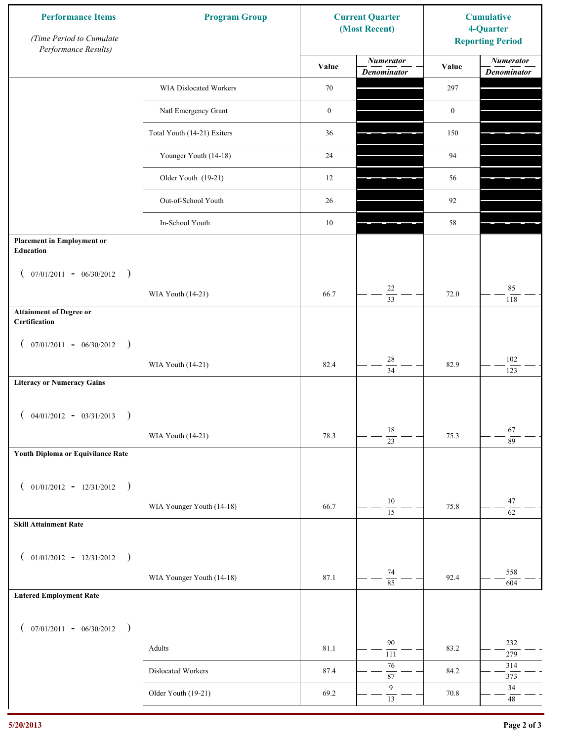| <b>Performance Items</b><br>(Time Period to Cumulate<br>Performance Results) | <b>Program Group</b>        | <b>Current Quarter</b><br>(Most Recent) |                                        | <b>Cumulative</b><br>4-Quarter<br><b>Reporting Period</b> |                                        |
|------------------------------------------------------------------------------|-----------------------------|-----------------------------------------|----------------------------------------|-----------------------------------------------------------|----------------------------------------|
|                                                                              |                             | Value                                   | <b>Numerator</b><br><b>Denominator</b> | Value                                                     | <b>Numerator</b><br><b>Denominator</b> |
|                                                                              | WIA Dislocated Workers      | 70                                      |                                        | 297                                                       |                                        |
|                                                                              | Natl Emergency Grant        | $\boldsymbol{0}$                        |                                        | $\boldsymbol{0}$                                          |                                        |
|                                                                              | Total Youth (14-21) Exiters | 36                                      |                                        | 150                                                       |                                        |
|                                                                              | Younger Youth (14-18)       | 24                                      |                                        | 94                                                        |                                        |
|                                                                              | Older Youth (19-21)         | 12                                      |                                        | 56                                                        |                                        |
|                                                                              | Out-of-School Youth         | 26                                      |                                        | 92                                                        |                                        |
|                                                                              | In-School Youth             | $10\,$                                  |                                        | 58                                                        |                                        |
| <b>Placement in Employment or</b><br><b>Education</b>                        |                             |                                         |                                        |                                                           |                                        |
| $07/01/2011 - 06/30/2012$<br>$\rightarrow$<br>$\mathcal{L}$                  |                             |                                         |                                        |                                                           |                                        |
|                                                                              | WIA Youth (14-21)           | 66.7                                    | 22<br>$\overline{33}$                  | 72.0                                                      | 85<br>118                              |
| <b>Attainment of Degree or</b><br>Certification                              |                             |                                         |                                        |                                                           |                                        |
| $($ 07/01/2011 - 06/30/2012<br>$\rightarrow$                                 |                             |                                         |                                        |                                                           |                                        |
|                                                                              | WIA Youth (14-21)           | 82.4                                    | $28\,$<br>$\overline{34}$              | 82.9                                                      | $102\,$<br>123                         |
| <b>Literacy or Numeracy Gains</b>                                            |                             |                                         |                                        |                                                           |                                        |
| $($ 04/01/2012 - 03/31/2013<br>$\rightarrow$                                 |                             |                                         |                                        |                                                           |                                        |
|                                                                              | WIA Youth (14-21)           | 78.3                                    | $18\,$<br>$\overline{23}$              | 75.3                                                      | 67<br>89                               |
| Youth Diploma or Equivilance Rate                                            |                             |                                         |                                        |                                                           |                                        |
| $01/01/2012 - 12/31/2012$ )                                                  |                             |                                         |                                        |                                                           |                                        |
| $\left($                                                                     | WIA Younger Youth (14-18)   | 66.7                                    | $10\,$                                 | 75.8                                                      | 47                                     |
| <b>Skill Attainment Rate</b>                                                 |                             |                                         | $\overline{15}$                        |                                                           | $\overline{62}$                        |
|                                                                              |                             |                                         |                                        |                                                           |                                        |
| $01/01/2012 - 12/31/2012$ )<br>$\left($                                      |                             |                                         | 74                                     |                                                           | 558                                    |
|                                                                              | WIA Younger Youth (14-18)   | 87.1                                    | $\overline{85}$                        | 92.4                                                      | 604                                    |
| <b>Entered Employment Rate</b>                                               |                             |                                         |                                        |                                                           |                                        |
| $($ 07/01/2011 - 06/30/2012 )                                                |                             |                                         |                                        |                                                           |                                        |
|                                                                              | Adults                      | 81.1                                    | 90<br>111                              | 83.2                                                      | 232<br>279                             |
|                                                                              | Dislocated Workers          | 87.4                                    | $76\,$<br>$\overline{87}$              | 84.2                                                      | 314<br>373                             |
|                                                                              | Older Youth (19-21)         | 69.2                                    | $\boldsymbol{9}$<br>$\overline{13}$    | 70.8                                                      | $34\,$<br>$48\,$                       |